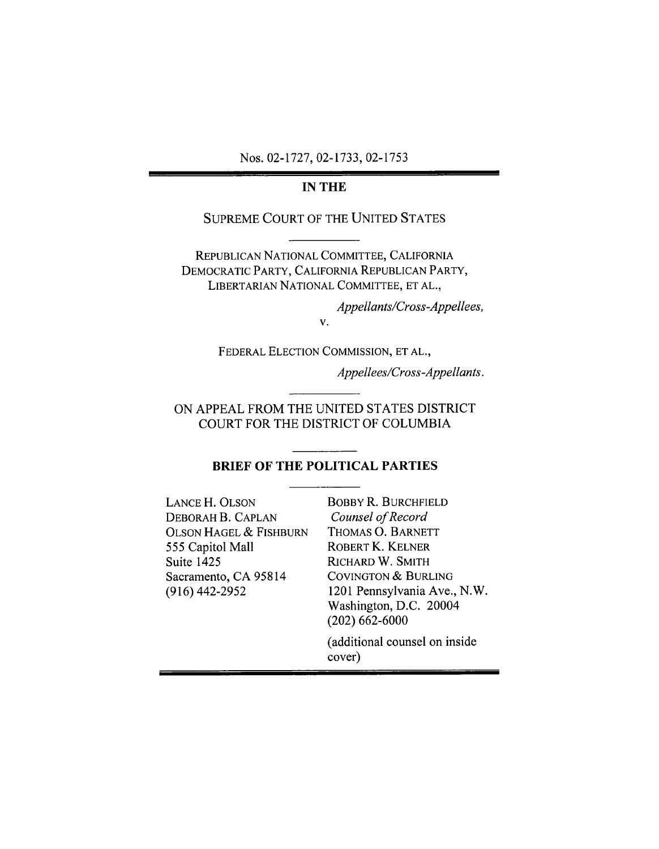Nos. 02-1727, 02-1733, 02-1753

#### **IN THE**

### **SUPREME COURT OF THE UNITED STATES**

REPUBLICAN NATIONAL COMMITTEE, CALIFORNIA DEMOCRATIC PARTY, CALIFORNIA REPUBLICAN PARTY, LIBERTARIAN NATIONAL COMMITTEE, ET AL.,

> Appellants/Cross-Appellees,  $V_{\perp}$

FEDERAL ELECTION COMMISSION, ET AL.,

Appellees/Cross-Appellants.

ON APPEAL FROM THE UNITED STATES DISTRICT COURT FOR THE DISTRICT OF COLUMBIA

### **BRIEF OF THE POLITICAL PARTIES**

LANCE H. OLSON DEBORAH B. CAPLAN OLSON HAGEL & FISHBURN 555 Capitol Mall Suite 1425 Sacramento, CA 95814  $(916)$  442-2952

**BOBBY R. BURCHFIELD** Counsel of Record THOMAS O. BARNETT ROBERT K. KELNER RICHARD W. SMITH **COVINGTON & BURLING** 1201 Pennsylvania Ave., N.W. Washington, D.C. 20004  $(202)$  662-6000

(additional counsel on inside cover)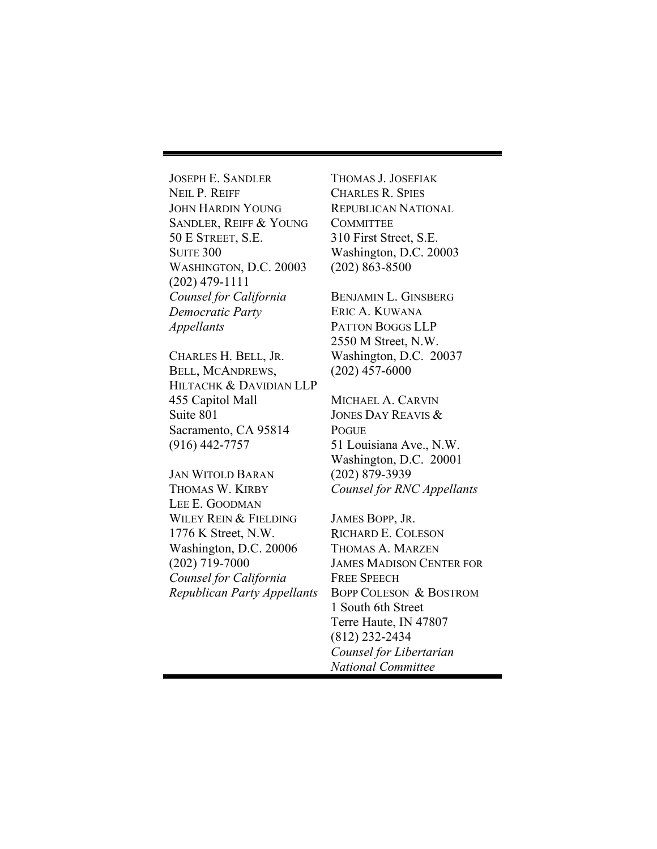JOSEPH E. SANDLER NEIL P. REIFF JOHN HARDIN YOUNG SANDLER, REIFF & YOUNG 50 E STREET, S.E. **SUITE 300** WASHINGTON, D.C. 20003 (202) 479-1111 *Counsel for California Democratic Party Appellants* 

CHARLES H. BELL, JR. BELL, MCANDREWS, HILTACHK & DAVIDIAN LLP 455 Capitol Mall Suite 801 Sacramento, CA 95814 (916) 442-7757

JAN WITOLD BARAN THOMAS W. KIRBY LEE **E.** GOODMAN WILEY REIN & FIELDING 1776 K Street, N.W. Washington, D.C. 20006 (202) 719-7000 *Counsel for California Republican Party Appellants* 

THOMAS J. JOSEFIAK CHARLES R. SPIES REPUBLICAN NATIONAL **COMMITTEE** 310 First Street, S.E. Washington, D.C. 20003 (202) 863-8500

BENJAMIN L. GINSBERG ERIC A. KUWANA PATTON BOGGS LLP 2550 M Street, N.W. Washington, D.C. 20037 (202) 457-6000

MICHAEL A. CARVIN JONES DAY REAVIS & POGUE 51 Louisiana Ave., N.W. Washington, D.C. 20001 (202) 879-3939 *Counsel for RNC Appellants* 

JAMES BOPP, JR. RICHARD E. COLESON THOMAS A. MARZEN JAMES MADISON CENTER FOR FREE SPEECH BOPP COLESON & BOSTROM 1 South 6th Street Terre Haute, IN 47807 (812) 232-2434 *Counsel for Libertarian National Committee*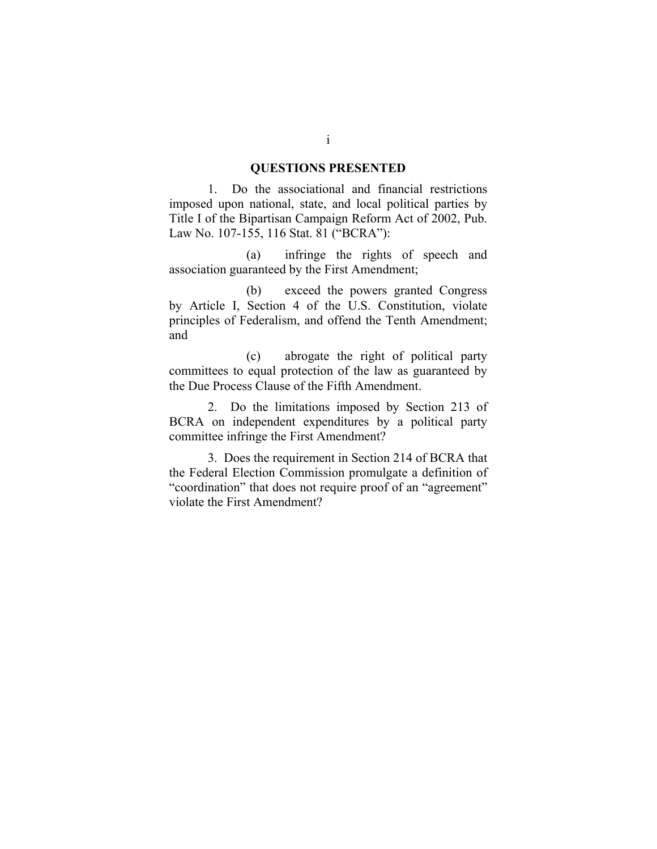#### **QUESTIONS PRESENTED**

1. Do the associational and financial restrictions imposed upon national, state, and local political parties by Title I of the Bipartisan Campaign Reform Act of 2002, Pub. Law No. 107-155, 116 Stat. 81 ("BCRA"):

(a) infringe the rights of speech and association guaranteed by the First Amendment;

(b) exceed the powers granted Congress by Article I, Section 4 of the U.S. Constitution, violate principles of Federalism, and offend the Tenth Amendment; and

(c) abrogate the right of political party committees to equal protection of the law as guaranteed by the Due Process Clause of the Fifth Amendment.

2. Do the limitations imposed by Section 213 of BCRA on independent expenditures by a political party committee infringe the First Amendment?

3. Does the requirement in Section 214 of BCRA that the Federal Election Commission promulgate a definition of "coordination" that does not require proof of an "agreement" violate the First Amendment?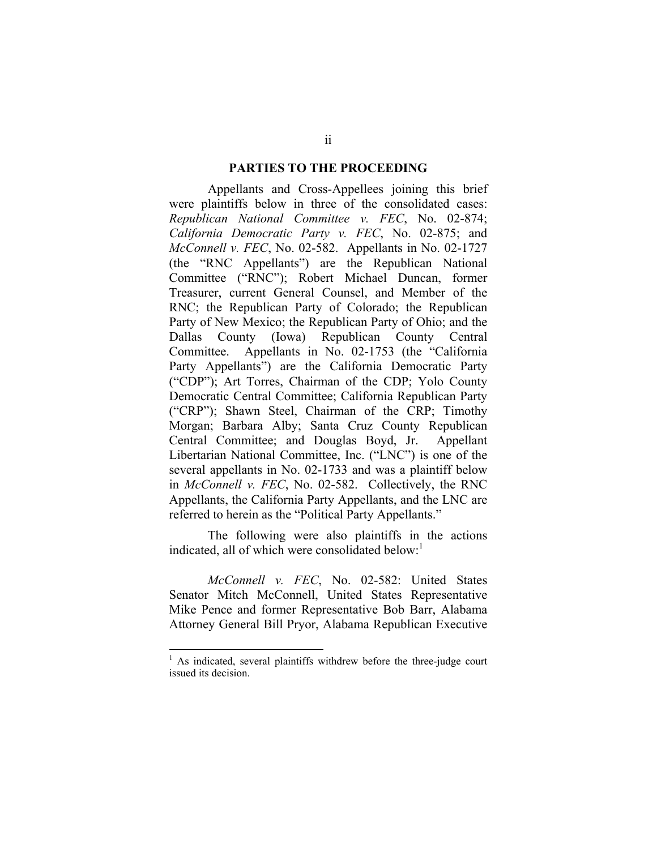#### **PARTIES TO THE PROCEEDING**

Appellants and Cross-Appellees joining this brief were plaintiffs below in three of the consolidated cases: *Republican National Committee v. FEC*, No. 02-874; *California Democratic Party v. FEC*, No. 02-875; and *McConnell v. FEC*, No. 02-582. Appellants in No. 02-1727 (the "RNC Appellants") are the Republican National Committee ("RNC"); Robert Michael Duncan, former Treasurer, current General Counsel, and Member of the RNC; the Republican Party of Colorado; the Republican Party of New Mexico; the Republican Party of Ohio; and the Dallas County (Iowa) Republican County Central Committee. Appellants in No. 02-1753 (the "California Party Appellants") are the California Democratic Party ("CDP"); Art Torres, Chairman of the CDP; Yolo County Democratic Central Committee; California Republican Party ("CRP"); Shawn Steel, Chairman of the CRP; Timothy Morgan; Barbara Alby; Santa Cruz County Republican Central Committee; and Douglas Boyd, Jr. Appellant Libertarian National Committee, Inc. ("LNC") is one of the several appellants in No. 02-1733 and was a plaintiff below in *McConnell v. FEC*, No. 02-582. Collectively, the RNC Appellants, the California Party Appellants, and the LNC are referred to herein as the "Political Party Appellants."

The following were also plaintiffs in the actions indicated, all of which were consolidated below: $<sup>1</sup>$ </sup>

*McConnell v. FEC*, No. 02-582: United States Senator Mitch McConnell, United States Representative Mike Pence and former Representative Bob Barr, Alabama Attorney General Bill Pryor, Alabama Republican Executive

<sup>&</sup>lt;sup>1</sup> As indicated, several plaintiffs withdrew before the three-judge court issued its decision.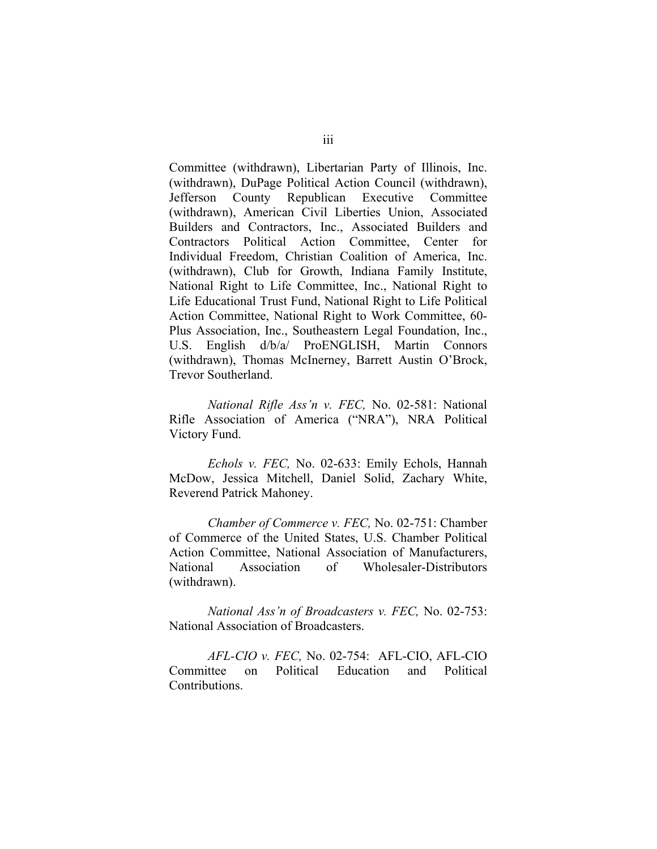Committee (withdrawn), Libertarian Party of Illinois, Inc. (withdrawn), DuPage Political Action Council (withdrawn), Jefferson County Republican Executive Committee (withdrawn), American Civil Liberties Union, Associated Builders and Contractors, Inc., Associated Builders and Contractors Political Action Committee, Center for Individual Freedom, Christian Coalition of America, Inc. (withdrawn), Club for Growth, Indiana Family Institute, National Right to Life Committee, Inc., National Right to Life Educational Trust Fund, National Right to Life Political Action Committee, National Right to Work Committee, 60- Plus Association, Inc., Southeastern Legal Foundation, Inc., U.S. English d/b/a/ ProENGLISH, Martin Connors (withdrawn), Thomas McInerney, Barrett Austin O'Brock, Trevor Southerland.

*National Rifle Ass'n v. FEC,* No. 02-581: National Rifle Association of America ("NRA"), NRA Political Victory Fund.

*Echols v. FEC,* No. 02-633: Emily Echols, Hannah McDow, Jessica Mitchell, Daniel Solid, Zachary White, Reverend Patrick Mahoney.

*Chamber of Commerce v. FEC,* No. 02-751: Chamber of Commerce of the United States, U.S. Chamber Political Action Committee, National Association of Manufacturers, National Association of Wholesaler-Distributors (withdrawn).

*National Ass'n of Broadcasters v. FEC,* No. 02-753: National Association of Broadcasters.

*AFL-CIO v. FEC,* No. 02-754: AFL-CIO, AFL-CIO Committee on Political Education and Political Contributions.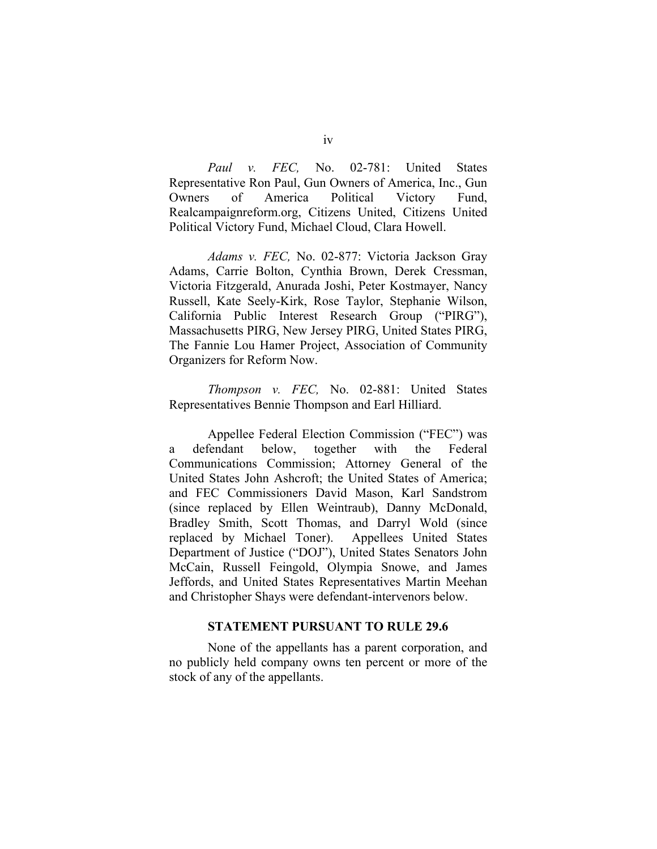*Paul v. FEC,* No. 02-781: United States Representative Ron Paul, Gun Owners of America, Inc., Gun Owners of America Political Victory Fund, Realcampaignreform.org, Citizens United, Citizens United Political Victory Fund, Michael Cloud, Clara Howell.

*Adams v. FEC,* No. 02-877: Victoria Jackson Gray Adams, Carrie Bolton, Cynthia Brown, Derek Cressman, Victoria Fitzgerald, Anurada Joshi, Peter Kostmayer, Nancy Russell, Kate Seely-Kirk, Rose Taylor, Stephanie Wilson, California Public Interest Research Group ("PIRG"), Massachusetts PIRG, New Jersey PIRG, United States PIRG, The Fannie Lou Hamer Project, Association of Community Organizers for Reform Now.

*Thompson v. FEC,* No. 02-881: United States Representatives Bennie Thompson and Earl Hilliard.

Appellee Federal Election Commission ("FEC") was a defendant below, together with the Federal Communications Commission; Attorney General of the United States John Ashcroft; the United States of America; and FEC Commissioners David Mason, Karl Sandstrom (since replaced by Ellen Weintraub), Danny McDonald, Bradley Smith, Scott Thomas, and Darryl Wold (since replaced by Michael Toner). Appellees United States Department of Justice ("DOJ"), United States Senators John McCain, Russell Feingold, Olympia Snowe, and James Jeffords, and United States Representatives Martin Meehan and Christopher Shays were defendant-intervenors below.

### **STATEMENT PURSUANT TO RULE 29.6**

None of the appellants has a parent corporation, and no publicly held company owns ten percent or more of the stock of any of the appellants.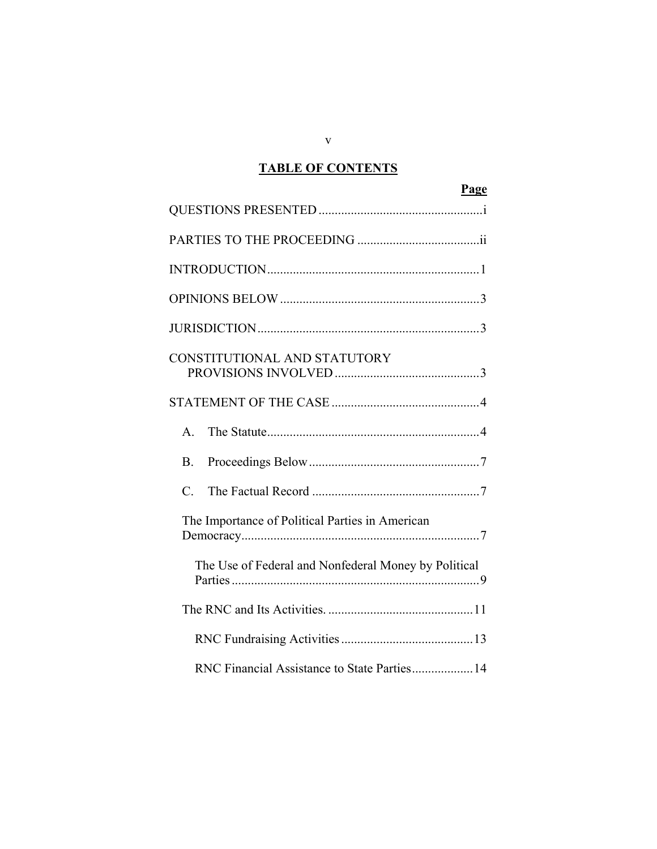# **TABLE OF CONTENTS**

| Page                                                 |
|------------------------------------------------------|
|                                                      |
|                                                      |
|                                                      |
|                                                      |
|                                                      |
| CONSTITUTIONAL AND STATUTORY                         |
|                                                      |
| $\mathbf{A}$                                         |
| <b>B</b> .                                           |
| $\overline{C}$ .                                     |
| The Importance of Political Parties in American      |
| The Use of Federal and Nonfederal Money by Political |
|                                                      |
|                                                      |
| RNC Financial Assistance to State Parties 14         |

v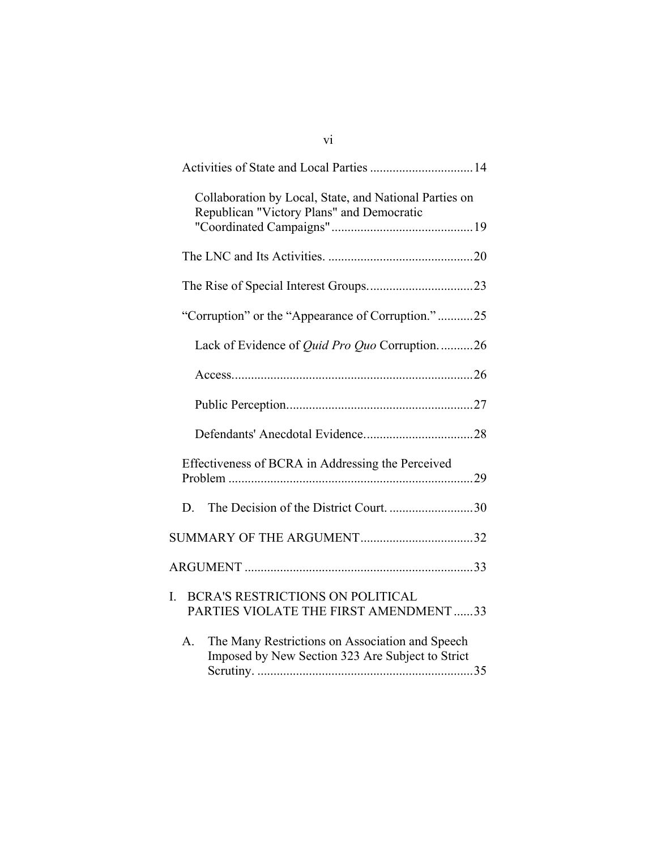| Collaboration by Local, State, and National Parties on<br>Republican "Victory Plans" and Democratic       |
|-----------------------------------------------------------------------------------------------------------|
|                                                                                                           |
|                                                                                                           |
| "Corruption" or the "Appearance of Corruption."25                                                         |
| Lack of Evidence of <i>Quid Pro Quo</i> Corruption26                                                      |
|                                                                                                           |
|                                                                                                           |
|                                                                                                           |
| Effectiveness of BCRA in Addressing the Perceived                                                         |
| D.                                                                                                        |
|                                                                                                           |
|                                                                                                           |
| <b>BCRA'S RESTRICTIONS ON POLITICAL</b><br>I.<br>PARTIES VIOLATE THE FIRST AMENDMENT 33                   |
| A.<br>The Many Restrictions on Association and Speech<br>Imposed by New Section 323 Are Subject to Strict |

vi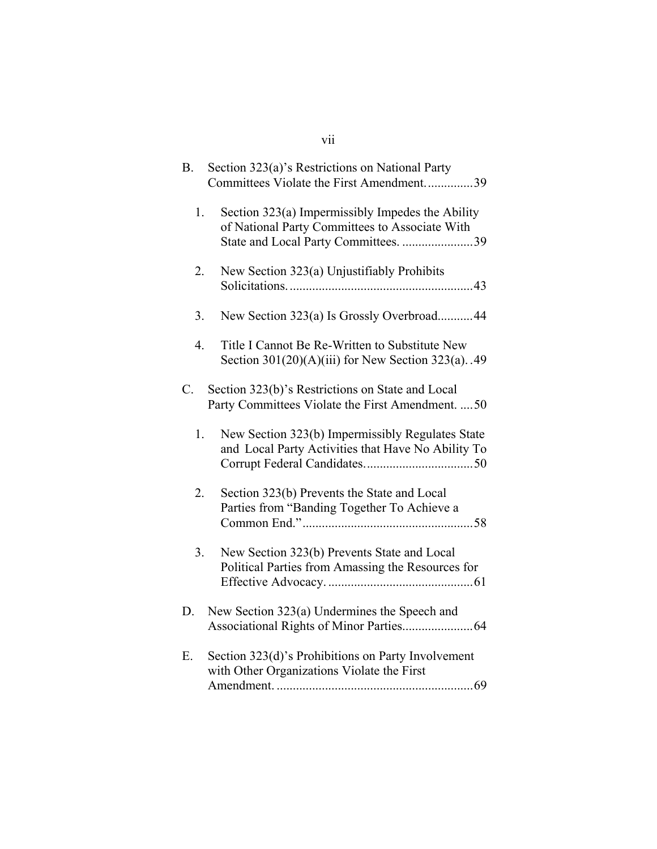# vii

| <b>B.</b> | Section 323(a)'s Restrictions on National Party                                                                                            |
|-----------|--------------------------------------------------------------------------------------------------------------------------------------------|
|           | Committees Violate the First Amendment<br>39                                                                                               |
| 1.        | Section 323(a) Impermissibly Impedes the Ability<br>of National Party Committees to Associate With<br>State and Local Party Committees. 39 |
| 2.        | New Section 323(a) Unjustifiably Prohibits                                                                                                 |
| 3.        | New Section 323(a) Is Grossly Overbroad44                                                                                                  |
| 4.        | Title I Cannot Be Re-Written to Substitute New<br>Section $301(20)(A)(iii)$ for New Section $323(a)$ . 49                                  |
| C.        | Section 323(b)'s Restrictions on State and Local<br>Party Committees Violate the First Amendment.  50                                      |
| 1.        | New Section 323(b) Impermissibly Regulates State<br>and Local Party Activities that Have No Ability To                                     |
| 2.        | Section 323(b) Prevents the State and Local<br>Parties from "Banding Together To Achieve a                                                 |
| 3.        | New Section 323(b) Prevents State and Local<br>Political Parties from Amassing the Resources for                                           |
| D.        | New Section 323(a) Undermines the Speech and                                                                                               |
| Ε.        | Section 323(d)'s Prohibitions on Party Involvement<br>with Other Organizations Violate the First                                           |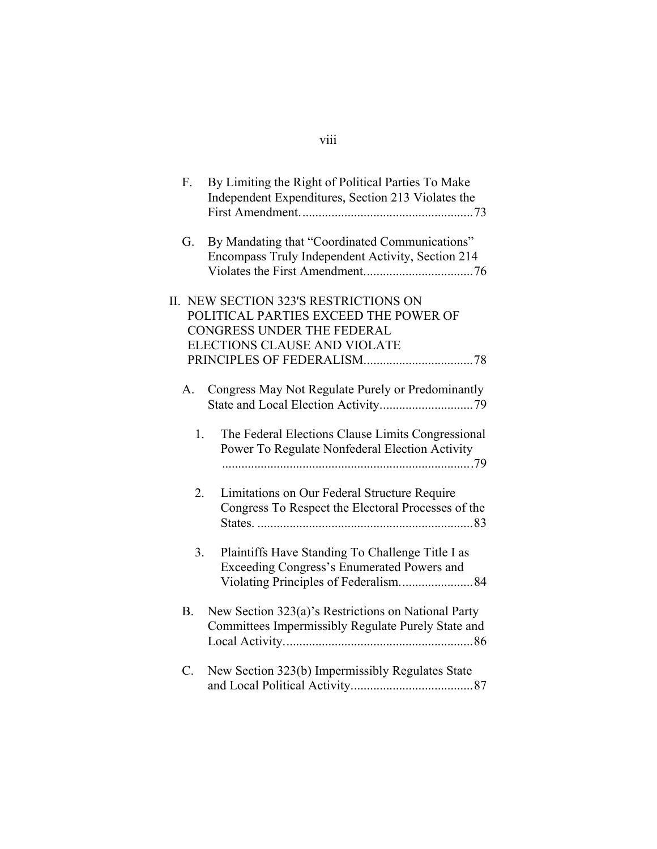| F.          | By Limiting the Right of Political Parties To Make<br>Independent Expenditures, Section 213 Violates the                                        |
|-------------|-------------------------------------------------------------------------------------------------------------------------------------------------|
| G.          | By Mandating that "Coordinated Communications"<br>Encompass Truly Independent Activity, Section 214                                             |
| П.          | NEW SECTION 323'S RESTRICTIONS ON<br>POLITICAL PARTIES EXCEED THE POWER OF<br><b>CONGRESS UNDER THE FEDERAL</b><br>ELECTIONS CLAUSE AND VIOLATE |
| A.          | Congress May Not Regulate Purely or Predominantly                                                                                               |
| 1.          | The Federal Elections Clause Limits Congressional<br>Power To Regulate Nonfederal Election Activity                                             |
| 2.          | Limitations on Our Federal Structure Require<br>Congress To Respect the Electoral Processes of the                                              |
| 3.          | Plaintiffs Have Standing To Challenge Title I as<br>Exceeding Congress's Enumerated Powers and                                                  |
| <b>B.</b>   | New Section 323(a)'s Restrictions on National Party<br>Committees Impermissibly Regulate Purely State and                                       |
| $C_{\cdot}$ | New Section 323(b) Impermissibly Regulates State                                                                                                |

# viii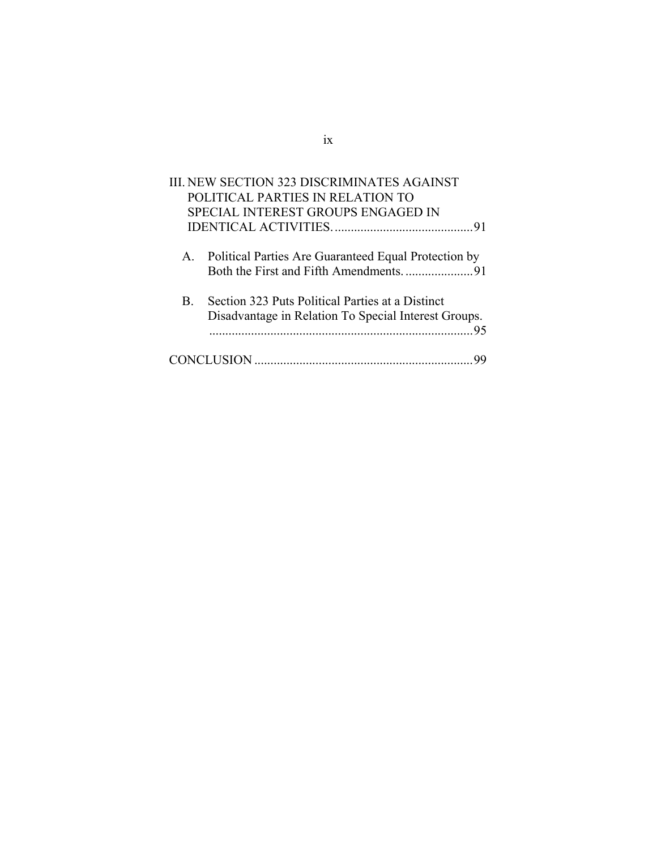| <b>III. NEW SECTION 323 DISCRIMINATES AGAINST</b>       |  |
|---------------------------------------------------------|--|
| POLITICAL PARTIES IN RELATION TO                        |  |
| SPECIAL INTEREST GROUPS ENGAGED IN                      |  |
|                                                         |  |
|                                                         |  |
| A. Political Parties Are Guaranteed Equal Protection by |  |
|                                                         |  |
| Section 323 Puts Political Parties at a Distinct<br>B.  |  |
| Disadvantage in Relation To Special Interest Groups.    |  |
| -95                                                     |  |
|                                                         |  |
|                                                         |  |
|                                                         |  |

# ix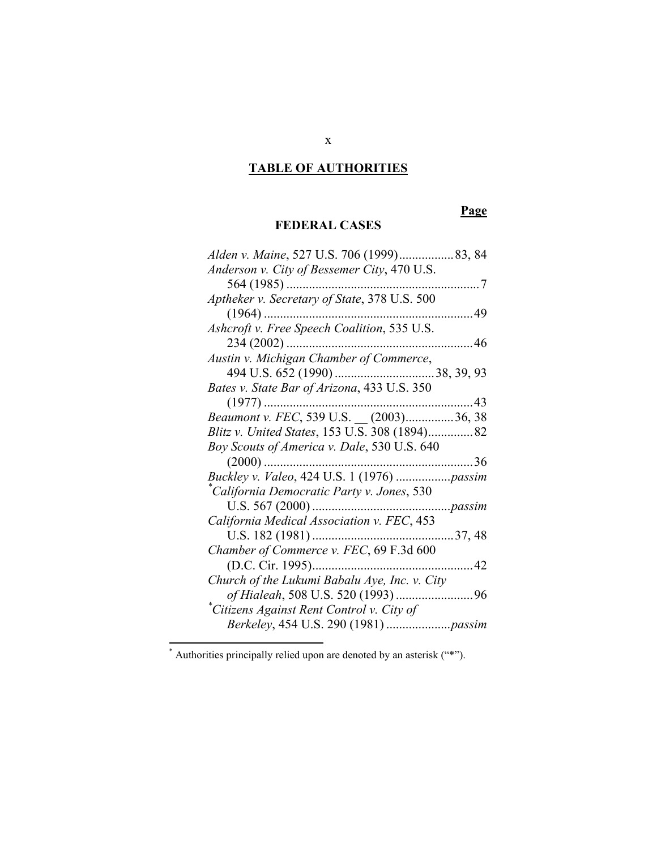# **TABLE OF AUTHORITIES**

## **Page**

### **FEDERAL CASES**

| Anderson v. City of Bessemer City, 470 U.S.   |
|-----------------------------------------------|
| 564 (1985)<br>7                               |
| Aptheker v. Secretary of State, 378 U.S. 500  |
| $(1964)$<br>49                                |
| Ashcroft v. Free Speech Coalition, 535 U.S.   |
| $234(2002)$<br>46                             |
| Austin v. Michigan Chamber of Commerce,       |
|                                               |
| Bates v. State Bar of Arizona, 433 U.S. 350   |
| 43                                            |
| Beaumont v. FEC, 539 U.S. _ (2003)36, 38      |
| Blitz v. United States, 153 U.S. 308 (1894)82 |
| Boy Scouts of America v. Dale, 530 U.S. 640   |
| . . 36<br>$(2000)$                            |
| Buckley v. Valeo, 424 U.S. 1 (1976)  passim   |
| *California Democratic Party v. Jones, 530    |
| p <sub>assim</sub>                            |
| California Medical Association v. FEC, 453    |
| U.S. 182 (1981)<br>37, 48                     |
| Chamber of Commerce v. FEC, 69 F.3d 600       |
| (D.C. Cir. 1995)<br>42                        |
| Church of the Lukumi Babalu Aye, Inc. v. City |
|                                               |
| of Hialeah, 508 U.S. 520 (1993)<br>.96        |
| Citizens Against Rent Control v. City of      |

<sup>\*</sup> Authorities principally relied upon are denoted by an asterisk ("\*").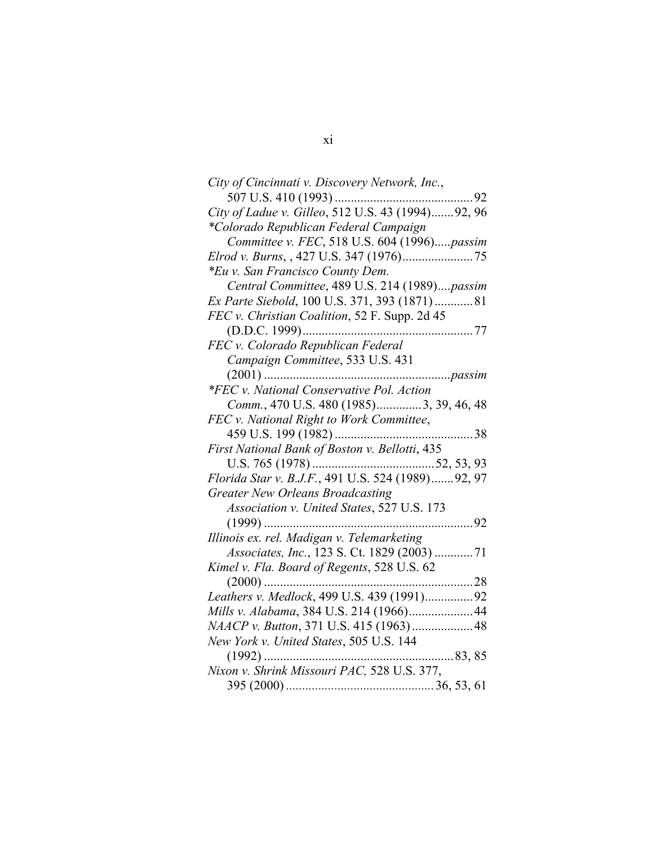| City of Cincinnati v. Discovery Network, Inc.,    |
|---------------------------------------------------|
| 507 U.S. 410 (1993)<br>92                         |
| City of Ladue v. Gilleo, 512 U.S. 43 (1994)92, 96 |
| *Colorado Republican Federal Campaign             |
| Committee v. FEC, 518 U.S. 604 (1996)passim       |
|                                                   |
| *Eu v. San Francisco County Dem.                  |
| Central Committee, 489 U.S. 214 (1989)passim      |
| Ex Parte Siebold, 100 U.S. 371, 393 (1871)81      |
| FEC v. Christian Coalition, 52 F. Supp. 2d 45     |
|                                                   |
| FEC v. Colorado Republican Federal                |
| Campaign Committee, 533 U.S. 431                  |
| $(2001)$<br>passim                                |
| *FEC v. National Conservative Pol. Action         |
| Comm., 470 U.S. 480 (1985)3, 39, 46, 48           |
| FEC v. National Right to Work Committee,          |
| 38                                                |
| First National Bank of Boston v. Bellotti, 435    |
|                                                   |
| Florida Star v. B.J.F., 491 U.S. 524 (1989)92, 97 |
| <b>Greater New Orleans Broadcasting</b>           |
| Association v. United States, 527 U.S. 173        |
|                                                   |
| Illinois ex. rel. Madigan v. Telemarketing        |
| Associates, Inc., 123 S. Ct. 1829 (2003) 71       |
| Kimel v. Fla. Board of Regents, 528 U.S. 62       |
| 28<br>$(2000)$                                    |
| Leathers v. Medlock, 499 U.S. 439 (1991)92        |
| Mills v. Alabama, 384 U.S. 214 (1966) 44          |
|                                                   |
| New York v. United States, 505 U.S. 144           |
| $\dots 83, 85$                                    |
| Nixon v. Shrink Missouri PAC, 528 U.S. 377,       |
|                                                   |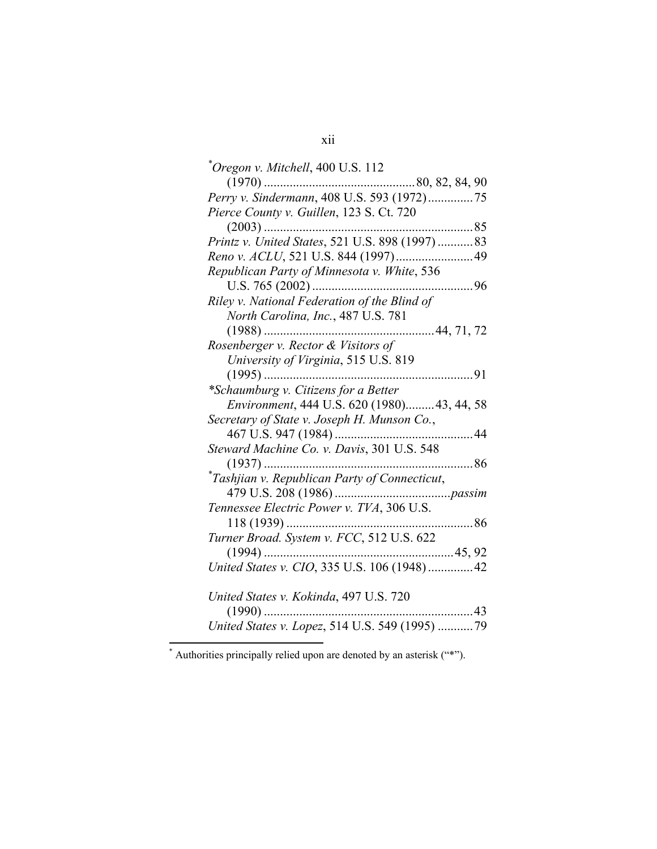| Oregon v. Mitchell, 400 U.S. 112                                   |
|--------------------------------------------------------------------|
|                                                                    |
| Perry v. Sindermann, 408 U.S. 593 (1972)75                         |
| Pierce County v. Guillen, 123 S. Ct. 720                           |
|                                                                    |
|                                                                    |
|                                                                    |
| Republican Party of Minnesota v. White, 536                        |
|                                                                    |
| Riley v. National Federation of the Blind of                       |
| North Carolina, Inc., 487 U.S. 781                                 |
|                                                                    |
| Rosenberger v. Rector & Visitors of                                |
| University of Virginia, 515 U.S. 819                               |
| 91                                                                 |
| *Schaumburg v. Citizens for a Better                               |
| Environment, 444 U.S. 620 (1980)43, 44, 58                         |
| Secretary of State v. Joseph H. Munson Co.,                        |
|                                                                    |
| Steward Machine Co. v. Davis, 301 U.S. 548                         |
|                                                                    |
| *Tashjian v. Republican Party of Connecticut,                      |
|                                                                    |
| Tennessee Electric Power v. TVA, 306 U.S.                          |
|                                                                    |
|                                                                    |
|                                                                    |
| Turner Broad. System v. FCC, 512 U.S. 622                          |
| United States v. CIO, 335 U.S. 106 (1948)42                        |
|                                                                    |
| United States v. Kokinda, 497 U.S. 720                             |
| . 43<br>$(1990)$<br>United States v. Lopez, 514 U.S. 549 (1995) 79 |

<sup>\*</sup> Authorities principally relied upon are denoted by an asterisk ("\*").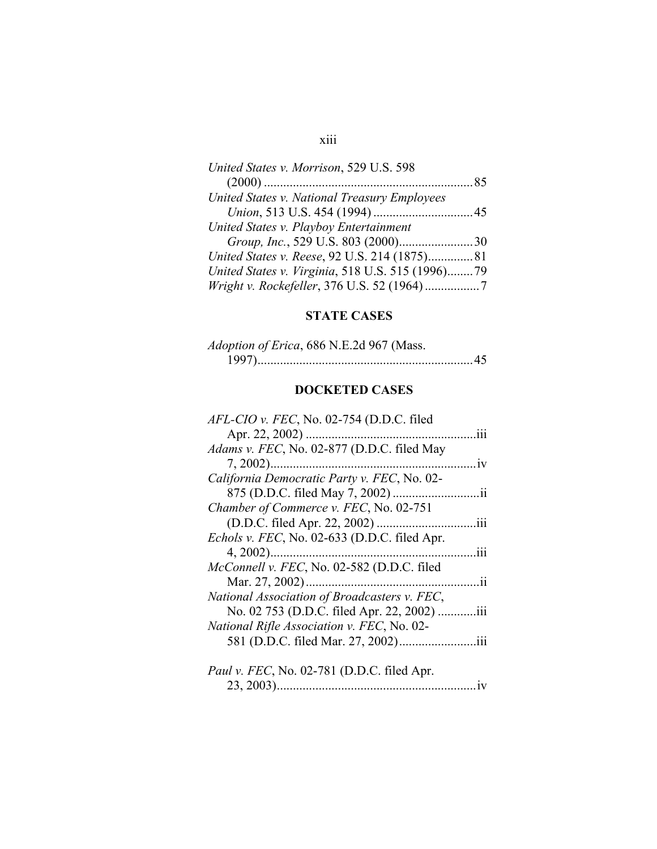## xiii

| United States v. Morrison, 529 U.S. 598          |  |
|--------------------------------------------------|--|
|                                                  |  |
| United States v. National Treasury Employees     |  |
|                                                  |  |
| United States v. Playboy Entertainment           |  |
|                                                  |  |
| United States v. Reese, 92 U.S. 214 (1875) 81    |  |
| United States v. Virginia, 518 U.S. 515 (1996)79 |  |
|                                                  |  |

## **STATE CASES**

| Adoption of Erica, 686 N.E.2d 967 (Mass. |
|------------------------------------------|
|                                          |

## **DOCKETED CASES**

| AFL-CIO v. FEC, No. 02-754 (D.D.C. filed     |      |
|----------------------------------------------|------|
|                                              | 111  |
| Adams v. FEC, No. 02-877 (D.D.C. filed May   |      |
|                                              | 1V   |
| California Democratic Party v. FEC, No. 02-  |      |
| 875 (D.D.C. filed May 7, 2002)               | .11  |
| Chamber of Commerce v. FEC, No. 02-751       |      |
| (D.D.C. filed Apr. 22, 2002)                 | .111 |
| Echols v. FEC, No. 02-633 (D.D.C. filed Apr. |      |
| $4, 2002)$                                   | 111  |
| McConnell v. FEC, No. 02-582 (D.D.C. filed   |      |
| Mar. 27, 2002)                               | 11   |
| National Association of Broadcasters v. FEC, |      |
| No. 02 753 (D.D.C. filed Apr. 22, 2002)      | iii. |
| National Rifle Association v. FEC, No. 02-   |      |
|                                              | 111  |
|                                              |      |
| Paul v. FEC, No. 02-781 (D.D.C. filed Apr.   |      |
| 23, 2003).                                   |      |
|                                              |      |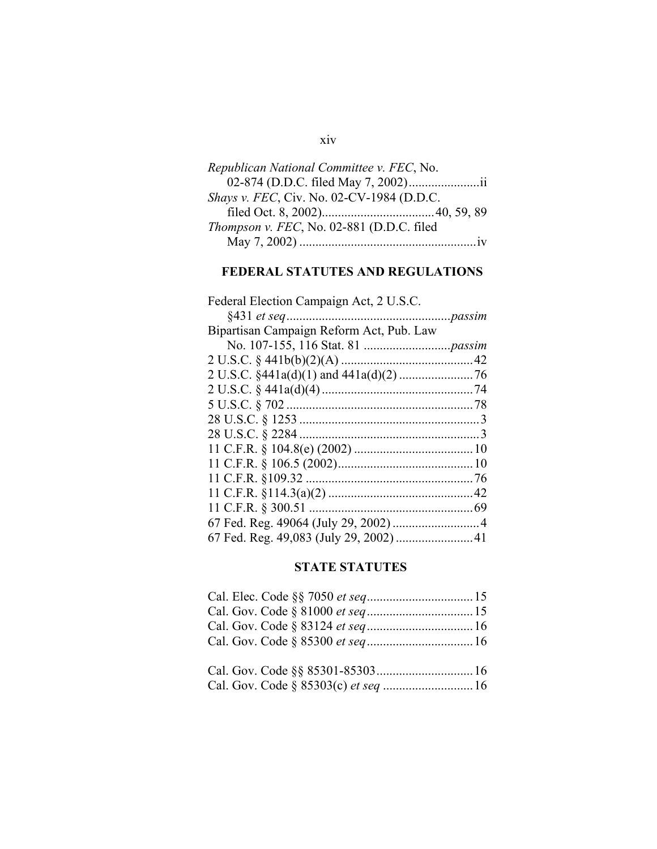# *Republican National Committee v. FEC*, No. 02-874 (D.D.C. filed May 7, 2002)......................ii *Shays v. FEC*, Civ. No. 02-CV-1984 (D.D.C.

xiv

| <i>Thompson v. FEC, No. 02-881 (D.D.C. filed</i> |  |
|--------------------------------------------------|--|
|                                                  |  |

## **FEDERAL STATUTES AND REGULATIONS**

| Federal Election Campaign Act, 2 U.S.C.                         |  |
|-----------------------------------------------------------------|--|
|                                                                 |  |
| Bipartisan Campaign Reform Act, Pub. Law                        |  |
|                                                                 |  |
|                                                                 |  |
| 2 U.S.C. $\frac{$441a(d)(1) \text{ and } 441a(d)(2) \dots}{76}$ |  |
|                                                                 |  |
|                                                                 |  |
|                                                                 |  |
|                                                                 |  |
|                                                                 |  |
|                                                                 |  |
|                                                                 |  |
|                                                                 |  |
|                                                                 |  |
|                                                                 |  |
|                                                                 |  |
|                                                                 |  |

### **STATE STATUTES**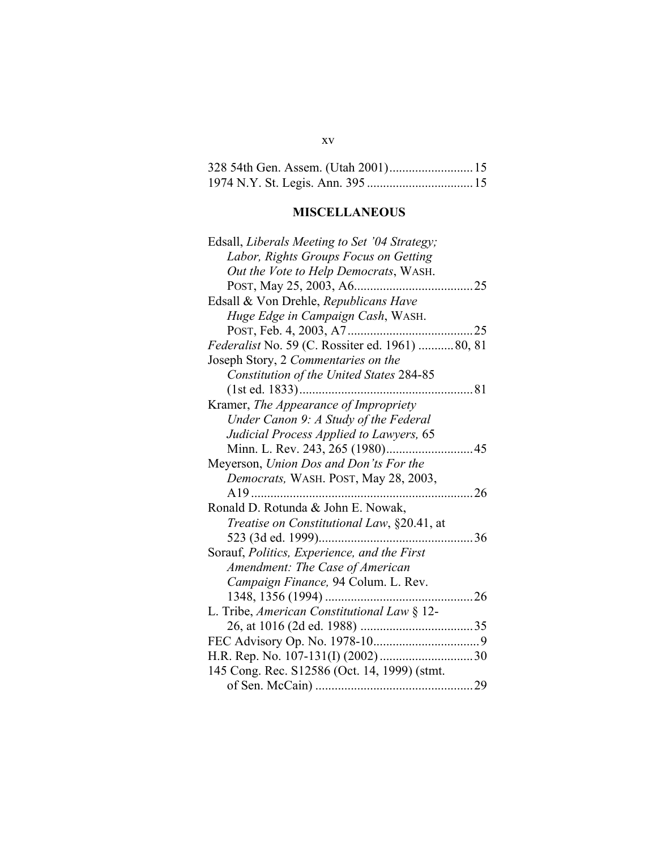## 328 54th Gen. Assem. (Utah 2001)..........................15 1974 N.Y. St. Legis. Ann. 395 .................................15

# **MISCELLANEOUS**

| Edsall, Liberals Meeting to Set '04 Strategy;      |      |
|----------------------------------------------------|------|
| Labor, Rights Groups Focus on Getting              |      |
| Out the Vote to Help Democrats, WASH.              |      |
|                                                    |      |
| Edsall & Von Drehle, Republicans Have              |      |
| Huge Edge in Campaign Cash, WASH.                  |      |
|                                                    |      |
| Federalist No. 59 (C. Rossiter ed. 1961)  80, 81   |      |
| Joseph Story, 2 Commentaries on the                |      |
| Constitution of the United States 284-85           |      |
| . 81                                               |      |
| Kramer, The Appearance of Impropriety              |      |
| Under Canon 9: A Study of the Federal              |      |
| Judicial Process Applied to Lawyers, 65            |      |
|                                                    |      |
| Meyerson, Union Dos and Don'ts For the             |      |
| Democrats, WASH. POST, May 28, 2003,               |      |
|                                                    |      |
| Ronald D. Rotunda & John E. Nowak,                 |      |
| <i>Treatise on Constitutional Law</i> , §20.41, at |      |
|                                                    | . 36 |
| Sorauf, Politics, Experience, and the First        |      |
| Amendment: The Case of American                    |      |
| Campaign Finance, 94 Colum. L. Rev.                |      |
|                                                    | 26   |
| L. Tribe, American Constitutional Law § 12-        |      |
|                                                    |      |
|                                                    |      |
|                                                    |      |
| 145 Cong. Rec. S12586 (Oct. 14, 1999) (stmt.       |      |
|                                                    |      |

xv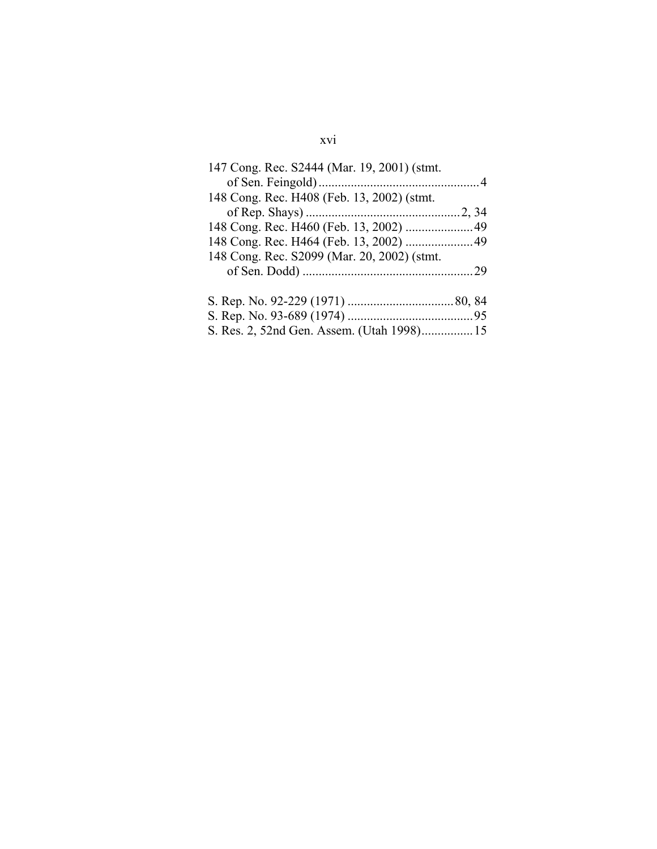## xvi

| 147 Cong. Rec. S2444 (Mar. 19, 2001) (stmt. |  |
|---------------------------------------------|--|
| 148 Cong. Rec. H408 (Feb. 13, 2002) (stmt.  |  |
|                                             |  |
|                                             |  |
|                                             |  |
| 148 Cong. Rec. S2099 (Mar. 20, 2002) (stmt. |  |
|                                             |  |
|                                             |  |
|                                             |  |
|                                             |  |
| S. Res. 2, 52nd Gen. Assem. (Utah 1998) 15  |  |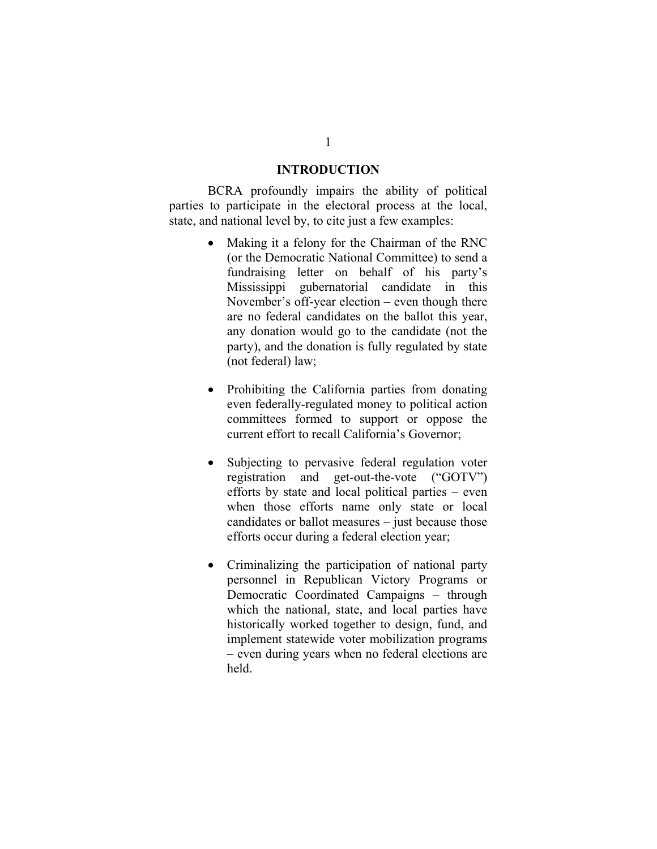#### **INTRODUCTION**

BCRA profoundly impairs the ability of political parties to participate in the electoral process at the local, state, and national level by, to cite just a few examples:

- Making it a felony for the Chairman of the RNC (or the Democratic National Committee) to send a fundraising letter on behalf of his party's Mississippi gubernatorial candidate in this November's off-year election – even though there are no federal candidates on the ballot this year, any donation would go to the candidate (not the party), and the donation is fully regulated by state (not federal) law;
- Prohibiting the California parties from donating even federally-regulated money to political action committees formed to support or oppose the current effort to recall California's Governor;
- Subjecting to pervasive federal regulation voter registration and get-out-the-vote ("GOTV") efforts by state and local political parties – even when those efforts name only state or local candidates or ballot measures – just because those efforts occur during a federal election year;
- Criminalizing the participation of national party personnel in Republican Victory Programs or Democratic Coordinated Campaigns – through which the national, state, and local parties have historically worked together to design, fund, and implement statewide voter mobilization programs – even during years when no federal elections are held.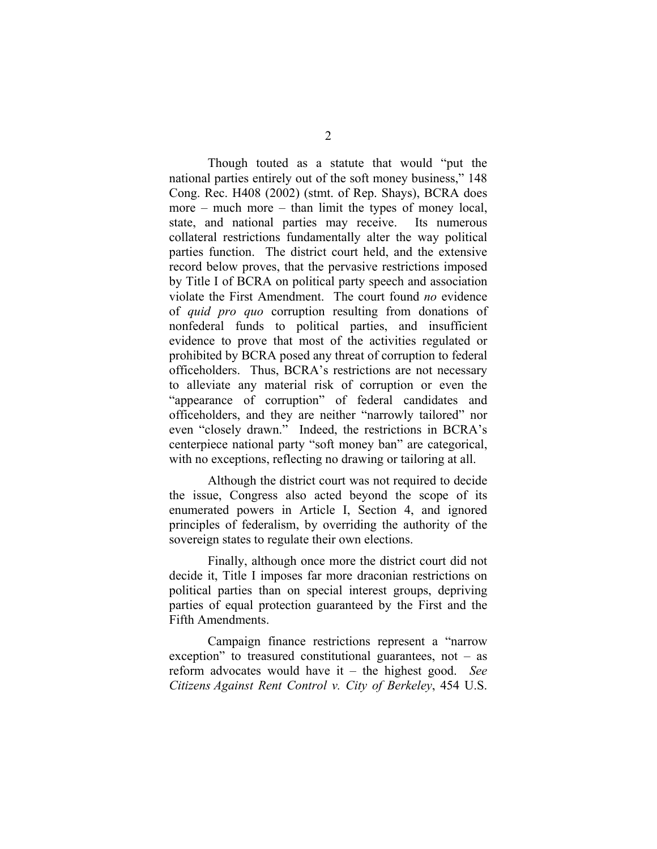Though touted as a statute that would "put the national parties entirely out of the soft money business," 148 Cong. Rec. H408 (2002) (stmt. of Rep. Shays), BCRA does more – much more – than limit the types of money local, state, and national parties may receive. Its numerous collateral restrictions fundamentally alter the way political parties function. The district court held, and the extensive record below proves, that the pervasive restrictions imposed by Title I of BCRA on political party speech and association violate the First Amendment. The court found *no* evidence of *quid pro quo* corruption resulting from donations of nonfederal funds to political parties, and insufficient evidence to prove that most of the activities regulated or prohibited by BCRA posed any threat of corruption to federal officeholders. Thus, BCRA's restrictions are not necessary to alleviate any material risk of corruption or even the "appearance of corruption" of federal candidates and officeholders, and they are neither "narrowly tailored" nor even "closely drawn." Indeed, the restrictions in BCRA's centerpiece national party "soft money ban" are categorical, with no exceptions, reflecting no drawing or tailoring at all.

Although the district court was not required to decide the issue, Congress also acted beyond the scope of its enumerated powers in Article I, Section 4, and ignored principles of federalism, by overriding the authority of the sovereign states to regulate their own elections.

Finally, although once more the district court did not decide it, Title I imposes far more draconian restrictions on political parties than on special interest groups, depriving parties of equal protection guaranteed by the First and the Fifth Amendments.

Campaign finance restrictions represent a "narrow exception" to treasured constitutional guarantees, not  $-$  as reform advocates would have it – the highest good. *See Citizens Against Rent Control v. City of Berkeley*, 454 U.S.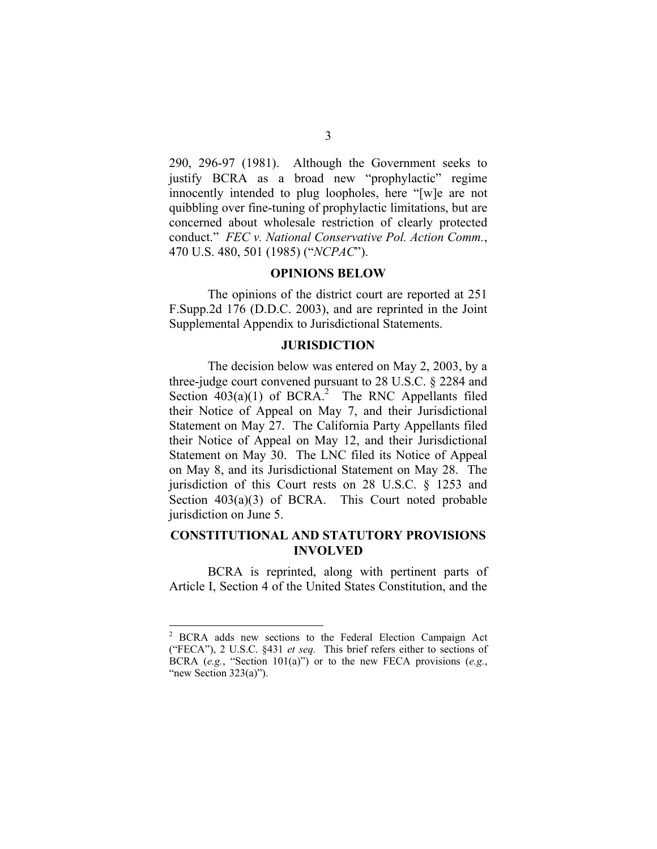290, 296-97 (1981). Although the Government seeks to justify BCRA as a broad new "prophylactic" regime innocently intended to plug loopholes, here "[w]e are not quibbling over fine-tuning of prophylactic limitations, but are concerned about wholesale restriction of clearly protected conduct." *FEC v. National Conservative Pol. Action Comm.*, 470 U.S. 480, 501 (1985) ("*NCPAC*").

#### **OPINIONS BELOW**

The opinions of the district court are reported at 251 F.Supp.2d 176 (D.D.C. 2003), and are reprinted in the Joint Supplemental Appendix to Jurisdictional Statements.

#### **JURISDICTION**

The decision below was entered on May 2, 2003, by a three-judge court convened pursuant to 28 U.S.C. § 2284 and Section  $403(a)(1)$  of BCRA.<sup>2</sup> The RNC Appellants filed their Notice of Appeal on May 7, and their Jurisdictional Statement on May 27. The California Party Appellants filed their Notice of Appeal on May 12, and their Jurisdictional Statement on May 30. The LNC filed its Notice of Appeal on May 8, and its Jurisdictional Statement on May 28. The jurisdiction of this Court rests on 28 U.S.C. § 1253 and Section  $403(a)(3)$  of BCRA. This Court noted probable jurisdiction on June 5.

### **CONSTITUTIONAL AND STATUTORY PROVISIONS INVOLVED**

BCRA is reprinted, along with pertinent parts of Article I, Section 4 of the United States Constitution, and the

<sup>&</sup>lt;sup>2</sup> BCRA adds new sections to the Federal Election Campaign Act ("FECA"), 2 U.S.C. §431 *et seq.* This brief refers either to sections of BCRA (*e.g.*, "Section 101(a)") or to the new FECA provisions (*e.g.*, "new Section  $323(a)$ ").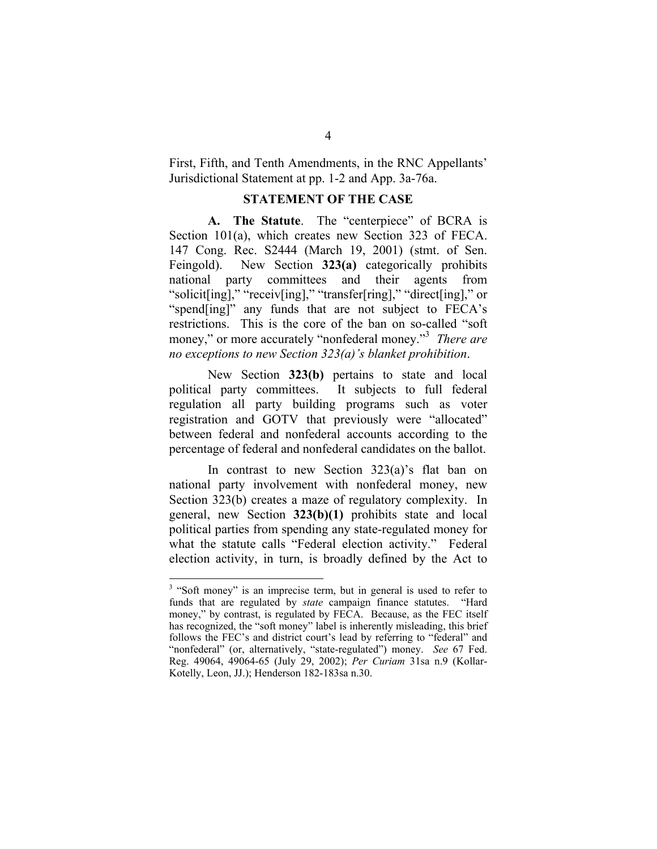First, Fifth, and Tenth Amendments, in the RNC Appellants' Jurisdictional Statement at pp. 1-2 and App. 3a-76a.

#### **STATEMENT OF THE CASE**

**A. The Statute**. The "centerpiece" of BCRA is Section 101(a), which creates new Section 323 of FECA. 147 Cong. Rec. S2444 (March 19, 2001) (stmt. of Sen. Feingold). New Section **323(a)** categorically prohibits national party committees and their agents from "solicit[ing]," "receiv[ing]," "transfer[ring]," "direct[ing]," or "spend[ing]" any funds that are not subject to FECA's restrictions. This is the core of the ban on so-called "soft money," or more accurately "nonfederal money."3 *There are no exceptions to new Section 323(a)'s blanket prohibition*.

New Section **323(b)** pertains to state and local political party committees. It subjects to full federal regulation all party building programs such as voter registration and GOTV that previously were "allocated" between federal and nonfederal accounts according to the percentage of federal and nonfederal candidates on the ballot.

In contrast to new Section 323(a)'s flat ban on national party involvement with nonfederal money, new Section 323(b) creates a maze of regulatory complexity. In general, new Section **323(b)(1)** prohibits state and local political parties from spending any state-regulated money for what the statute calls "Federal election activity." Federal election activity, in turn, is broadly defined by the Act to

<sup>&</sup>lt;sup>3</sup> "Soft money" is an imprecise term, but in general is used to refer to funds that are regulated by *state* campaign finance statutes. "Hard money," by contrast, is regulated by FECA. Because, as the FEC itself has recognized, the "soft money" label is inherently misleading, this brief follows the FEC's and district court's lead by referring to "federal" and "nonfederal" (or, alternatively, "state-regulated") money. *See* 67 Fed. Reg. 49064, 49064-65 (July 29, 2002); *Per Curiam* 31sa n.9 (Kollar-Kotelly, Leon, JJ.); Henderson 182-183sa n.30.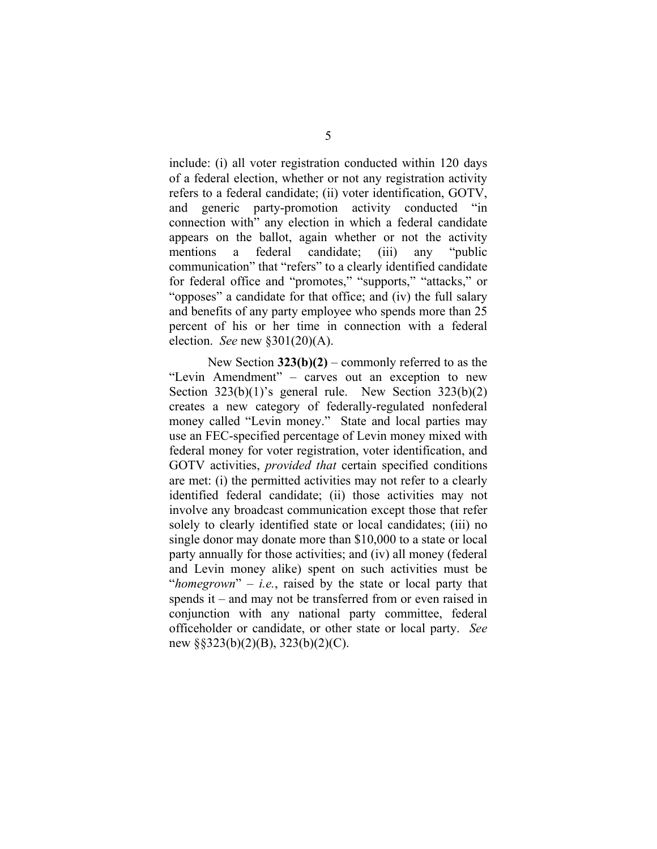include: (i) all voter registration conducted within 120 days of a federal election, whether or not any registration activity refers to a federal candidate; (ii) voter identification, GOTV, and generic party-promotion activity conducted "in connection with" any election in which a federal candidate appears on the ballot, again whether or not the activity mentions a federal candidate; (iii) any "public communication" that "refers" to a clearly identified candidate for federal office and "promotes," "supports," "attacks," or "opposes" a candidate for that office; and (iv) the full salary and benefits of any party employee who spends more than 25 percent of his or her time in connection with a federal election. *See* new §301(20)(A).

New Section **323(b)(2)** – commonly referred to as the "Levin Amendment" – carves out an exception to new Section  $323(b)(1)$ 's general rule. New Section  $323(b)(2)$ creates a new category of federally-regulated nonfederal money called "Levin money." State and local parties may use an FEC-specified percentage of Levin money mixed with federal money for voter registration, voter identification, and GOTV activities, *provided that* certain specified conditions are met: (i) the permitted activities may not refer to a clearly identified federal candidate; (ii) those activities may not involve any broadcast communication except those that refer solely to clearly identified state or local candidates; (iii) no single donor may donate more than \$10,000 to a state or local party annually for those activities; and (iv) all money (federal and Levin money alike) spent on such activities must be "*homegrown*" – *i.e.*, raised by the state or local party that spends it – and may not be transferred from or even raised in conjunction with any national party committee, federal officeholder or candidate, or other state or local party. *See*  new §§323(b)(2)(B), 323(b)(2)(C).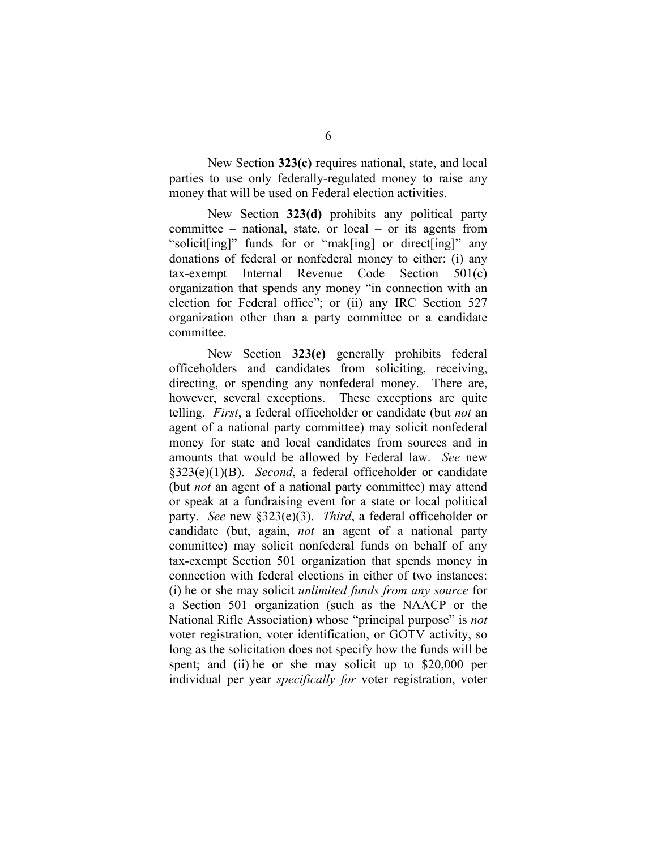New Section **323(c)** requires national, state, and local parties to use only federally-regulated money to raise any money that will be used on Federal election activities.

New Section **323(d)** prohibits any political party committee – national, state, or local – or its agents from "solicit[ing]" funds for or "mak[ing] or direct[ing]" any donations of federal or nonfederal money to either: (i) any tax-exempt Internal Revenue Code Section 501(c) organization that spends any money "in connection with an election for Federal office"; or (ii) any IRC Section 527 organization other than a party committee or a candidate committee.

New Section **323(e)** generally prohibits federal officeholders and candidates from soliciting, receiving, directing, or spending any nonfederal money. There are, however, several exceptions. These exceptions are quite telling. *First*, a federal officeholder or candidate (but *not* an agent of a national party committee) may solicit nonfederal money for state and local candidates from sources and in amounts that would be allowed by Federal law. *See* new §323(e)(1)(B). *Second*, a federal officeholder or candidate (but *not* an agent of a national party committee) may attend or speak at a fundraising event for a state or local political party. *See* new §323(e)(3). *Third*, a federal officeholder or candidate (but, again, *not* an agent of a national party committee) may solicit nonfederal funds on behalf of any tax-exempt Section 501 organization that spends money in connection with federal elections in either of two instances: (i) he or she may solicit *unlimited funds from any source* for a Section 501 organization (such as the NAACP or the National Rifle Association) whose "principal purpose" is *not*  voter registration, voter identification, or GOTV activity, so long as the solicitation does not specify how the funds will be spent; and (ii) he or she may solicit up to \$20,000 per individual per year *specifically for* voter registration, voter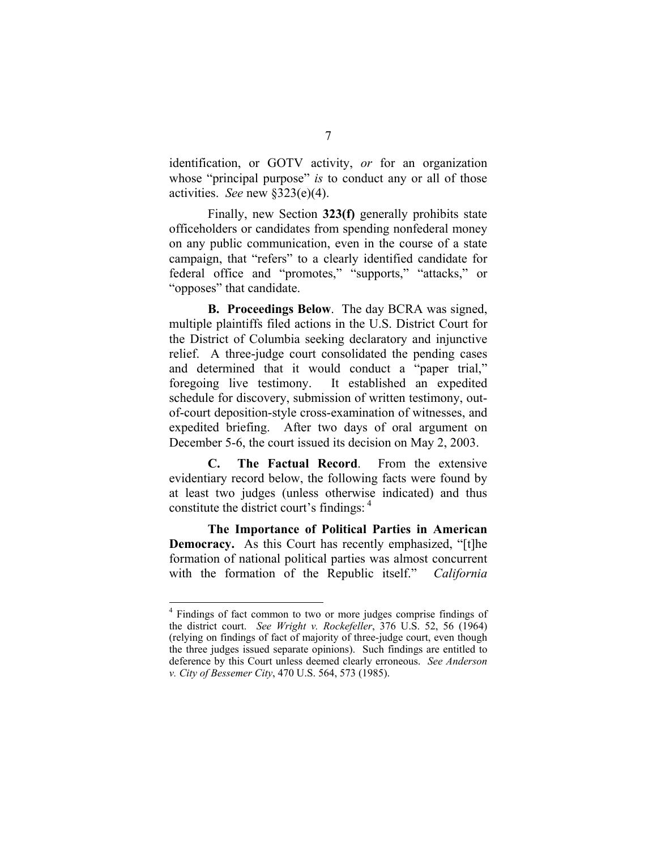identification, or GOTV activity, *or* for an organization whose "principal purpose" *is* to conduct any or all of those activities. *See* new §323(e)(4).

Finally, new Section **323(f)** generally prohibits state officeholders or candidates from spending nonfederal money on any public communication, even in the course of a state campaign, that "refers" to a clearly identified candidate for federal office and "promotes," "supports," "attacks," or "opposes" that candidate.

**B. Proceedings Below**. The day BCRA was signed, multiple plaintiffs filed actions in the U.S. District Court for the District of Columbia seeking declaratory and injunctive relief. A three-judge court consolidated the pending cases and determined that it would conduct a "paper trial," foregoing live testimony. It established an expedited schedule for discovery, submission of written testimony, outof-court deposition-style cross-examination of witnesses, and expedited briefing. After two days of oral argument on December 5-6, the court issued its decision on May 2, 2003.

**C. The Factual Record**. From the extensive evidentiary record below, the following facts were found by at least two judges (unless otherwise indicated) and thus constitute the district court's findings: 4

**The Importance of Political Parties in American Democracy.** As this Court has recently emphasized, "[t]he formation of national political parties was almost concurrent with the formation of the Republic itself." *California* 

<sup>&</sup>lt;sup>4</sup> Findings of fact common to two or more judges comprise findings of the district court. *See Wright v. Rockefeller*, 376 U.S. 52, 56 (1964) (relying on findings of fact of majority of three-judge court, even though the three judges issued separate opinions). Such findings are entitled to deference by this Court unless deemed clearly erroneous. *See Anderson v. City of Bessemer City*, 470 U.S. 564, 573 (1985).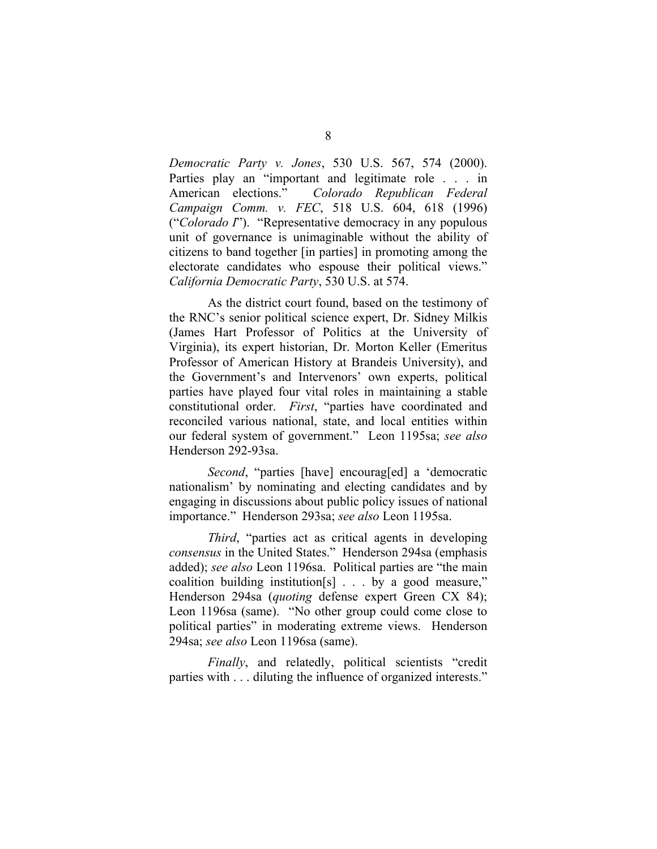*Democratic Party v. Jones*, 530 U.S. 567, 574 (2000). Parties play an "important and legitimate role . . . in American elections." *Colorado Republican Federal Campaign Comm. v. FEC*, 518 U.S. 604, 618 (1996) ("*Colorado I*"). "Representative democracy in any populous unit of governance is unimaginable without the ability of citizens to band together [in parties] in promoting among the electorate candidates who espouse their political views." *California Democratic Party*, 530 U.S. at 574.

As the district court found, based on the testimony of the RNC's senior political science expert, Dr. Sidney Milkis (James Hart Professor of Politics at the University of Virginia), its expert historian, Dr. Morton Keller (Emeritus Professor of American History at Brandeis University), and the Government's and Intervenors' own experts, political parties have played four vital roles in maintaining a stable constitutional order. *First*, "parties have coordinated and reconciled various national, state, and local entities within our federal system of government." Leon 1195sa; *see also*  Henderson 292-93sa.

*Second*, "parties [have] encourag[ed] a 'democratic nationalism' by nominating and electing candidates and by engaging in discussions about public policy issues of national importance." Henderson 293sa; *see also* Leon 1195sa.

*Third*, "parties act as critical agents in developing *consensus* in the United States." Henderson 294sa (emphasis added); *see also* Leon 1196sa. Political parties are "the main coalition building institution[s] . . . by a good measure," Henderson 294sa (*quoting* defense expert Green CX 84); Leon 1196sa (same). "No other group could come close to political parties" in moderating extreme views. Henderson 294sa; *see also* Leon 1196sa (same).

*Finally*, and relatedly, political scientists "credit parties with . . . diluting the influence of organized interests."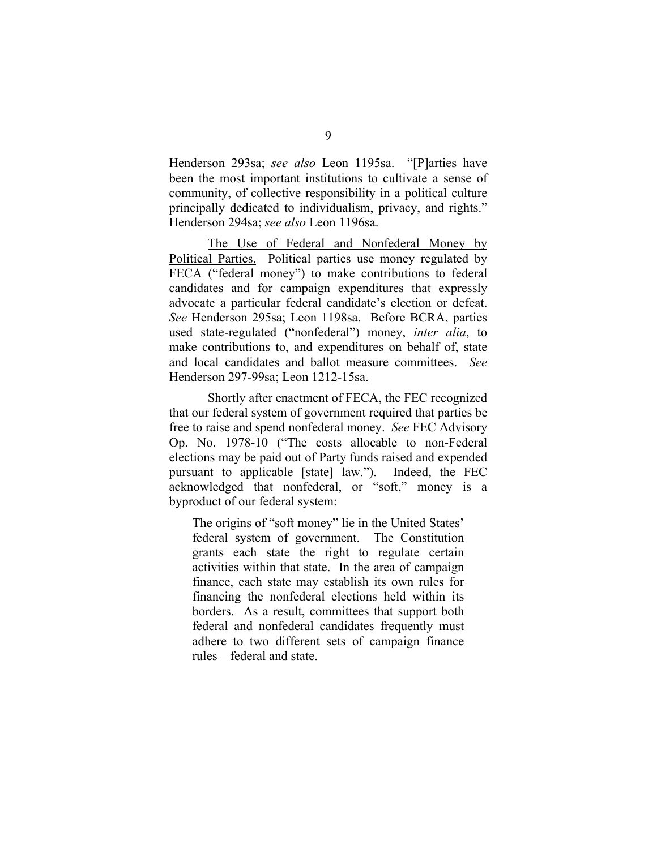Henderson 293sa; *see also* Leon 1195sa. "[P]arties have been the most important institutions to cultivate a sense of community, of collective responsibility in a political culture principally dedicated to individualism, privacy, and rights." Henderson 294sa; *see also* Leon 1196sa.

The Use of Federal and Nonfederal Money by Political Parties. Political parties use money regulated by FECA ("federal money") to make contributions to federal candidates and for campaign expenditures that expressly advocate a particular federal candidate's election or defeat. *See* Henderson 295sa; Leon 1198sa. Before BCRA, parties used state-regulated ("nonfederal") money, *inter alia*, to make contributions to, and expenditures on behalf of, state and local candidates and ballot measure committees. *See*  Henderson 297-99sa; Leon 1212-15sa.

Shortly after enactment of FECA, the FEC recognized that our federal system of government required that parties be free to raise and spend nonfederal money. *See* FEC Advisory Op. No. 1978-10 ("The costs allocable to non-Federal elections may be paid out of Party funds raised and expended pursuant to applicable [state] law."). Indeed, the FEC acknowledged that nonfederal, or "soft," money is a byproduct of our federal system:

The origins of "soft money" lie in the United States' federal system of government. The Constitution grants each state the right to regulate certain activities within that state. In the area of campaign finance, each state may establish its own rules for financing the nonfederal elections held within its borders. As a result, committees that support both federal and nonfederal candidates frequently must adhere to two different sets of campaign finance rules – federal and state.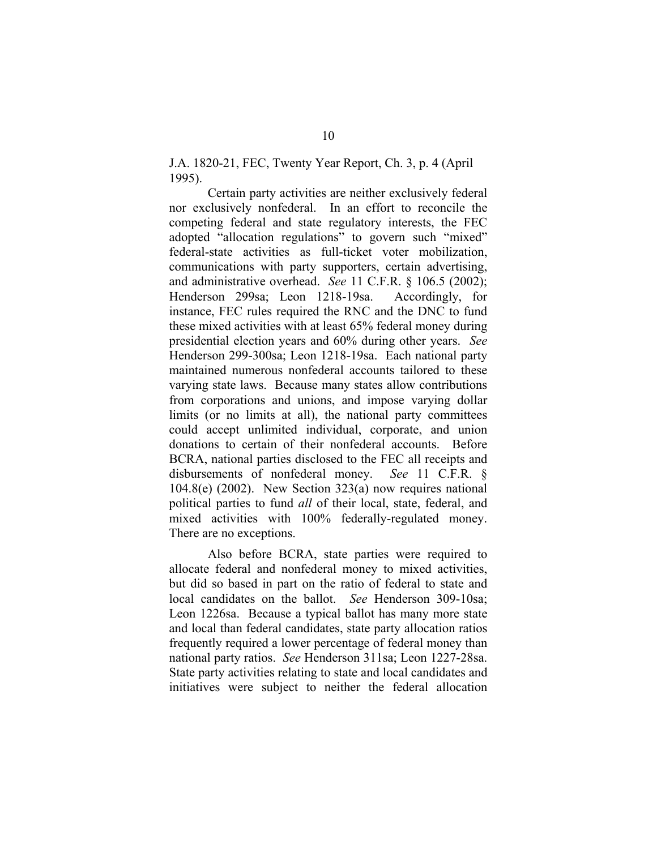J.A. 1820-21, FEC, Twenty Year Report, Ch. 3, p. 4 (April 1995).

Certain party activities are neither exclusively federal nor exclusively nonfederal. In an effort to reconcile the competing federal and state regulatory interests, the FEC adopted "allocation regulations" to govern such "mixed" federal-state activities as full-ticket voter mobilization, communications with party supporters, certain advertising, and administrative overhead. *See* 11 C.F.R. § 106.5 (2002); Henderson 299sa; Leon 1218-19sa. Accordingly, for instance, FEC rules required the RNC and the DNC to fund these mixed activities with at least 65% federal money during presidential election years and 60% during other years. *See*  Henderson 299-300sa; Leon 1218-19sa. Each national party maintained numerous nonfederal accounts tailored to these varying state laws. Because many states allow contributions from corporations and unions, and impose varying dollar limits (or no limits at all), the national party committees could accept unlimited individual, corporate, and union donations to certain of their nonfederal accounts. Before BCRA, national parties disclosed to the FEC all receipts and disbursements of nonfederal money. *See* 11 C.F.R. § 104.8(e) (2002). New Section 323(a) now requires national political parties to fund *all* of their local, state, federal, and mixed activities with 100% federally-regulated money. There are no exceptions.

Also before BCRA, state parties were required to allocate federal and nonfederal money to mixed activities, but did so based in part on the ratio of federal to state and local candidates on the ballot. *See* Henderson 309-10sa; Leon 1226sa. Because a typical ballot has many more state and local than federal candidates, state party allocation ratios frequently required a lower percentage of federal money than national party ratios. *See* Henderson 311sa; Leon 1227-28sa. State party activities relating to state and local candidates and initiatives were subject to neither the federal allocation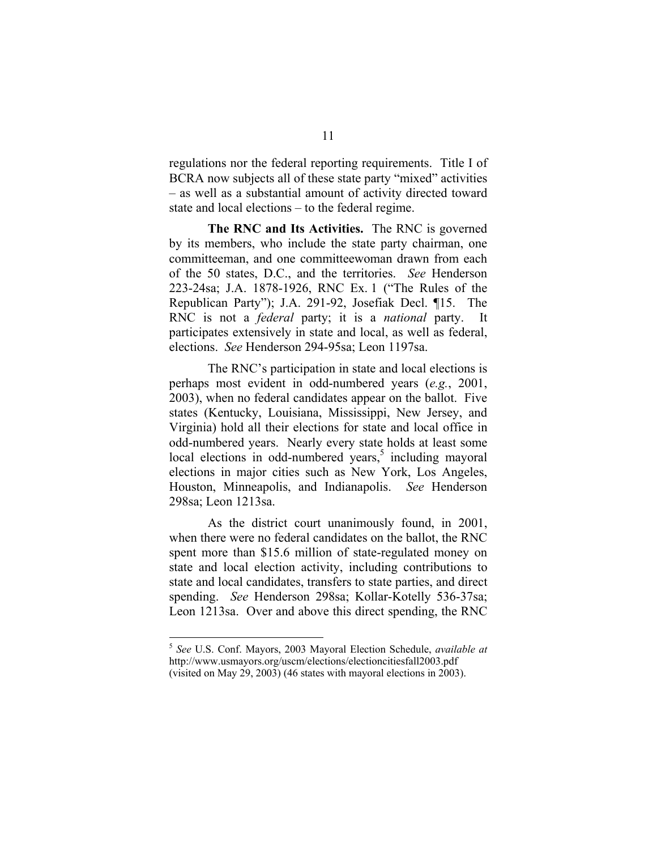regulations nor the federal reporting requirements. Title I of BCRA now subjects all of these state party "mixed" activities – as well as a substantial amount of activity directed toward state and local elections – to the federal regime.

**The RNC and Its Activities.** The RNC is governed by its members, who include the state party chairman, one committeeman, and one committeewoman drawn from each of the 50 states, D.C., and the territories. *See* Henderson 223-24sa; J.A. 1878-1926, RNC Ex. 1 ("The Rules of the Republican Party"); J.A. 291-92, Josefiak Decl. ¶15. The RNC is not a *federal* party; it is a *national* party. It participates extensively in state and local, as well as federal, elections. *See* Henderson 294-95sa; Leon 1197sa.

The RNC's participation in state and local elections is perhaps most evident in odd-numbered years (*e.g.*, 2001, 2003), when no federal candidates appear on the ballot. Five states (Kentucky, Louisiana, Mississippi, New Jersey, and Virginia) hold all their elections for state and local office in odd-numbered years. Nearly every state holds at least some local elections in odd-numbered years,<sup>5</sup> including mayoral elections in major cities such as New York, Los Angeles, Houston, Minneapolis, and Indianapolis. *See* Henderson 298sa; Leon 1213sa.

As the district court unanimously found, in 2001, when there were no federal candidates on the ballot, the RNC spent more than \$15.6 million of state-regulated money on state and local election activity, including contributions to state and local candidates, transfers to state parties, and direct spending. *See* Henderson 298sa; Kollar-Kotelly 536-37sa; Leon 1213sa. Over and above this direct spending, the RNC

<sup>5</sup>*See* U.S. Conf. Mayors, 2003 Mayoral Election Schedule, *available at*  http://www.usmayors.org/uscm/elections/electioncitiesfall2003.pdf (visited on May 29, 2003) (46 states with mayoral elections in 2003).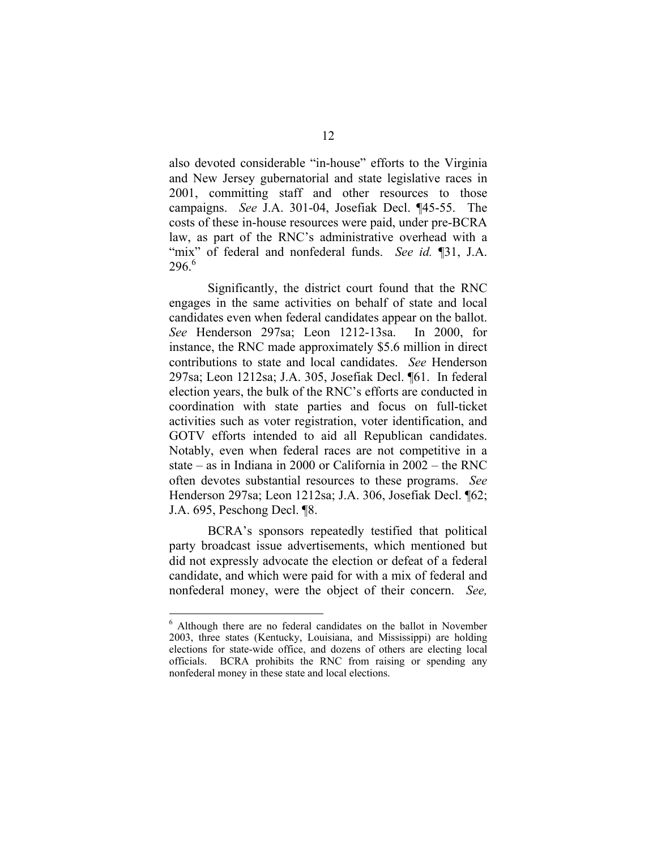also devoted considerable "in-house" efforts to the Virginia and New Jersey gubernatorial and state legislative races in 2001, committing staff and other resources to those campaigns. *See* J.A. 301-04, Josefiak Decl. ¶45-55. The costs of these in-house resources were paid, under pre-BCRA law, as part of the RNC's administrative overhead with a "mix" of federal and nonfederal funds. *See id.* [31, J.A.  $296<sup>6</sup>$ 

Significantly, the district court found that the RNC engages in the same activities on behalf of state and local candidates even when federal candidates appear on the ballot. *See* Henderson 297sa; Leon 1212-13sa. In 2000, for instance, the RNC made approximately \$5.6 million in direct contributions to state and local candidates. *See* Henderson 297sa; Leon 1212sa; J.A. 305, Josefiak Decl. ¶61. In federal election years, the bulk of the RNC's efforts are conducted in coordination with state parties and focus on full-ticket activities such as voter registration, voter identification, and GOTV efforts intended to aid all Republican candidates. Notably, even when federal races are not competitive in a state – as in Indiana in 2000 or California in 2002 – the RNC often devotes substantial resources to these programs. *See*  Henderson 297sa; Leon 1212sa; J.A. 306, Josefiak Decl. ¶62; J.A. 695, Peschong Decl. ¶8.

BCRA's sponsors repeatedly testified that political party broadcast issue advertisements, which mentioned but did not expressly advocate the election or defeat of a federal candidate, and which were paid for with a mix of federal and nonfederal money, were the object of their concern. *See,* 

<sup>6</sup> Although there are no federal candidates on the ballot in November 2003, three states (Kentucky, Louisiana, and Mississippi) are holding elections for state-wide office, and dozens of others are electing local officials. BCRA prohibits the RNC from raising or spending any nonfederal money in these state and local elections.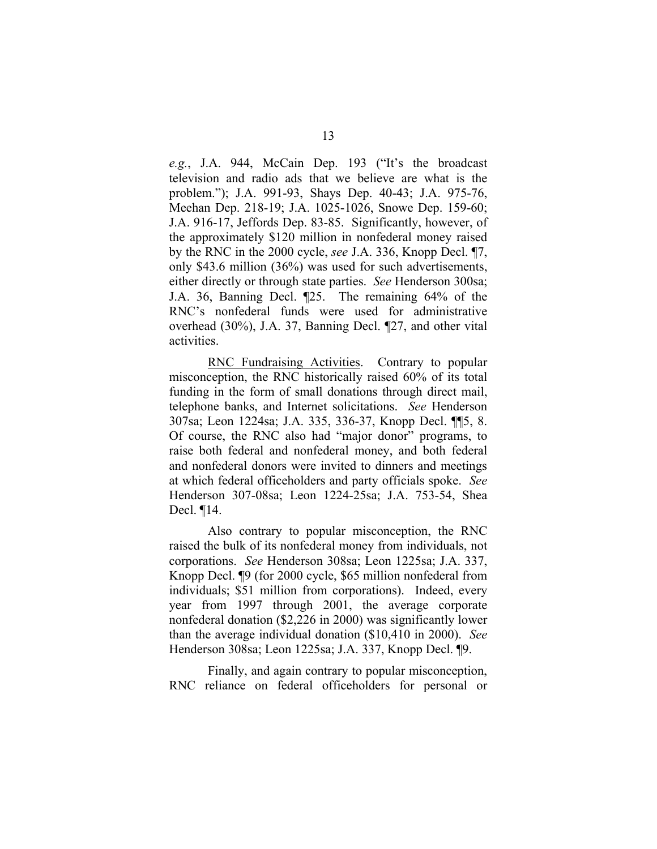*e.g.*, J.A. 944, McCain Dep. 193 ("It's the broadcast television and radio ads that we believe are what is the problem."); J.A. 991-93, Shays Dep. 40-43; J.A. 975-76, Meehan Dep. 218-19; J.A. 1025-1026, Snowe Dep. 159-60; J.A. 916-17, Jeffords Dep. 83-85. Significantly, however, of the approximately \$120 million in nonfederal money raised by the RNC in the 2000 cycle, *see* J.A. 336, Knopp Decl. ¶7, only \$43.6 million (36%) was used for such advertisements, either directly or through state parties. *See* Henderson 300sa; J.A. 36, Banning Decl. ¶25. The remaining 64% of the RNC's nonfederal funds were used for administrative overhead (30%), J.A. 37, Banning Decl. ¶27, and other vital activities.

RNC Fundraising Activities. Contrary to popular misconception, the RNC historically raised 60% of its total funding in the form of small donations through direct mail, telephone banks, and Internet solicitations. *See* Henderson 307sa; Leon 1224sa; J.A. 335, 336-37, Knopp Decl. ¶¶5, 8. Of course, the RNC also had "major donor" programs, to raise both federal and nonfederal money, and both federal and nonfederal donors were invited to dinners and meetings at which federal officeholders and party officials spoke. *See*  Henderson 307-08sa; Leon 1224-25sa; J.A. 753-54, Shea Decl. ¶14.

Also contrary to popular misconception, the RNC raised the bulk of its nonfederal money from individuals, not corporations. *See* Henderson 308sa; Leon 1225sa; J.A. 337, Knopp Decl. ¶9 (for 2000 cycle, \$65 million nonfederal from individuals; \$51 million from corporations). Indeed, every year from 1997 through 2001, the average corporate nonfederal donation (\$2,226 in 2000) was significantly lower than the average individual donation (\$10,410 in 2000). *See*  Henderson 308sa; Leon 1225sa; J.A. 337, Knopp Decl. ¶9.

Finally, and again contrary to popular misconception, RNC reliance on federal officeholders for personal or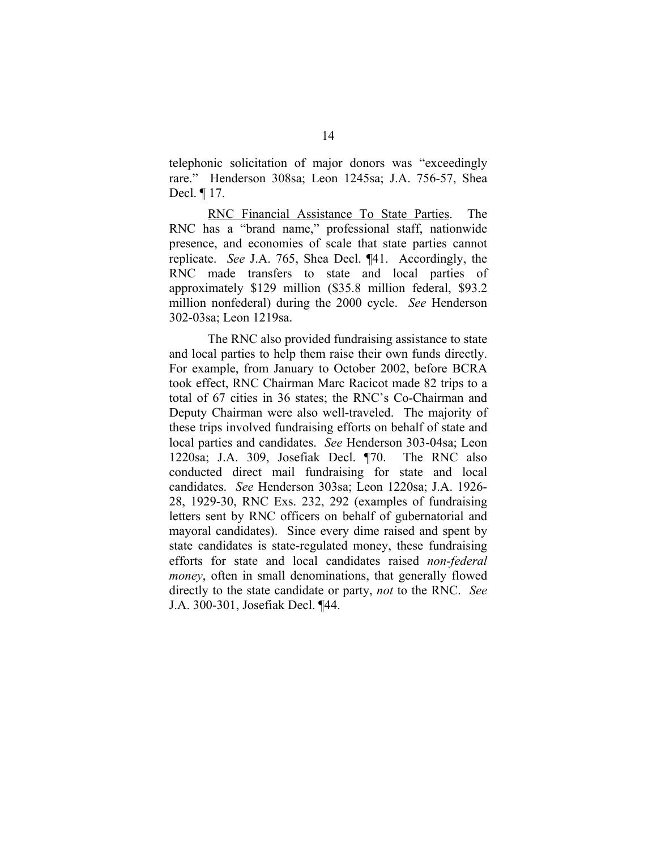telephonic solicitation of major donors was "exceedingly rare." Henderson 308sa; Leon 1245sa; J.A. 756-57, Shea Decl. ¶ 17.

RNC Financial Assistance To State Parties. The RNC has a "brand name," professional staff, nationwide presence, and economies of scale that state parties cannot replicate. *See* J.A. 765, Shea Decl. ¶41. Accordingly, the RNC made transfers to state and local parties of approximately \$129 million (\$35.8 million federal, \$93.2 million nonfederal) during the 2000 cycle. *See* Henderson 302-03sa; Leon 1219sa.

The RNC also provided fundraising assistance to state and local parties to help them raise their own funds directly. For example, from January to October 2002, before BCRA took effect, RNC Chairman Marc Racicot made 82 trips to a total of 67 cities in 36 states; the RNC's Co-Chairman and Deputy Chairman were also well-traveled. The majority of these trips involved fundraising efforts on behalf of state and local parties and candidates. *See* Henderson 303-04sa; Leon 1220sa; J.A. 309, Josefiak Decl. ¶70. The RNC also conducted direct mail fundraising for state and local candidates. *See* Henderson 303sa; Leon 1220sa; J.A. 1926- 28, 1929-30, RNC Exs. 232, 292 (examples of fundraising letters sent by RNC officers on behalf of gubernatorial and mayoral candidates). Since every dime raised and spent by state candidates is state-regulated money, these fundraising efforts for state and local candidates raised *non-federal money*, often in small denominations, that generally flowed directly to the state candidate or party, *not* to the RNC. *See*  J.A. 300-301, Josefiak Decl. ¶44.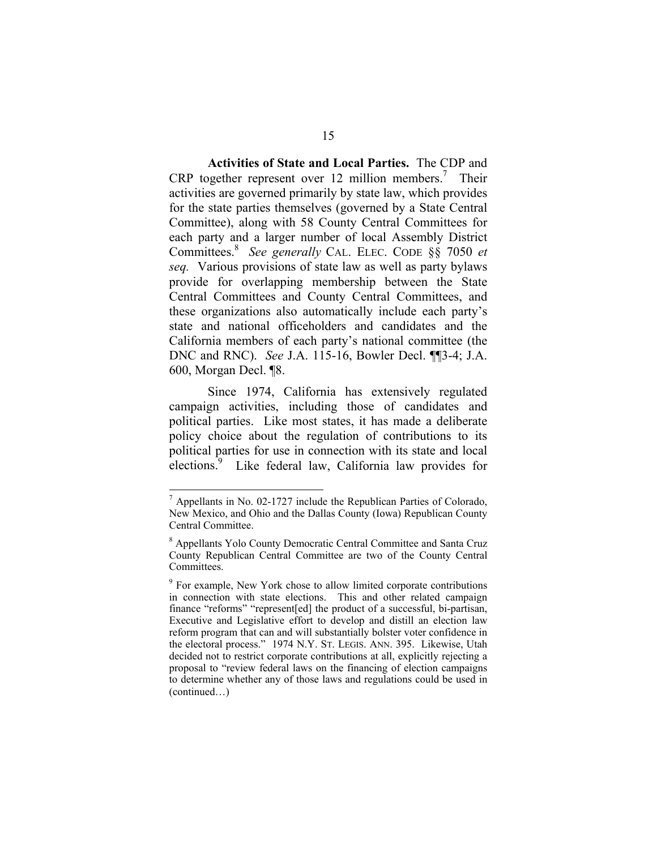**Activities of State and Local Parties.** The CDP and CRP together represent over 12 million members.<sup>7</sup> Their activities are governed primarily by state law, which provides for the state parties themselves (governed by a State Central Committee), along with 58 County Central Committees for each party and a larger number of local Assembly District Committees.<sup>8</sup>*See generally* CAL. ELEC. CODE §§ 7050 *et seq.* Various provisions of state law as well as party bylaws provide for overlapping membership between the State Central Committees and County Central Committees, and these organizations also automatically include each party's state and national officeholders and candidates and the California members of each party's national committee (the DNC and RNC). *See* J.A. 115-16, Bowler Decl. ¶¶3-4; J.A. 600, Morgan Decl. ¶8.

Since 1974, California has extensively regulated campaign activities, including those of candidates and political parties. Like most states, it has made a deliberate policy choice about the regulation of contributions to its political parties for use in connection with its state and local elections.9 Like federal law, California law provides for

 $^7$  Appellants in No. 02-1727 include the Republican Parties of Colorado, New Mexico, and Ohio and the Dallas County (Iowa) Republican County Central Committee.

<sup>&</sup>lt;sup>8</sup> Appellants Yolo County Democratic Central Committee and Santa Cruz County Republican Central Committee are two of the County Central Committees.

<sup>&</sup>lt;sup>9</sup> For example, New York chose to allow limited corporate contributions in connection with state elections. This and other related campaign finance "reforms" "represent[ed] the product of a successful, bi-partisan, Executive and Legislative effort to develop and distill an election law reform program that can and will substantially bolster voter confidence in the electoral process." 1974 N.Y. ST. LEGIS. ANN. 395. Likewise, Utah decided not to restrict corporate contributions at all, explicitly rejecting a proposal to "review federal laws on the financing of election campaigns to determine whether any of those laws and regulations could be used in (continued…)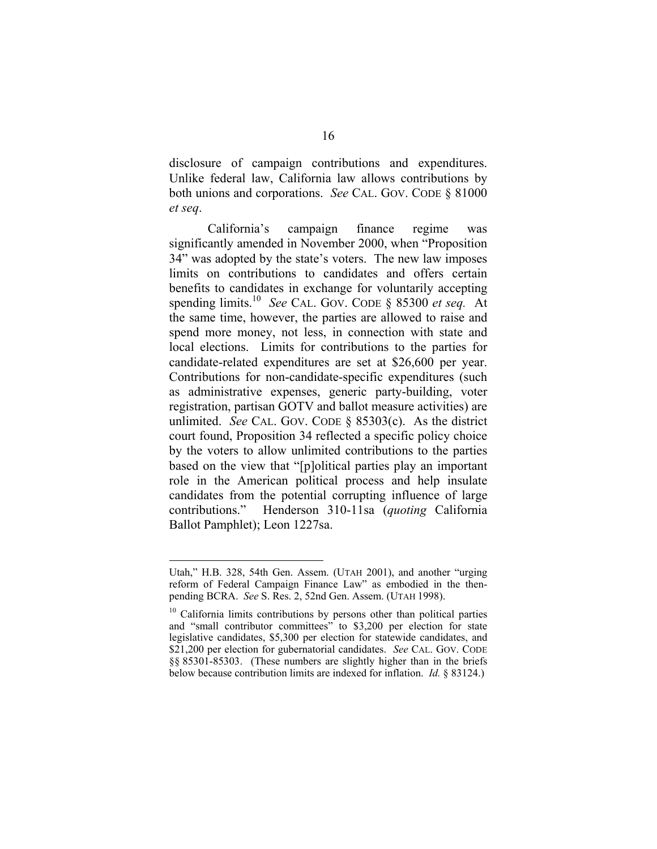disclosure of campaign contributions and expenditures. Unlike federal law, California law allows contributions by both unions and corporations. *See* CAL. GOV. CODE § 81000 *et seq*.

California's campaign finance regime was significantly amended in November 2000, when "Proposition 34" was adopted by the state's voters. The new law imposes limits on contributions to candidates and offers certain benefits to candidates in exchange for voluntarily accepting spending limits.<sup>10</sup> See CAL. GOV. CODE § 85300 *et seq.* At the same time, however, the parties are allowed to raise and spend more money, not less, in connection with state and local elections. Limits for contributions to the parties for candidate-related expenditures are set at \$26,600 per year. Contributions for non-candidate-specific expenditures (such as administrative expenses, generic party-building, voter registration, partisan GOTV and ballot measure activities) are unlimited. *See* CAL. GOV. CODE § 85303(c). As the district court found, Proposition 34 reflected a specific policy choice by the voters to allow unlimited contributions to the parties based on the view that "[p]olitical parties play an important role in the American political process and help insulate candidates from the potential corrupting influence of large contributions." Henderson 310-11sa (*quoting* California Ballot Pamphlet); Leon 1227sa.

Utah," H.B. 328, 54th Gen. Assem. (UTAH 2001), and another "urging reform of Federal Campaign Finance Law" as embodied in the thenpending BCRA. *See* S. Res. 2, 52nd Gen. Assem. (UTAH 1998).

<sup>&</sup>lt;sup>10</sup> California limits contributions by persons other than political parties and "small contributor committees" to \$3,200 per election for state legislative candidates, \$5,300 per election for statewide candidates, and \$21,200 per election for gubernatorial candidates. *See* CAL. GOV. CODE §§ 85301-85303. (These numbers are slightly higher than in the briefs below because contribution limits are indexed for inflation. *Id.* § 83124.)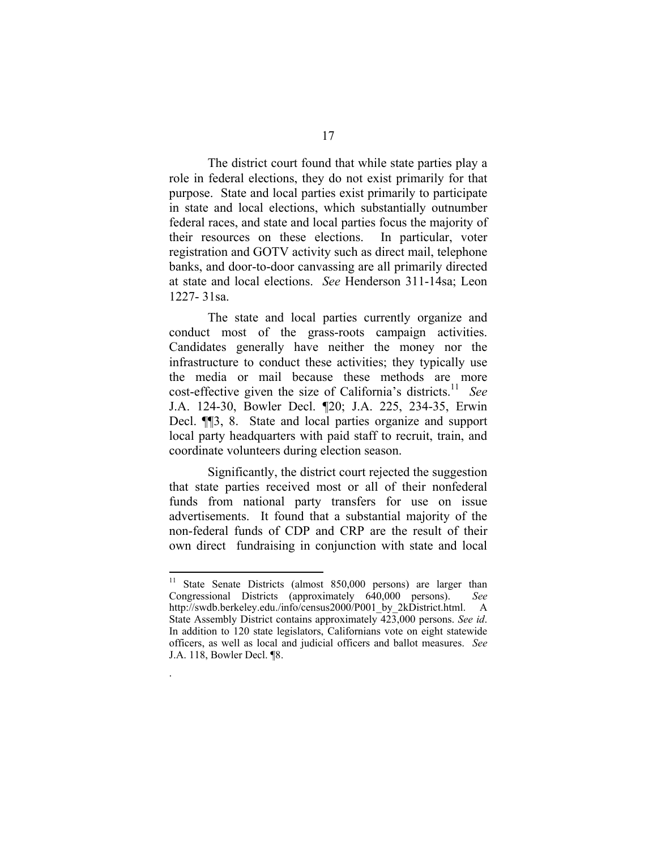The district court found that while state parties play a role in federal elections, they do not exist primarily for that purpose. State and local parties exist primarily to participate in state and local elections, which substantially outnumber federal races, and state and local parties focus the majority of their resources on these elections. In particular, voter registration and GOTV activity such as direct mail, telephone banks, and door-to-door canvassing are all primarily directed at state and local elections. *See* Henderson 311-14sa; Leon 1227- 31sa.

The state and local parties currently organize and conduct most of the grass-roots campaign activities. Candidates generally have neither the money nor the infrastructure to conduct these activities; they typically use the media or mail because these methods are more cost-effective given the size of California's districts.11 *See*  J.A. 124-30, Bowler Decl. ¶20; J.A. 225, 234-35, Erwin Decl. ¶¶3, 8. State and local parties organize and support local party headquarters with paid staff to recruit, train, and coordinate volunteers during election season.

Significantly, the district court rejected the suggestion that state parties received most or all of their nonfederal funds from national party transfers for use on issue advertisements. It found that a substantial majority of the non-federal funds of CDP and CRP are the result of their own direct fundraising in conjunction with state and local

.

<sup>&</sup>lt;sup>11</sup> State Senate Districts (almost 850,000 persons) are larger than Congressional Districts (approximately 640,000 persons). *See*  http://swdb.berkeley.edu./info/census2000/P001\_by\_2kDistrict.html. A State Assembly District contains approximately 423,000 persons. *See id*. In addition to 120 state legislators, Californians vote on eight statewide officers, as well as local and judicial officers and ballot measures. *See*  J.A. 118, Bowler Decl. ¶8.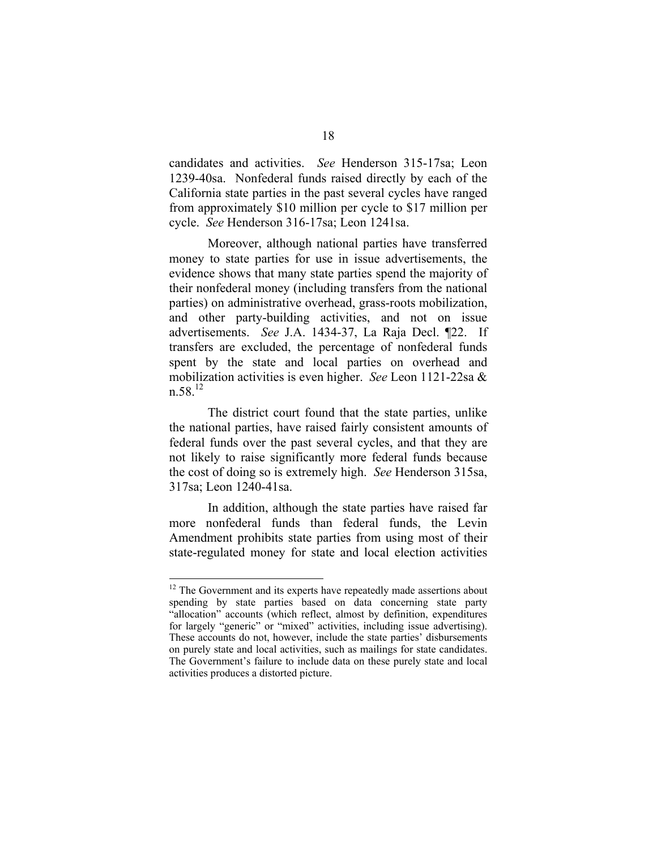candidates and activities. *See* Henderson 315-17sa; Leon 1239-40sa. Nonfederal funds raised directly by each of the California state parties in the past several cycles have ranged from approximately \$10 million per cycle to \$17 million per cycle. *See* Henderson 316-17sa; Leon 1241sa.

Moreover, although national parties have transferred money to state parties for use in issue advertisements, the evidence shows that many state parties spend the majority of their nonfederal money (including transfers from the national parties) on administrative overhead, grass-roots mobilization, and other party-building activities, and not on issue advertisements. *See* J.A. 1434-37, La Raja Decl. ¶22. If transfers are excluded, the percentage of nonfederal funds spent by the state and local parties on overhead and mobilization activities is even higher. *See* Leon 1121-22sa &  $n.58<sup>12</sup>$ 

The district court found that the state parties, unlike the national parties, have raised fairly consistent amounts of federal funds over the past several cycles, and that they are not likely to raise significantly more federal funds because the cost of doing so is extremely high. *See* Henderson 315sa, 317sa; Leon 1240-41sa.

In addition, although the state parties have raised far more nonfederal funds than federal funds, the Levin Amendment prohibits state parties from using most of their state-regulated money for state and local election activities

 $12$  The Government and its experts have repeatedly made assertions about spending by state parties based on data concerning state party "allocation" accounts (which reflect, almost by definition, expenditures for largely "generic" or "mixed" activities, including issue advertising). These accounts do not, however, include the state parties' disbursements on purely state and local activities, such as mailings for state candidates. The Government's failure to include data on these purely state and local activities produces a distorted picture.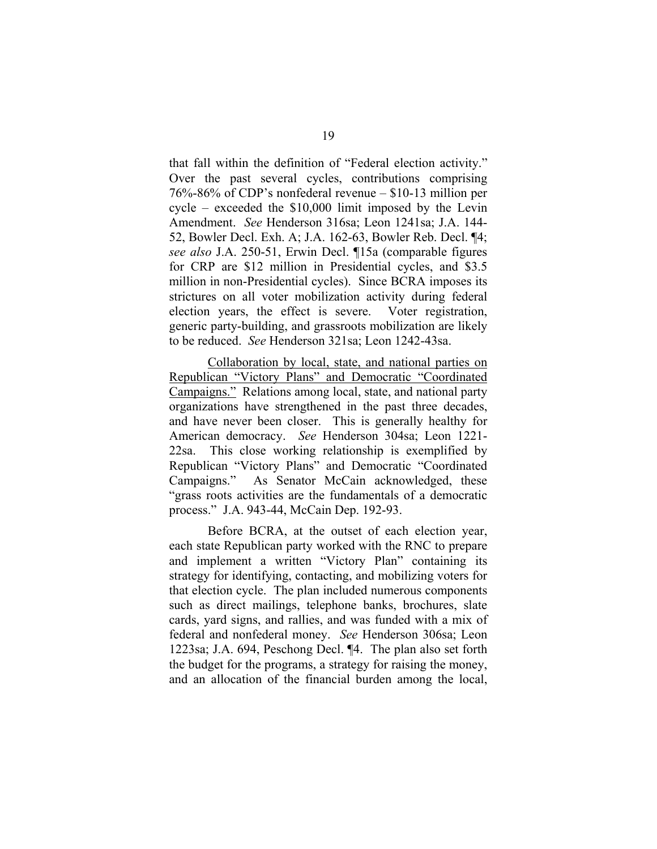that fall within the definition of "Federal election activity." Over the past several cycles, contributions comprising 76%-86% of CDP's nonfederal revenue – \$10-13 million per cycle – exceeded the \$10,000 limit imposed by the Levin Amendment. *See* Henderson 316sa; Leon 1241sa; J.A. 144- 52, Bowler Decl. Exh. A; J.A. 162-63, Bowler Reb. Decl. ¶4; *see also* J.A. 250-51, Erwin Decl. ¶15a (comparable figures for CRP are \$12 million in Presidential cycles, and \$3.5 million in non-Presidential cycles). Since BCRA imposes its strictures on all voter mobilization activity during federal election years, the effect is severe. Voter registration, generic party-building, and grassroots mobilization are likely to be reduced. *See* Henderson 321sa; Leon 1242-43sa.

Collaboration by local, state, and national parties on Republican "Victory Plans" and Democratic "Coordinated Campaigns." Relations among local, state, and national party organizations have strengthened in the past three decades, and have never been closer. This is generally healthy for American democracy. *See* Henderson 304sa; Leon 1221- 22sa. This close working relationship is exemplified by Republican "Victory Plans" and Democratic "Coordinated Campaigns." As Senator McCain acknowledged, these "grass roots activities are the fundamentals of a democratic process." J.A. 943-44, McCain Dep. 192-93.

Before BCRA, at the outset of each election year, each state Republican party worked with the RNC to prepare and implement a written "Victory Plan" containing its strategy for identifying, contacting, and mobilizing voters for that election cycle. The plan included numerous components such as direct mailings, telephone banks, brochures, slate cards, yard signs, and rallies, and was funded with a mix of federal and nonfederal money. *See* Henderson 306sa; Leon 1223sa; J.A. 694, Peschong Decl. ¶4. The plan also set forth the budget for the programs, a strategy for raising the money, and an allocation of the financial burden among the local,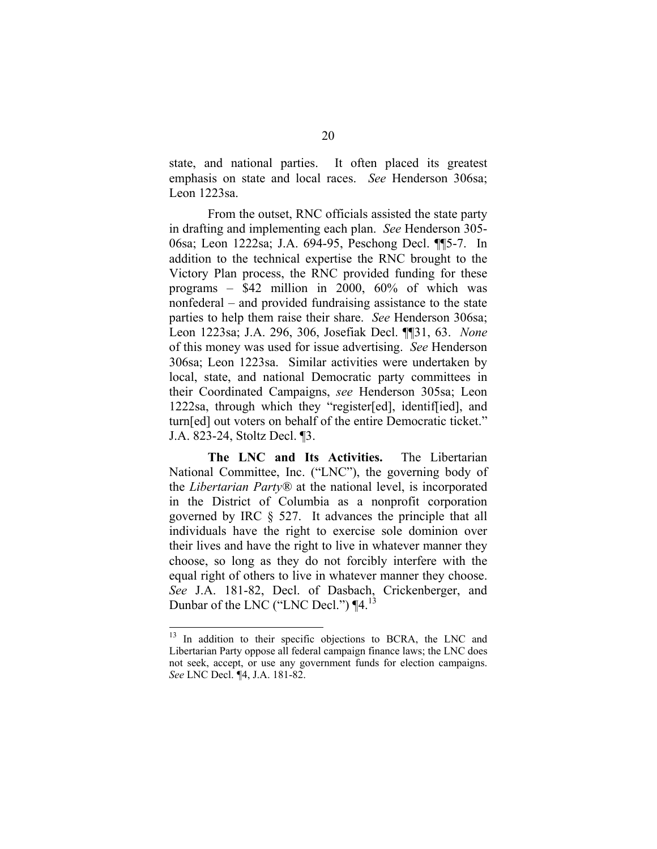state, and national parties. It often placed its greatest emphasis on state and local races. *See* Henderson 306sa; Leon 1223sa.

From the outset, RNC officials assisted the state party in drafting and implementing each plan. *See* Henderson 305- 06sa; Leon 1222sa; J.A. 694-95, Peschong Decl. ¶¶5-7. In addition to the technical expertise the RNC brought to the Victory Plan process, the RNC provided funding for these programs – \$42 million in 2000, 60% of which was nonfederal – and provided fundraising assistance to the state parties to help them raise their share. *See* Henderson 306sa; Leon 1223sa; J.A. 296, 306, Josefiak Decl. ¶¶31, 63. *None*  of this money was used for issue advertising. *See* Henderson 306sa; Leon 1223sa. Similar activities were undertaken by local, state, and national Democratic party committees in their Coordinated Campaigns, *see* Henderson 305sa; Leon 1222sa, through which they "register[ed], identif[ied], and turn[ed] out voters on behalf of the entire Democratic ticket." J.A. 823-24, Stoltz Decl. ¶3.

**The LNC and Its Activities.** The Libertarian National Committee, Inc. ("LNC"), the governing body of the *Libertarian Party®* at the national level, is incorporated in the District of Columbia as a nonprofit corporation governed by IRC § 527. It advances the principle that all individuals have the right to exercise sole dominion over their lives and have the right to live in whatever manner they choose, so long as they do not forcibly interfere with the equal right of others to live in whatever manner they choose. *See* J.A. 181-82, Decl. of Dasbach, Crickenberger, and Dunbar of the LNC ("LNC Decl.") [4.<sup>13</sup>

<sup>&</sup>lt;sup>13</sup> In addition to their specific objections to BCRA, the LNC and Libertarian Party oppose all federal campaign finance laws; the LNC does not seek, accept, or use any government funds for election campaigns. *See* LNC Decl. *¶*4, J.A. 181-82.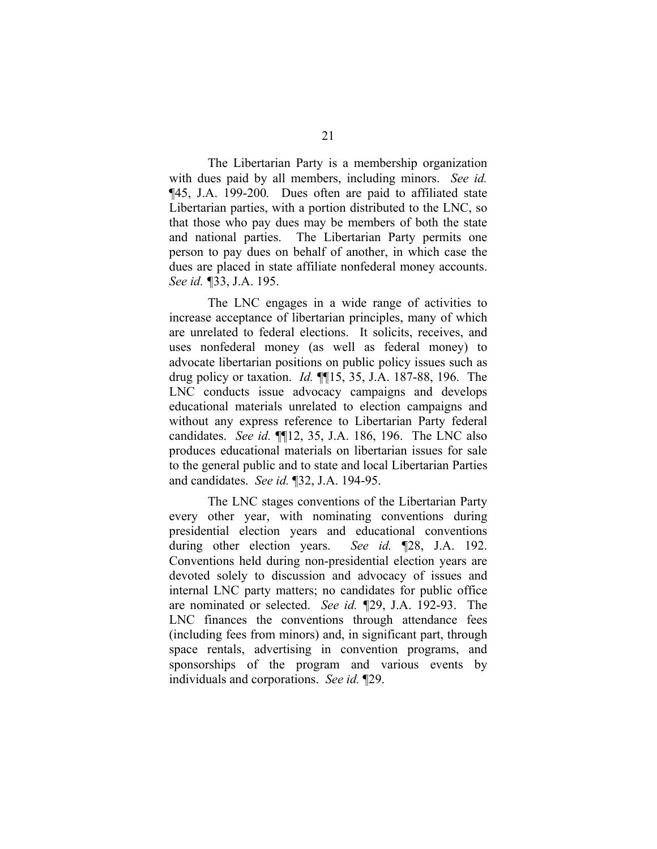The Libertarian Party is a membership organization with dues paid by all members, including minors. *See id.*  ¶45, J.A. 199-200*.* Dues often are paid to affiliated state Libertarian parties, with a portion distributed to the LNC, so that those who pay dues may be members of both the state and national parties. The Libertarian Party permits one person to pay dues on behalf of another, in which case the dues are placed in state affiliate nonfederal money accounts. *See id. ¶*33, J.A. 195.

The LNC engages in a wide range of activities to increase acceptance of libertarian principles, many of which are unrelated to federal elections. It solicits, receives, and uses nonfederal money (as well as federal money) to advocate libertarian positions on public policy issues such as drug policy or taxation. *Id.* ¶¶15, 35, J.A. 187-88, 196. The LNC conducts issue advocacy campaigns and develops educational materials unrelated to election campaigns and without any express reference to Libertarian Party federal candidates. *See id.* ¶¶12, 35, J.A. 186, 196. The LNC also produces educational materials on libertarian issues for sale to the general public and to state and local Libertarian Parties and candidates. *See id.* ¶32, J.A. 194-95.

The LNC stages conventions of the Libertarian Party every other year, with nominating conventions during presidential election years and educational conventions during other election years. *See id.* ¶28, J.A. 192. Conventions held during non-presidential election years are devoted solely to discussion and advocacy of issues and internal LNC party matters; no candidates for public office are nominated or selected. *See id. ¶*29, J.A. 192-93. The LNC finances the conventions through attendance fees (including fees from minors) and, in significant part, through space rentals, advertising in convention programs, and sponsorships of the program and various events by individuals and corporations. *See id.* ¶29.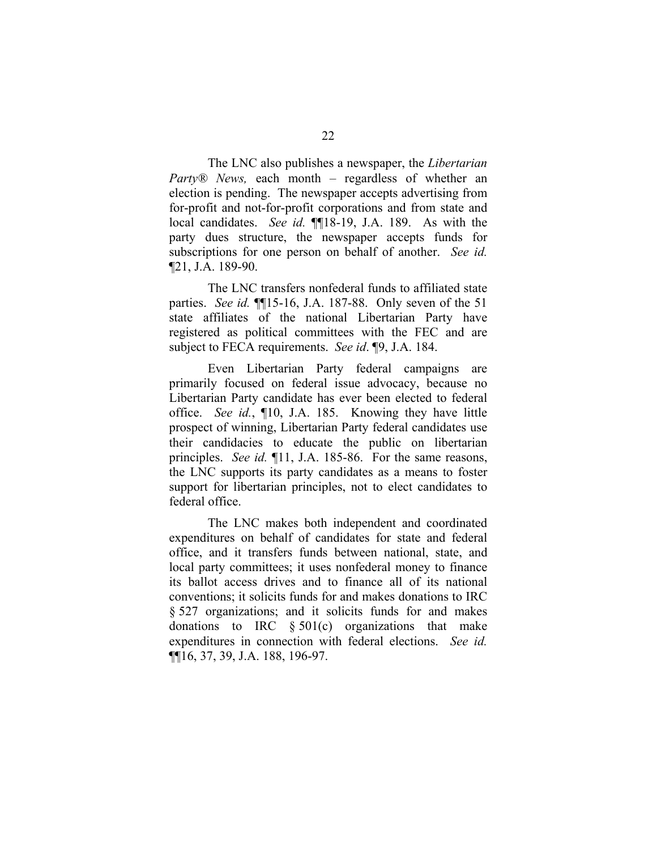The LNC also publishes a newspaper, the *Libertarian Party® News,* each month – regardless of whether an election is pending. The newspaper accepts advertising from for-profit and not-for-profit corporations and from state and local candidates. *See id.* **[18-19, J.A. 189.** As with the party dues structure, the newspaper accepts funds for subscriptions for one person on behalf of another. *See id.*  ¶21, J.A. 189-90.

The LNC transfers nonfederal funds to affiliated state parties. *See id.* ¶¶15-16, J.A. 187-88. Only seven of the 51 state affiliates of the national Libertarian Party have registered as political committees with the FEC and are subject to FECA requirements. *See id*. ¶9, J.A. 184.

Even Libertarian Party federal campaigns are primarily focused on federal issue advocacy, because no Libertarian Party candidate has ever been elected to federal office. *See id.*, ¶10, J.A. 185. Knowing they have little prospect of winning, Libertarian Party federal candidates use their candidacies to educate the public on libertarian principles. *See id.* ¶11, J.A. 185-86. For the same reasons, the LNC supports its party candidates as a means to foster support for libertarian principles, not to elect candidates to federal office.

The LNC makes both independent and coordinated expenditures on behalf of candidates for state and federal office, and it transfers funds between national, state, and local party committees; it uses nonfederal money to finance its ballot access drives and to finance all of its national conventions; it solicits funds for and makes donations to IRC § 527 organizations; and it solicits funds for and makes donations to IRC  $§ 501(c)$  organizations that make expenditures in connection with federal elections. *See id.*  ¶¶16, 37, 39, J.A. 188, 196-97.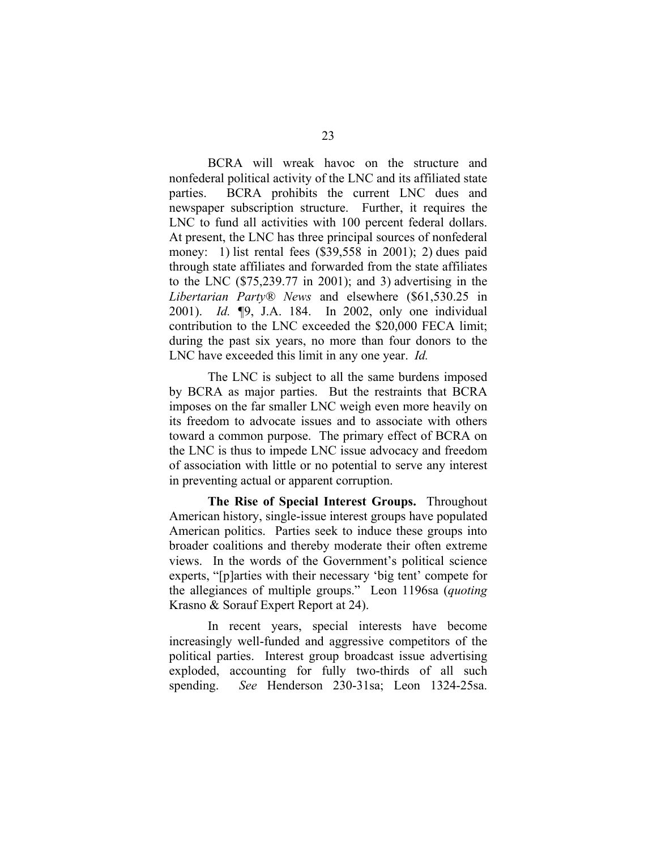BCRA will wreak havoc on the structure and nonfederal political activity of the LNC and its affiliated state parties. BCRA prohibits the current LNC dues and newspaper subscription structure. Further, it requires the LNC to fund all activities with 100 percent federal dollars. At present, the LNC has three principal sources of nonfederal money: 1) list rental fees (\$39,558 in 2001); 2) dues paid through state affiliates and forwarded from the state affiliates to the LNC (\$75,239.77 in 2001); and 3) advertising in the *Libertarian Party® News* and elsewhere (\$61,530.25 in 2001). *Id. ¶*9, J.A. 184. In 2002, only one individual contribution to the LNC exceeded the \$20,000 FECA limit; during the past six years, no more than four donors to the LNC have exceeded this limit in any one year. *Id.* 

The LNC is subject to all the same burdens imposed by BCRA as major parties. But the restraints that BCRA imposes on the far smaller LNC weigh even more heavily on its freedom to advocate issues and to associate with others toward a common purpose. The primary effect of BCRA on the LNC is thus to impede LNC issue advocacy and freedom of association with little or no potential to serve any interest in preventing actual or apparent corruption.

**The Rise of Special Interest Groups.** Throughout American history, single-issue interest groups have populated American politics. Parties seek to induce these groups into broader coalitions and thereby moderate their often extreme views. In the words of the Government's political science experts, "[p]arties with their necessary 'big tent' compete for the allegiances of multiple groups." Leon 1196sa (*quoting*  Krasno & Sorauf Expert Report at 24).

In recent years, special interests have become increasingly well-funded and aggressive competitors of the political parties. Interest group broadcast issue advertising exploded, accounting for fully two-thirds of all such spending. *See* Henderson 230-31sa; Leon 1324-25sa.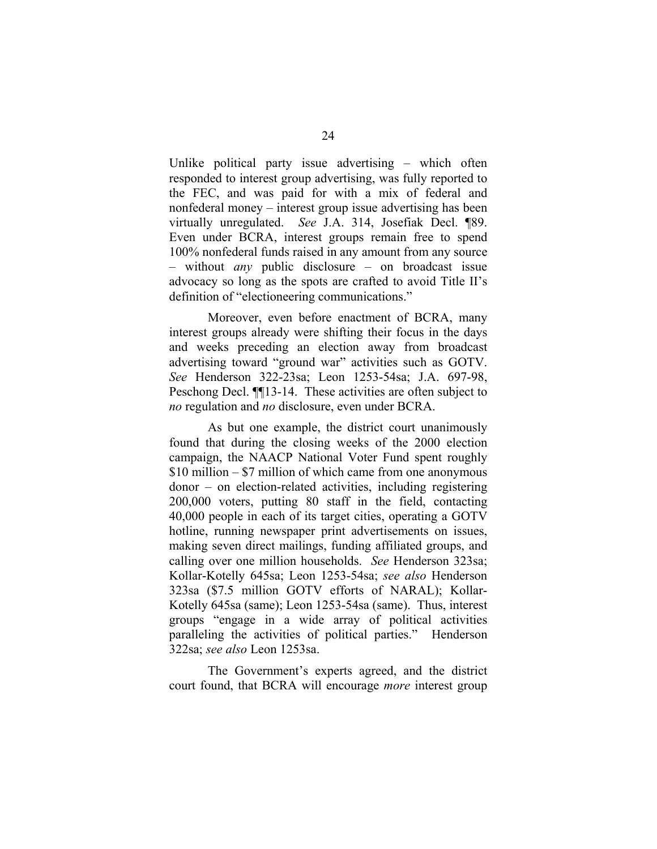Unlike political party issue advertising – which often responded to interest group advertising, was fully reported to the FEC, and was paid for with a mix of federal and nonfederal money – interest group issue advertising has been virtually unregulated. *See* J.A. 314, Josefiak Decl. ¶89. Even under BCRA, interest groups remain free to spend 100% nonfederal funds raised in any amount from any source – without *any* public disclosure – on broadcast issue advocacy so long as the spots are crafted to avoid Title II's definition of "electioneering communications."

Moreover, even before enactment of BCRA, many interest groups already were shifting their focus in the days and weeks preceding an election away from broadcast advertising toward "ground war" activities such as GOTV. *See* Henderson 322-23sa; Leon 1253-54sa; J.A. 697-98, Peschong Decl. ¶¶13-14. These activities are often subject to *no* regulation and *no* disclosure, even under BCRA.

As but one example, the district court unanimously found that during the closing weeks of the 2000 election campaign, the NAACP National Voter Fund spent roughly \$10 million – \$7 million of which came from one anonymous donor – on election-related activities, including registering 200,000 voters, putting 80 staff in the field, contacting 40,000 people in each of its target cities, operating a GOTV hotline, running newspaper print advertisements on issues, making seven direct mailings, funding affiliated groups, and calling over one million households. *See* Henderson 323sa; Kollar-Kotelly 645sa; Leon 1253-54sa; *see also* Henderson 323sa (\$7.5 million GOTV efforts of NARAL); Kollar-Kotelly 645sa (same); Leon 1253-54sa (same). Thus, interest groups "engage in a wide array of political activities paralleling the activities of political parties." Henderson 322sa; *see also* Leon 1253sa.

The Government's experts agreed, and the district court found, that BCRA will encourage *more* interest group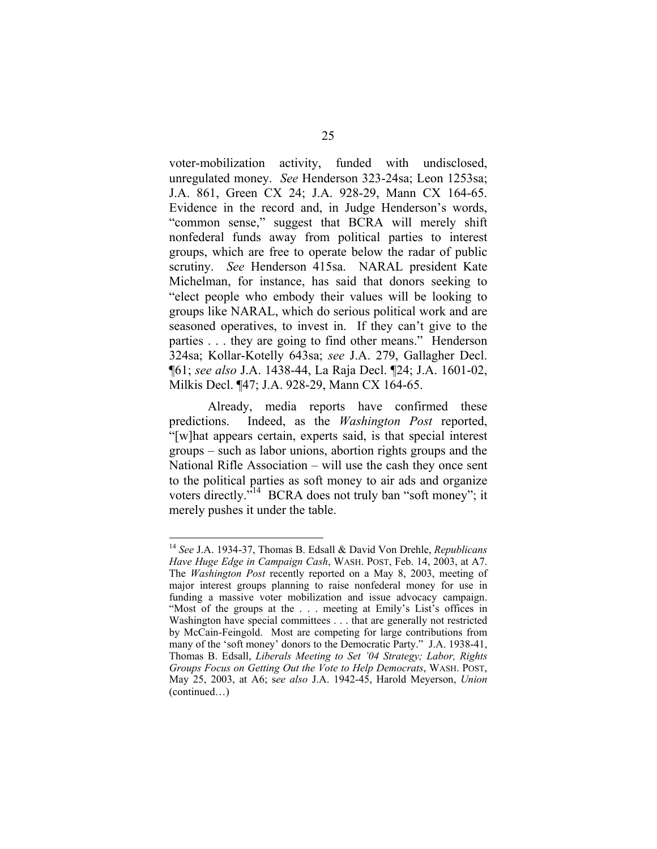voter-mobilization activity, funded with undisclosed, unregulated money. *See* Henderson 323-24sa; Leon 1253sa; J.A. 861, Green CX 24; J.A. 928-29, Mann CX 164-65. Evidence in the record and, in Judge Henderson's words, "common sense," suggest that BCRA will merely shift nonfederal funds away from political parties to interest groups, which are free to operate below the radar of public scrutiny. *See* Henderson 415sa. NARAL president Kate Michelman, for instance, has said that donors seeking to "elect people who embody their values will be looking to groups like NARAL, which do serious political work and are seasoned operatives, to invest in. If they can't give to the parties . . . they are going to find other means." Henderson 324sa; Kollar-Kotelly 643sa; *see* J.A. 279, Gallagher Decl. ¶61; *see also* J.A. 1438-44, La Raja Decl. ¶24; J.A. 1601-02, Milkis Decl. ¶47; J.A. 928-29, Mann CX 164-65.

Already, media reports have confirmed these predictions. Indeed, as the *Washington Post* reported, "[w]hat appears certain, experts said, is that special interest groups – such as labor unions, abortion rights groups and the National Rifle Association – will use the cash they once sent to the political parties as soft money to air ads and organize voters directly."<sup>14</sup> BCRA does not truly ban "soft money"; it merely pushes it under the table.

<sup>14</sup>*See* J.A. 1934-37, Thomas B. Edsall & David Von Drehle, *Republicans Have Huge Edge in Campaign Cash*, WASH. POST, Feb. 14, 2003, at A7. The *Washington Post* recently reported on a May 8, 2003, meeting of major interest groups planning to raise nonfederal money for use in funding a massive voter mobilization and issue advocacy campaign. "Most of the groups at the . . . meeting at Emily's List's offices in Washington have special committees . . . that are generally not restricted by McCain-Feingold. Most are competing for large contributions from many of the 'soft money' donors to the Democratic Party." J.A. 1938-41, Thomas B. Edsall, *Liberals Meeting to Set '04 Strategy; Labor, Rights Groups Focus on Getting Out the Vote to Help Democrats*, WASH. POST, May 25, 2003, at A6; s*ee also* J.A. 1942-45, Harold Meyerson, *Union*  (continued…)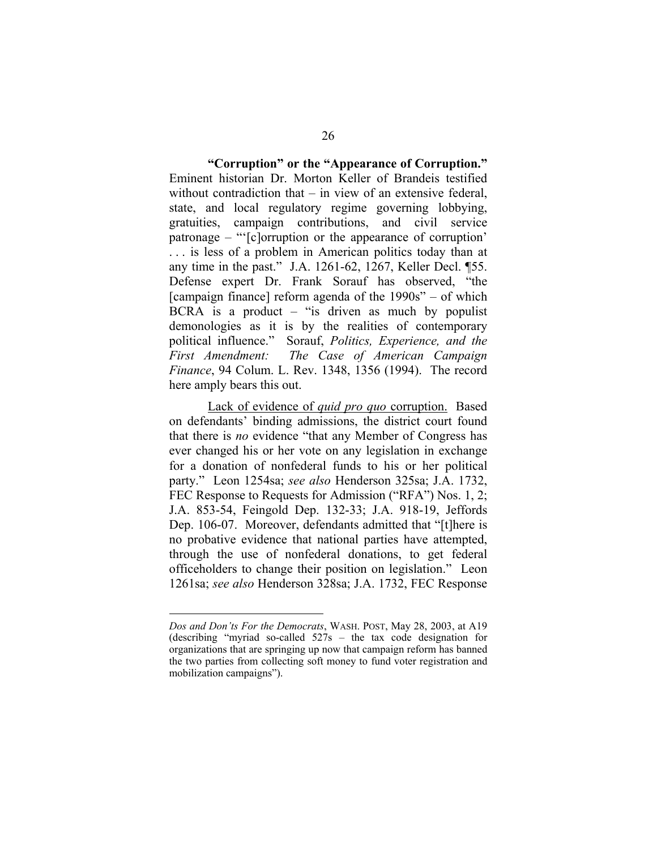**"Corruption" or the "Appearance of Corruption."**  Eminent historian Dr. Morton Keller of Brandeis testified without contradiction that – in view of an extensive federal. state, and local regulatory regime governing lobbying, gratuities, campaign contributions, and civil service patronage – "'[c]orruption or the appearance of corruption' . . . is less of a problem in American politics today than at any time in the past." J.A. 1261-62, 1267, Keller Decl. ¶55. Defense expert Dr. Frank Sorauf has observed, "the [campaign finance] reform agenda of the 1990s" – of which BCRA is a product  $-$  "is driven as much by populist demonologies as it is by the realities of contemporary political influence." Sorauf, *Politics, Experience, and the First Amendment: The Case of American Campaign Finance*, 94 Colum. L. Rev. 1348, 1356 (1994). The record here amply bears this out.

Lack of evidence of *quid pro quo* corruption. Based on defendants' binding admissions, the district court found that there is *no* evidence "that any Member of Congress has ever changed his or her vote on any legislation in exchange for a donation of nonfederal funds to his or her political party." Leon 1254sa; *see also* Henderson 325sa; J.A. 1732, FEC Response to Requests for Admission ("RFA") Nos. 1, 2; J.A. 853-54, Feingold Dep. 132-33; J.A. 918-19, Jeffords Dep. 106-07. Moreover, defendants admitted that "[t]here is no probative evidence that national parties have attempted, through the use of nonfederal donations, to get federal officeholders to change their position on legislation." Leon 1261sa; *see also* Henderson 328sa; J.A. 1732, FEC Response

*Dos and Don'ts For the Democrats*, WASH. POST, May 28, 2003, at A19 (describing "myriad so-called 527s – the tax code designation for organizations that are springing up now that campaign reform has banned the two parties from collecting soft money to fund voter registration and mobilization campaigns").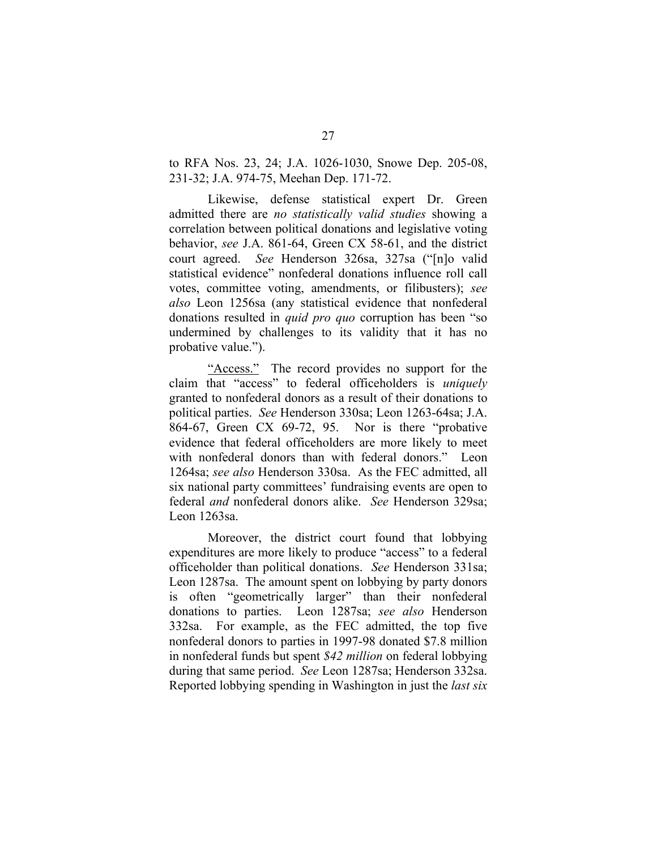to RFA Nos. 23, 24; J.A. 1026-1030, Snowe Dep. 205-08, 231-32; J.A. 974-75, Meehan Dep. 171-72.

Likewise, defense statistical expert Dr. Green admitted there are *no statistically valid studies* showing a correlation between political donations and legislative voting behavior, *see* J.A. 861-64, Green CX 58-61, and the district court agreed. *See* Henderson 326sa, 327sa ("[n]o valid statistical evidence" nonfederal donations influence roll call votes, committee voting, amendments, or filibusters); *see also* Leon 1256sa (any statistical evidence that nonfederal donations resulted in *quid pro quo* corruption has been "so undermined by challenges to its validity that it has no probative value.").

"Access." The record provides no support for the claim that "access" to federal officeholders is *uniquely*  granted to nonfederal donors as a result of their donations to political parties. *See* Henderson 330sa; Leon 1263-64sa; J.A. 864-67, Green CX 69-72, 95. Nor is there "probative evidence that federal officeholders are more likely to meet with nonfederal donors than with federal donors." Leon 1264sa; *see also* Henderson 330sa. As the FEC admitted, all six national party committees' fundraising events are open to federal *and* nonfederal donors alike. *See* Henderson 329sa; Leon 1263sa.

Moreover, the district court found that lobbying expenditures are more likely to produce "access" to a federal officeholder than political donations. *See* Henderson 331sa; Leon 1287sa. The amount spent on lobbying by party donors is often "geometrically larger" than their nonfederal donations to parties. Leon 1287sa; *see also* Henderson 332sa. For example, as the FEC admitted, the top five nonfederal donors to parties in 1997-98 donated \$7.8 million in nonfederal funds but spent *\$42 million* on federal lobbying during that same period. *See* Leon 1287sa; Henderson 332sa. Reported lobbying spending in Washington in just the *last six*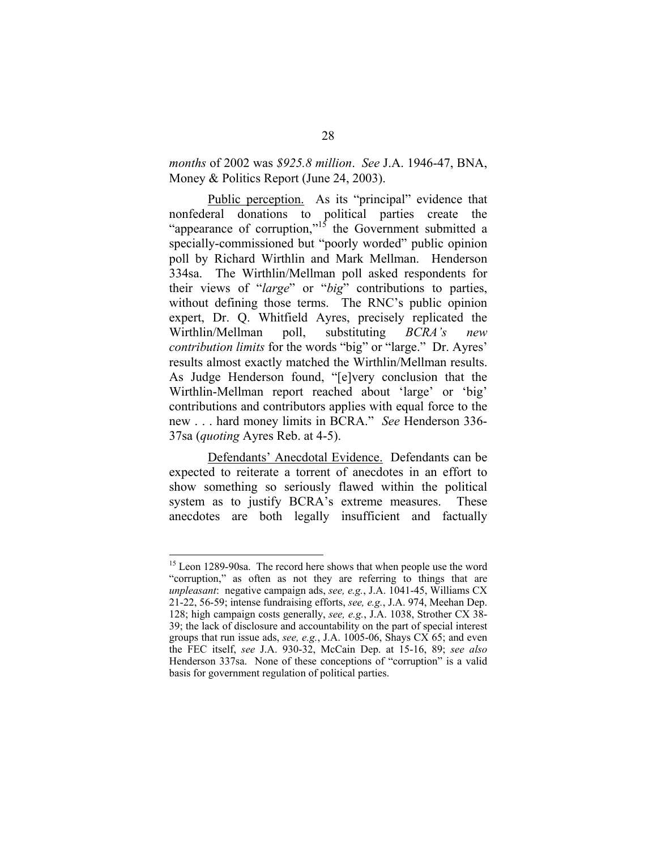# *months* of 2002 was *\$925.8 million*. *See* J.A. 1946-47, BNA, Money & Politics Report (June 24, 2003).

Public perception. As its "principal" evidence that nonfederal donations to political parties create the "appearance of corruption,"<sup>15</sup> the Government submitted a specially-commissioned but "poorly worded" public opinion poll by Richard Wirthlin and Mark Mellman. Henderson 334sa. The Wirthlin/Mellman poll asked respondents for their views of "*large*" or "*big*" contributions to parties, without defining those terms. The RNC's public opinion expert, Dr. Q. Whitfield Ayres, precisely replicated the Wirthlin/Mellman poll, substituting *BCRA's new contribution limits* for the words "big" or "large." Dr. Ayres' results almost exactly matched the Wirthlin/Mellman results. As Judge Henderson found, "[e]very conclusion that the Wirthlin-Mellman report reached about 'large' or 'big' contributions and contributors applies with equal force to the new . . . hard money limits in BCRA." *See* Henderson 336- 37sa (*quoting* Ayres Reb. at 4-5).

Defendants' Anecdotal Evidence. Defendants can be expected to reiterate a torrent of anecdotes in an effort to show something so seriously flawed within the political system as to justify BCRA's extreme measures. These anecdotes are both legally insufficient and factually

<sup>&</sup>lt;sup>15</sup> Leon 1289-90sa. The record here shows that when people use the word "corruption," as often as not they are referring to things that are *unpleasant*: negative campaign ads, *see, e.g.*, J.A. 1041-45, Williams CX 21-22, 56-59; intense fundraising efforts, *see, e.g.*, J.A. 974, Meehan Dep. 128; high campaign costs generally, *see, e.g.*, J.A. 1038, Strother CX 38- 39; the lack of disclosure and accountability on the part of special interest groups that run issue ads, *see, e.g.*, J.A. 1005-06, Shays CX 65; and even the FEC itself, *see* J.A. 930-32, McCain Dep. at 15-16, 89; *see also*  Henderson 337sa. None of these conceptions of "corruption" is a valid basis for government regulation of political parties.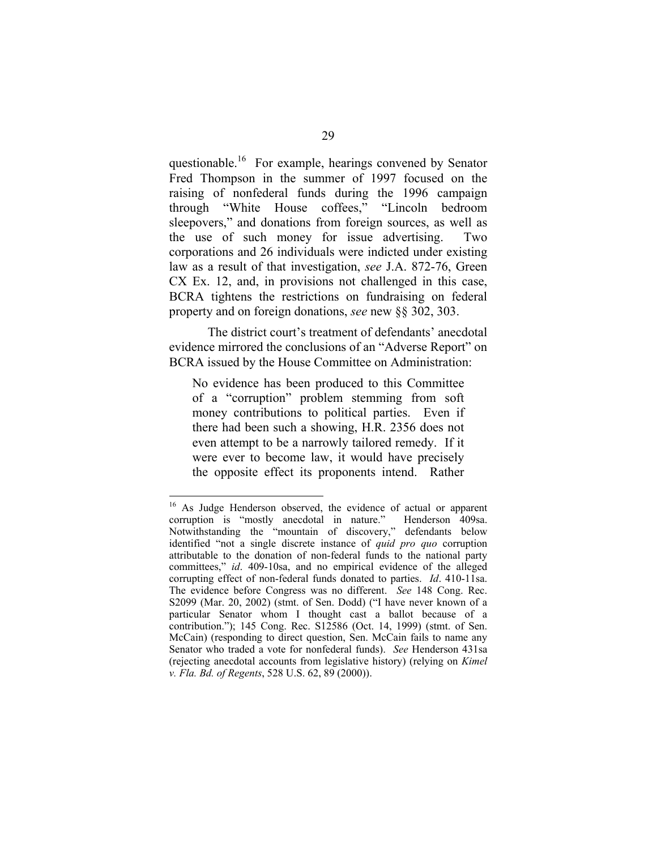questionable.16 For example, hearings convened by Senator Fred Thompson in the summer of 1997 focused on the raising of nonfederal funds during the 1996 campaign through "White House coffees," "Lincoln bedroom sleepovers," and donations from foreign sources, as well as the use of such money for issue advertising. Two corporations and 26 individuals were indicted under existing law as a result of that investigation, *see* J.A. 872-76, Green CX Ex. 12, and, in provisions not challenged in this case, BCRA tightens the restrictions on fundraising on federal property and on foreign donations, *see* new §§ 302, 303.

The district court's treatment of defendants' anecdotal evidence mirrored the conclusions of an "Adverse Report" on BCRA issued by the House Committee on Administration:

No evidence has been produced to this Committee of a "corruption" problem stemming from soft money contributions to political parties. Even if there had been such a showing, H.R. 2356 does not even attempt to be a narrowly tailored remedy. If it were ever to become law, it would have precisely the opposite effect its proponents intend. Rather

<sup>&</sup>lt;sup>16</sup> As Judge Henderson observed, the evidence of actual or apparent corruption is "mostly anecdotal in nature." Henderson 409sa. Notwithstanding the "mountain of discovery," defendants below identified "not a single discrete instance of *quid pro quo* corruption attributable to the donation of non-federal funds to the national party committees," *id*. 409-10sa, and no empirical evidence of the alleged corrupting effect of non-federal funds donated to parties. *Id*. 410-11sa. The evidence before Congress was no different. *See* 148 Cong. Rec. S2099 (Mar. 20, 2002) (stmt. of Sen. Dodd) ("I have never known of a particular Senator whom I thought cast a ballot because of a contribution."); 145 Cong. Rec. S12586 (Oct. 14, 1999) (stmt. of Sen. McCain) (responding to direct question, Sen. McCain fails to name any Senator who traded a vote for nonfederal funds). *See* Henderson 431sa (rejecting anecdotal accounts from legislative history) (relying on *Kimel v. Fla. Bd. of Regents*, 528 U.S. 62, 89 (2000)).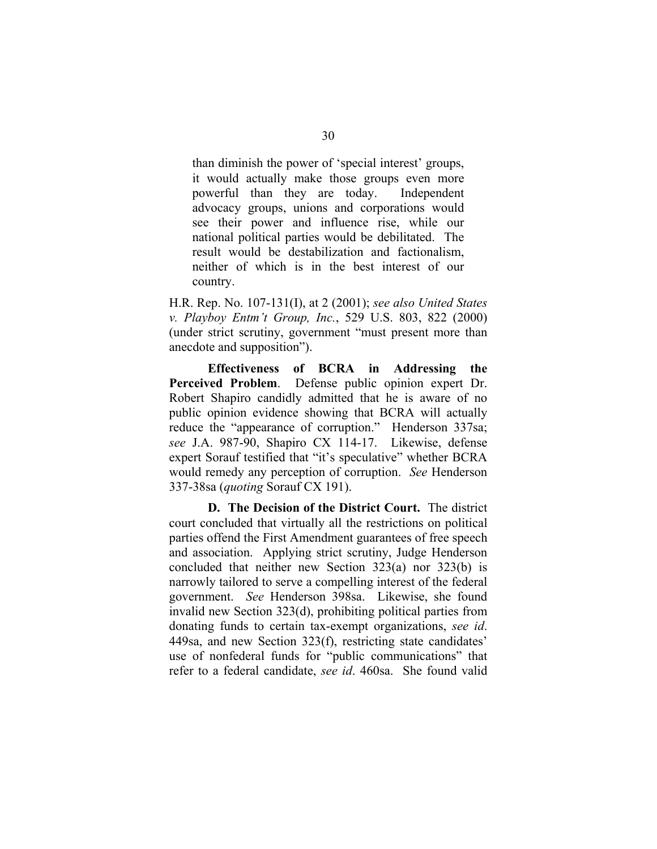than diminish the power of 'special interest' groups, it would actually make those groups even more powerful than they are today. Independent advocacy groups, unions and corporations would see their power and influence rise, while our national political parties would be debilitated. The result would be destabilization and factionalism, neither of which is in the best interest of our country.

H.R. Rep. No. 107-131(I), at 2 (2001); *see also United States v. Playboy Entm't Group, Inc.*, 529 U.S. 803, 822 (2000) (under strict scrutiny, government "must present more than anecdote and supposition").

**Effectiveness of BCRA in Addressing the Perceived Problem**. Defense public opinion expert Dr. Robert Shapiro candidly admitted that he is aware of no public opinion evidence showing that BCRA will actually reduce the "appearance of corruption." Henderson 337sa; *see* J.A. 987-90, Shapiro CX 114-17. Likewise, defense expert Sorauf testified that "it's speculative" whether BCRA would remedy any perception of corruption. *See* Henderson 337-38sa (*quoting* Sorauf CX 191).

**D. The Decision of the District Court.** The district court concluded that virtually all the restrictions on political parties offend the First Amendment guarantees of free speech and association. Applying strict scrutiny, Judge Henderson concluded that neither new Section 323(a) nor 323(b) is narrowly tailored to serve a compelling interest of the federal government. *See* Henderson 398sa. Likewise, she found invalid new Section 323(d), prohibiting political parties from donating funds to certain tax-exempt organizations, *see id*. 449sa, and new Section 323(f), restricting state candidates' use of nonfederal funds for "public communications" that refer to a federal candidate, *see id*. 460sa. She found valid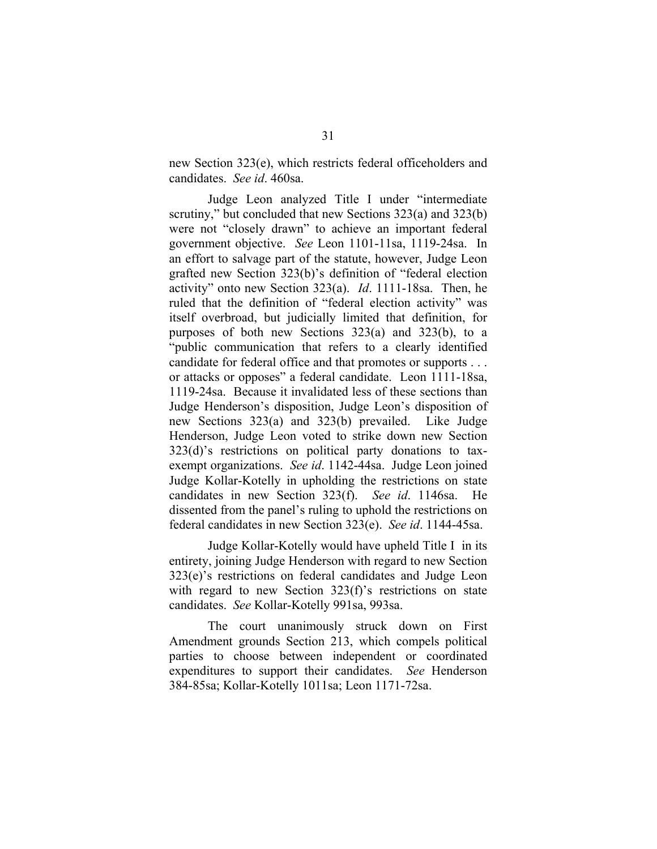new Section 323(e), which restricts federal officeholders and candidates. *See id*. 460sa.

Judge Leon analyzed Title I under "intermediate scrutiny," but concluded that new Sections 323(a) and 323(b) were not "closely drawn" to achieve an important federal government objective. *See* Leon 1101-11sa, 1119-24sa. In an effort to salvage part of the statute, however, Judge Leon grafted new Section 323(b)'s definition of "federal election activity" onto new Section 323(a). *Id*. 1111-18sa. Then, he ruled that the definition of "federal election activity" was itself overbroad, but judicially limited that definition, for purposes of both new Sections 323(a) and 323(b), to a "public communication that refers to a clearly identified candidate for federal office and that promotes or supports . . . or attacks or opposes" a federal candidate. Leon 1111-18sa, 1119-24sa. Because it invalidated less of these sections than Judge Henderson's disposition, Judge Leon's disposition of new Sections 323(a) and 323(b) prevailed. Like Judge Henderson, Judge Leon voted to strike down new Section 323(d)'s restrictions on political party donations to taxexempt organizations. *See id*. 1142-44sa. Judge Leon joined Judge Kollar-Kotelly in upholding the restrictions on state candidates in new Section 323(f). *See id*. 1146sa. He dissented from the panel's ruling to uphold the restrictions on federal candidates in new Section 323(e). *See id*. 1144-45sa.

Judge Kollar-Kotelly would have upheld Title I in its entirety, joining Judge Henderson with regard to new Section 323(e)'s restrictions on federal candidates and Judge Leon with regard to new Section 323(f)'s restrictions on state candidates. *See* Kollar-Kotelly 991sa, 993sa.

The court unanimously struck down on First Amendment grounds Section 213, which compels political parties to choose between independent or coordinated expenditures to support their candidates. *See* Henderson 384-85sa; Kollar-Kotelly 1011sa; Leon 1171-72sa.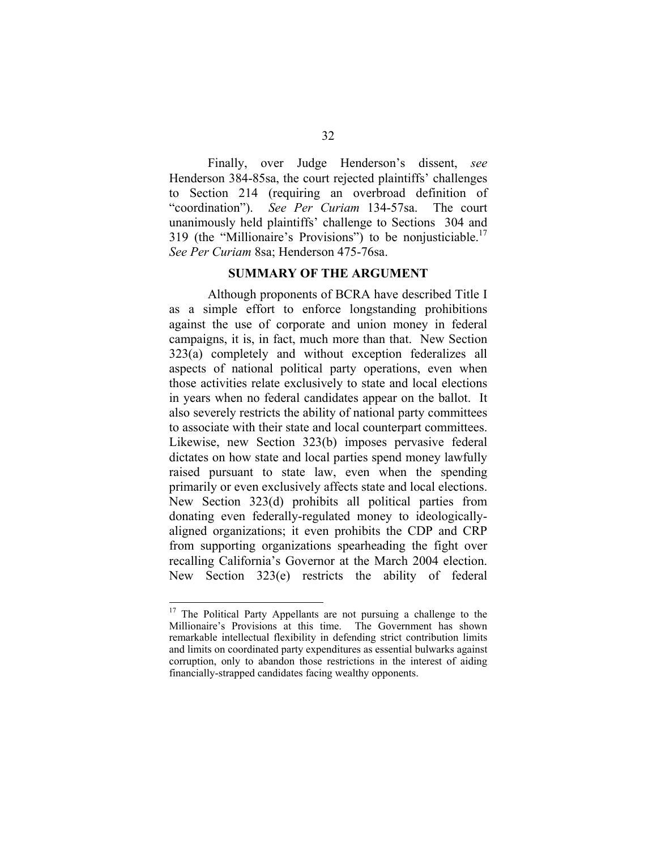Finally, over Judge Henderson's dissent, *see*  Henderson 384-85sa, the court rejected plaintiffs' challenges to Section 214 (requiring an overbroad definition of "coordination"). *See Per Curiam* 134-57sa. The court unanimously held plaintiffs' challenge to Sections 304 and 319 (the "Millionaire's Provisions") to be nonjusticiable.<sup>17</sup> *See Per Curiam* 8sa; Henderson 475-76sa.

#### **SUMMARY OF THE ARGUMENT**

Although proponents of BCRA have described Title I as a simple effort to enforce longstanding prohibitions against the use of corporate and union money in federal campaigns, it is, in fact, much more than that. New Section 323(a) completely and without exception federalizes all aspects of national political party operations, even when those activities relate exclusively to state and local elections in years when no federal candidates appear on the ballot. It also severely restricts the ability of national party committees to associate with their state and local counterpart committees. Likewise, new Section 323(b) imposes pervasive federal dictates on how state and local parties spend money lawfully raised pursuant to state law, even when the spending primarily or even exclusively affects state and local elections. New Section 323(d) prohibits all political parties from donating even federally-regulated money to ideologicallyaligned organizations; it even prohibits the CDP and CRP from supporting organizations spearheading the fight over recalling California's Governor at the March 2004 election. New Section 323(e) restricts the ability of federal

<sup>&</sup>lt;sup>17</sup> The Political Party Appellants are not pursuing a challenge to the Millionaire's Provisions at this time. The Government has shown remarkable intellectual flexibility in defending strict contribution limits and limits on coordinated party expenditures as essential bulwarks against corruption, only to abandon those restrictions in the interest of aiding financially-strapped candidates facing wealthy opponents.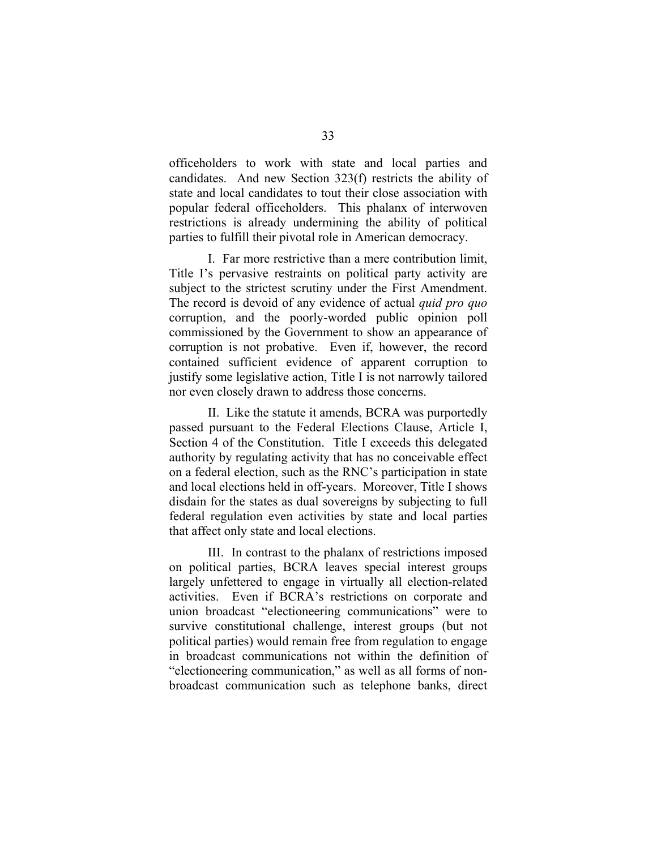officeholders to work with state and local parties and candidates. And new Section 323(f) restricts the ability of state and local candidates to tout their close association with popular federal officeholders. This phalanx of interwoven restrictions is already undermining the ability of political parties to fulfill their pivotal role in American democracy.

I. Far more restrictive than a mere contribution limit, Title I's pervasive restraints on political party activity are subject to the strictest scrutiny under the First Amendment. The record is devoid of any evidence of actual *quid pro quo*  corruption, and the poorly-worded public opinion poll commissioned by the Government to show an appearance of corruption is not probative. Even if, however, the record contained sufficient evidence of apparent corruption to justify some legislative action, Title I is not narrowly tailored nor even closely drawn to address those concerns.

II. Like the statute it amends, BCRA was purportedly passed pursuant to the Federal Elections Clause, Article I, Section 4 of the Constitution. Title I exceeds this delegated authority by regulating activity that has no conceivable effect on a federal election, such as the RNC's participation in state and local elections held in off-years. Moreover, Title I shows disdain for the states as dual sovereigns by subjecting to full federal regulation even activities by state and local parties that affect only state and local elections.

III. In contrast to the phalanx of restrictions imposed on political parties, BCRA leaves special interest groups largely unfettered to engage in virtually all election-related activities. Even if BCRA's restrictions on corporate and union broadcast "electioneering communications" were to survive constitutional challenge, interest groups (but not political parties) would remain free from regulation to engage in broadcast communications not within the definition of "electioneering communication," as well as all forms of nonbroadcast communication such as telephone banks, direct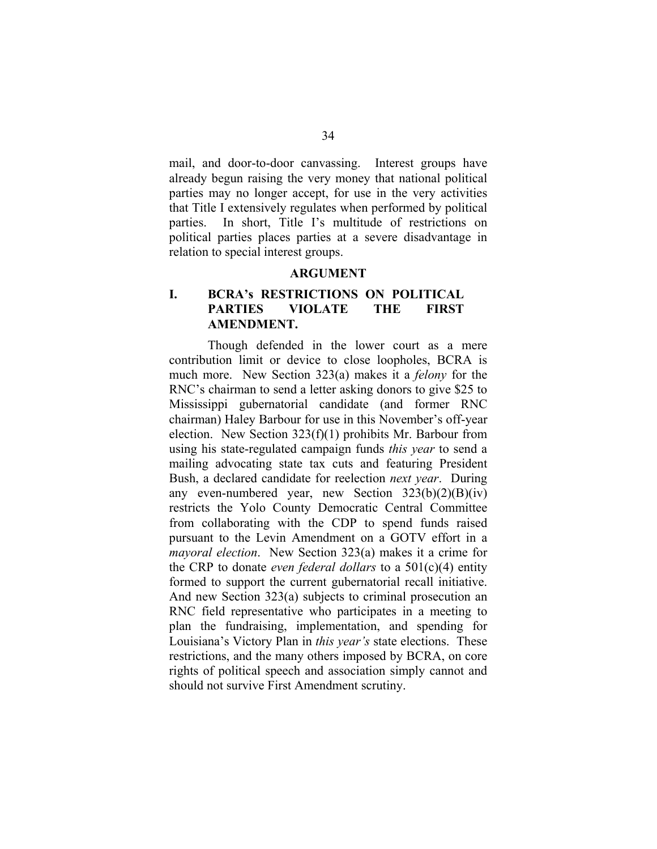mail, and door-to-door canvassing. Interest groups have already begun raising the very money that national political parties may no longer accept, for use in the very activities that Title I extensively regulates when performed by political parties. In short, Title I's multitude of restrictions on political parties places parties at a severe disadvantage in relation to special interest groups.

### **ARGUMENT**

# **I. BCRA's RESTRICTIONS ON POLITICAL PARTIES VIOLATE THE FIRST AMENDMENT.**

Though defended in the lower court as a mere contribution limit or device to close loopholes, BCRA is much more. New Section 323(a) makes it a *felony* for the RNC's chairman to send a letter asking donors to give \$25 to Mississippi gubernatorial candidate (and former RNC chairman) Haley Barbour for use in this November's off-year election. New Section 323(f)(1) prohibits Mr. Barbour from using his state-regulated campaign funds *this year* to send a mailing advocating state tax cuts and featuring President Bush, a declared candidate for reelection *next year*. During any even-numbered year, new Section  $323(b)(2)(B)(iv)$ restricts the Yolo County Democratic Central Committee from collaborating with the CDP to spend funds raised pursuant to the Levin Amendment on a GOTV effort in a *mayoral election*. New Section 323(a) makes it a crime for the CRP to donate *even federal dollars* to a 501(c)(4) entity formed to support the current gubernatorial recall initiative. And new Section 323(a) subjects to criminal prosecution an RNC field representative who participates in a meeting to plan the fundraising, implementation, and spending for Louisiana's Victory Plan in *this year's* state elections. These restrictions, and the many others imposed by BCRA, on core rights of political speech and association simply cannot and should not survive First Amendment scrutiny.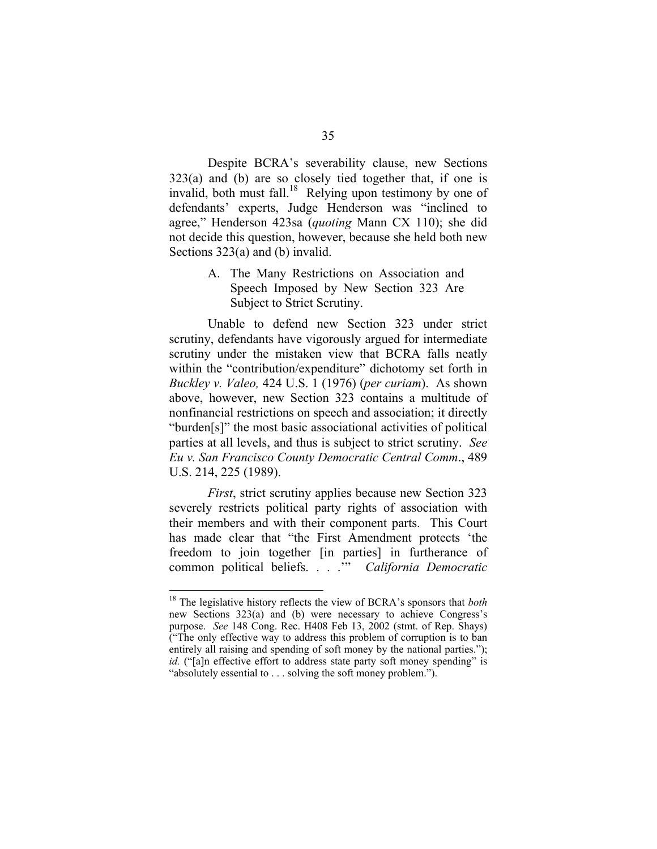Despite BCRA's severability clause, new Sections  $323(a)$  and (b) are so closely tied together that, if one is invalid, both must fall.<sup>18</sup> Relying upon testimony by one of defendants' experts, Judge Henderson was "inclined to agree," Henderson 423sa (*quoting* Mann CX 110); she did not decide this question, however, because she held both new Sections 323(a) and (b) invalid.

> A. The Many Restrictions on Association and Speech Imposed by New Section 323 Are Subject to Strict Scrutiny.

Unable to defend new Section 323 under strict scrutiny, defendants have vigorously argued for intermediate scrutiny under the mistaken view that BCRA falls neatly within the "contribution/expenditure" dichotomy set forth in *Buckley v. Valeo,* 424 U.S. 1 (1976) (*per curiam*). As shown above, however, new Section 323 contains a multitude of nonfinancial restrictions on speech and association; it directly "burden[s]" the most basic associational activities of political parties at all levels, and thus is subject to strict scrutiny. *See Eu v. San Francisco County Democratic Central Comm*., 489 U.S. 214, 225 (1989).

*First*, strict scrutiny applies because new Section 323 severely restricts political party rights of association with their members and with their component parts. This Court has made clear that "the First Amendment protects 'the freedom to join together [in parties] in furtherance of common political beliefs. . . .'" *California Democratic* 

<sup>18</sup> The legislative history reflects the view of BCRA's sponsors that *both*  new Sections 323(a) and (b) were necessary to achieve Congress's purpose. *See* 148 Cong. Rec. H408 Feb 13, 2002 (stmt. of Rep. Shays) ("The only effective way to address this problem of corruption is to ban entirely all raising and spending of soft money by the national parties."); *id.* ("[a]n effective effort to address state party soft money spending" is "absolutely essential to . . . solving the soft money problem.").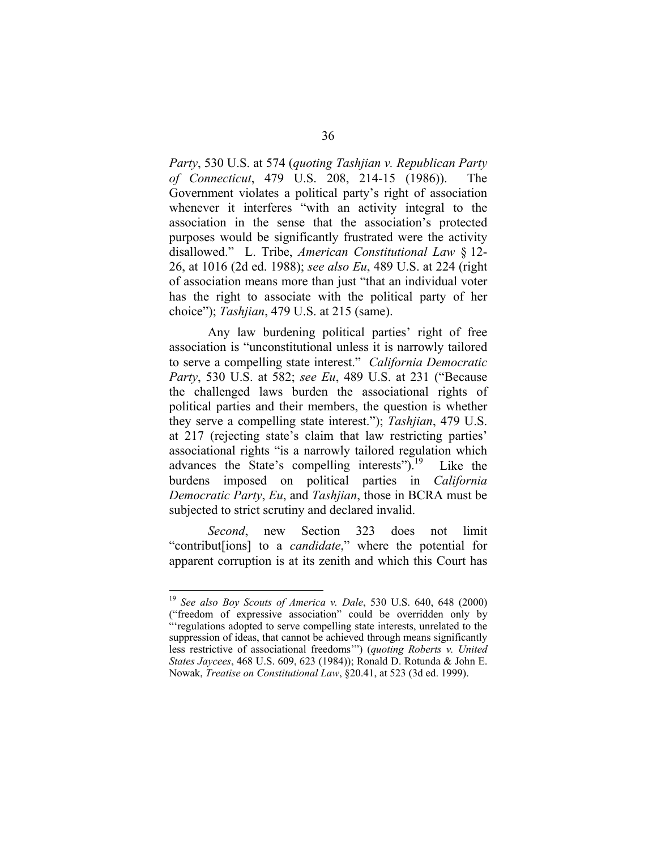*Party*, 530 U.S. at 574 (*quoting Tashjian v. Republican Party of Connecticut*, 479 U.S. 208, 214-15 (1986)). The Government violates a political party's right of association whenever it interferes "with an activity integral to the association in the sense that the association's protected purposes would be significantly frustrated were the activity disallowed." L. Tribe, *American Constitutional Law* § 12- 26, at 1016 (2d ed. 1988); *see also Eu*, 489 U.S. at 224 (right of association means more than just "that an individual voter has the right to associate with the political party of her choice"); *Tashjian*, 479 U.S. at 215 (same).

Any law burdening political parties' right of free association is "unconstitutional unless it is narrowly tailored to serve a compelling state interest." *California Democratic Party*, 530 U.S. at 582; *see Eu*, 489 U.S. at 231 ("Because the challenged laws burden the associational rights of political parties and their members, the question is whether they serve a compelling state interest."); *Tashjian*, 479 U.S. at 217 (rejecting state's claim that law restricting parties' associational rights "is a narrowly tailored regulation which advances the State's compelling interests"). $^{19}$  Like the burdens imposed on political parties in *California Democratic Party*, *Eu*, and *Tashjian*, those in BCRA must be subjected to strict scrutiny and declared invalid.

*Second*, new Section 323 does not limit "contribut[ions] to a *candidate*," where the potential for apparent corruption is at its zenith and which this Court has

<sup>19</sup>*See also Boy Scouts of America v. Dale*, 530 U.S. 640, 648 (2000) ("freedom of expressive association" could be overridden only by "regulations adopted to serve compelling state interests, unrelated to the suppression of ideas, that cannot be achieved through means significantly less restrictive of associational freedoms'") (*quoting Roberts v. United States Jaycees*, 468 U.S. 609, 623 (1984)); Ronald D. Rotunda & John E. Nowak, *Treatise on Constitutional Law*, §20.41, at 523 (3d ed. 1999).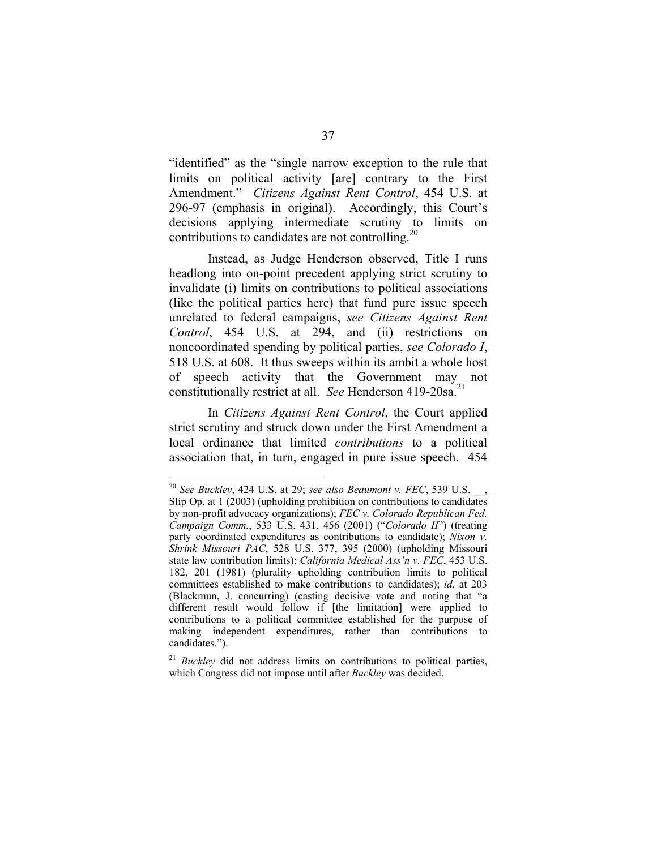"identified" as the "single narrow exception to the rule that limits on political activity [are] contrary to the First Amendment." *Citizens Against Rent Control*, 454 U.S. at 296-97 (emphasis in original). Accordingly, this Court's decisions applying intermediate scrutiny to limits on contributions to candidates are not controlling.<sup>20</sup>

Instead, as Judge Henderson observed, Title I runs headlong into on-point precedent applying strict scrutiny to invalidate (i) limits on contributions to political associations (like the political parties here) that fund pure issue speech unrelated to federal campaigns, *see Citizens Against Rent Control*, 454 U.S. at 294, and (ii) restrictions on noncoordinated spending by political parties, *see Colorado I*, 518 U.S. at 608. It thus sweeps within its ambit a whole host of speech activity that the Government may not constitutionally restrict at all. *See* Henderson 419-20sa.<sup>21</sup>

In *Citizens Against Rent Control*, the Court applied strict scrutiny and struck down under the First Amendment a local ordinance that limited *contributions* to a political association that, in turn, engaged in pure issue speech. 454

<sup>20</sup>*See Buckley*, 424 U.S. at 29; *see also Beaumont v. FEC*, 539 U.S. \_\_, Slip Op. at 1 (2003) (upholding prohibition on contributions to candidates by non-profit advocacy organizations); *FEC v. Colorado Republican Fed. Campaign Comm.*, 533 U.S. 431, 456 (2001) ("*Colorado II*") (treating party coordinated expenditures as contributions to candidate); *Nixon v. Shrink Missouri PAC*, 528 U.S. 377, 395 (2000) (upholding Missouri state law contribution limits); *California Medical Ass'n v. FEC*, 453 U.S. 182, 201 (1981) (plurality upholding contribution limits to political committees established to make contributions to candidates); *id*. at 203 (Blackmun, J. concurring) (casting decisive vote and noting that "a different result would follow if [the limitation] were applied to contributions to a political committee established for the purpose of making independent expenditures, rather than contributions to candidates.").

<sup>&</sup>lt;sup>21</sup> *Buckley* did not address limits on contributions to political parties, which Congress did not impose until after *Buckley* was decided.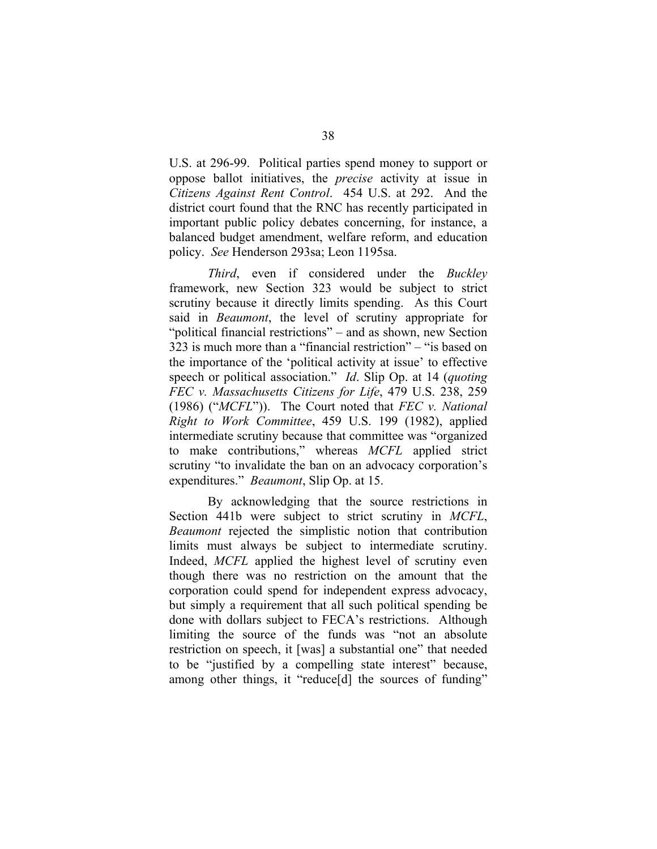U.S. at 296-99. Political parties spend money to support or oppose ballot initiatives, the *precise* activity at issue in *Citizens Against Rent Control*. 454 U.S. at 292. And the district court found that the RNC has recently participated in important public policy debates concerning, for instance, a balanced budget amendment, welfare reform, and education policy. *See* Henderson 293sa; Leon 1195sa.

*Third*, even if considered under the *Buckley*  framework, new Section 323 would be subject to strict scrutiny because it directly limits spending. As this Court said in *Beaumont*, the level of scrutiny appropriate for "political financial restrictions" – and as shown, new Section 323 is much more than a "financial restriction" – "is based on the importance of the 'political activity at issue' to effective speech or political association." *Id*. Slip Op. at 14 (*quoting FEC v. Massachusetts Citizens for Life*, 479 U.S. 238, 259 (1986) ("*MCFL*")). The Court noted that *FEC v. National Right to Work Committee*, 459 U.S. 199 (1982), applied intermediate scrutiny because that committee was "organized to make contributions," whereas *MCFL* applied strict scrutiny "to invalidate the ban on an advocacy corporation's expenditures." *Beaumont*, Slip Op. at 15.

By acknowledging that the source restrictions in Section 441b were subject to strict scrutiny in *MCFL*, *Beaumont* rejected the simplistic notion that contribution limits must always be subject to intermediate scrutiny. Indeed, *MCFL* applied the highest level of scrutiny even though there was no restriction on the amount that the corporation could spend for independent express advocacy, but simply a requirement that all such political spending be done with dollars subject to FECA's restrictions. Although limiting the source of the funds was "not an absolute restriction on speech, it [was] a substantial one" that needed to be "justified by a compelling state interest" because, among other things, it "reduce[d] the sources of funding"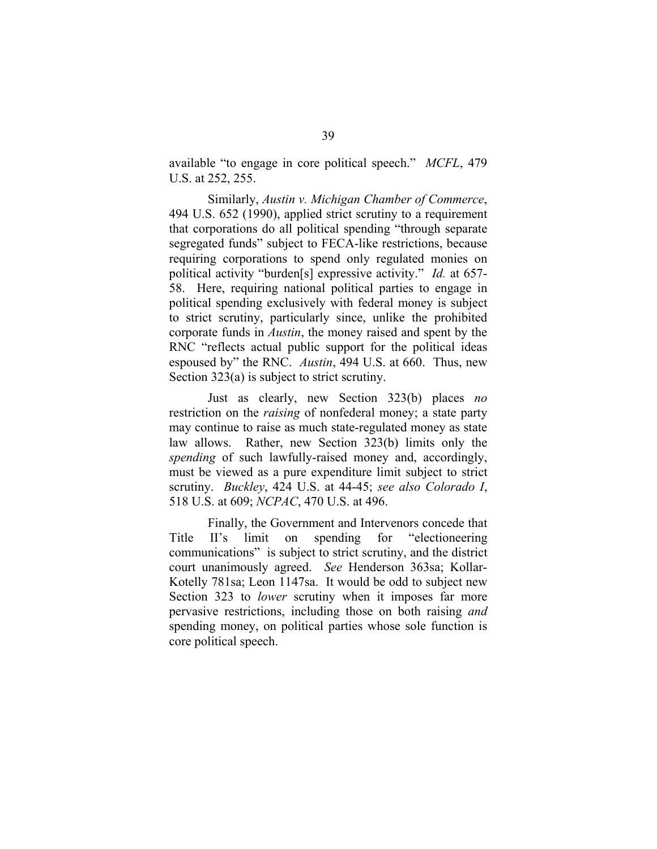available "to engage in core political speech." *MCFL*, 479 U.S. at 252, 255.

Similarly, *Austin v. Michigan Chamber of Commerce*, 494 U.S. 652 (1990), applied strict scrutiny to a requirement that corporations do all political spending "through separate segregated funds" subject to FECA-like restrictions, because requiring corporations to spend only regulated monies on political activity "burden[s] expressive activity." *Id.* at 657- 58. Here, requiring national political parties to engage in political spending exclusively with federal money is subject to strict scrutiny, particularly since, unlike the prohibited corporate funds in *Austin*, the money raised and spent by the RNC "reflects actual public support for the political ideas espoused by" the RNC. *Austin*, 494 U.S. at 660. Thus, new Section 323(a) is subject to strict scrutiny.

Just as clearly, new Section 323(b) places *no*  restriction on the *raising* of nonfederal money; a state party may continue to raise as much state-regulated money as state law allows. Rather, new Section 323(b) limits only the *spending* of such lawfully-raised money and, accordingly, must be viewed as a pure expenditure limit subject to strict scrutiny. *Buckley*, 424 U.S. at 44-45; *see also Colorado I*, 518 U.S. at 609; *NCPAC*, 470 U.S. at 496.

Finally, the Government and Intervenors concede that Title II's limit on spending for "electioneering communications" is subject to strict scrutiny, and the district court unanimously agreed. *See* Henderson 363sa; Kollar-Kotelly 781sa; Leon 1147sa. It would be odd to subject new Section 323 to *lower* scrutiny when it imposes far more pervasive restrictions, including those on both raising *and*  spending money, on political parties whose sole function is core political speech.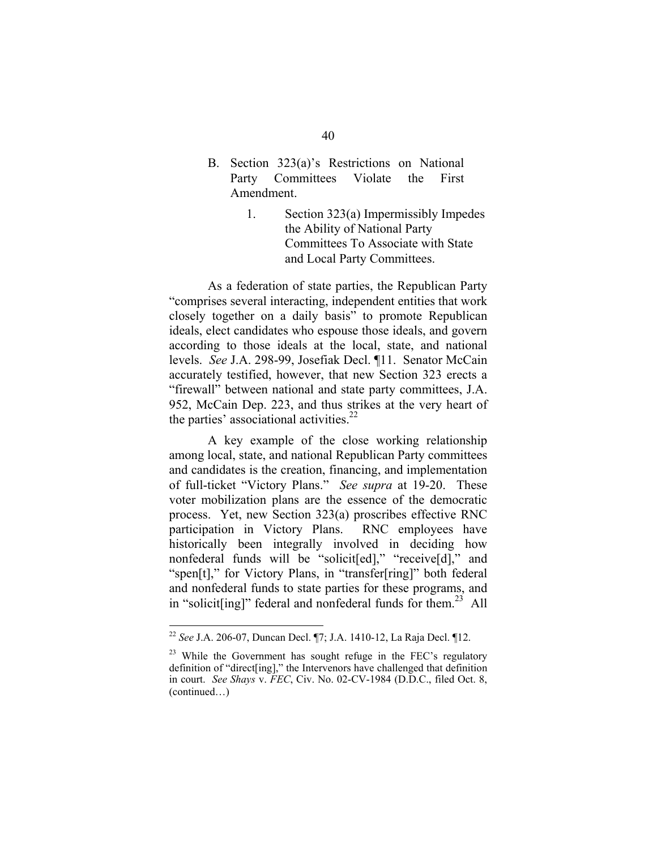- B. Section 323(a)'s Restrictions on National Party Committees Violate the First Amendment.
	- 1. Section 323(a) Impermissibly Impedes the Ability of National Party Committees To Associate with State and Local Party Committees.

As a federation of state parties, the Republican Party "comprises several interacting, independent entities that work closely together on a daily basis" to promote Republican ideals, elect candidates who espouse those ideals, and govern according to those ideals at the local, state, and national levels. *See* J.A. 298-99, Josefiak Decl. ¶11. Senator McCain accurately testified, however, that new Section 323 erects a "firewall" between national and state party committees, J.A. 952, McCain Dep. 223, and thus strikes at the very heart of the parties' associational activities. $22$ 

A key example of the close working relationship among local, state, and national Republican Party committees and candidates is the creation, financing, and implementation of full-ticket "Victory Plans." *See supra* at 19-20. These voter mobilization plans are the essence of the democratic process. Yet, new Section 323(a) proscribes effective RNC participation in Victory Plans. RNC employees have historically been integrally involved in deciding how nonfederal funds will be "solicit[ed]," "receive[d]," and "spen[t]," for Victory Plans, in "transfer[ring]" both federal and nonfederal funds to state parties for these programs, and in "solicit[ing]" federal and nonfederal funds for them.<sup>23</sup> All

<sup>22</sup>*See* J.A. 206-07, Duncan Decl. ¶7; J.A. 1410-12, La Raja Decl. ¶12.

 $23$  While the Government has sought refuge in the FEC's regulatory definition of "direct[ing]," the Intervenors have challenged that definition in court. *See Shays* v. *FEC*, Civ. No. 02-CV-1984 (D.D.C., filed Oct. 8, (continued…)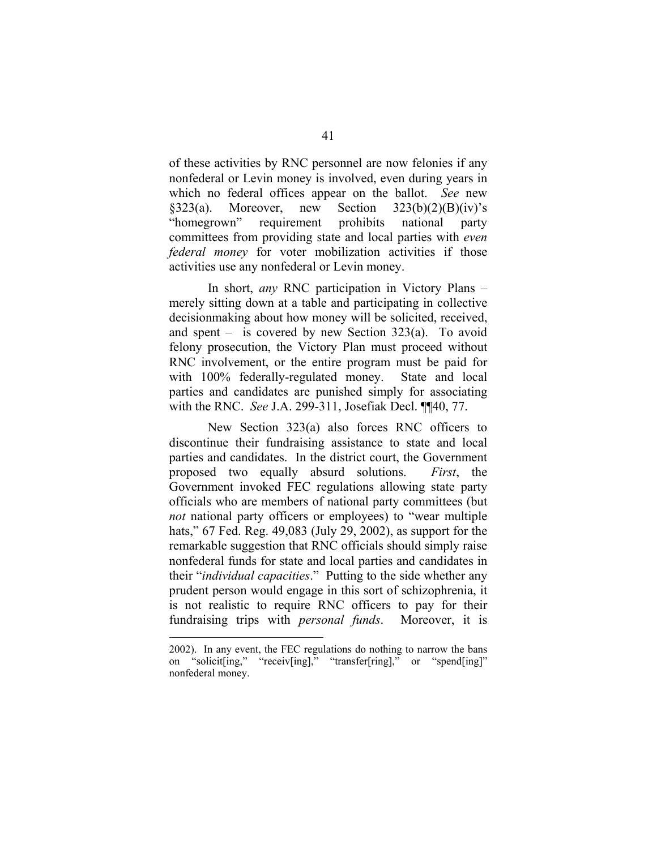of these activities by RNC personnel are now felonies if any nonfederal or Levin money is involved, even during years in which no federal offices appear on the ballot. *See* new §323(a). Moreover, new Section  $323(b)(2)(B)(iv)$ 's "homegrown" requirement prohibits national party committees from providing state and local parties with *even federal money* for voter mobilization activities if those activities use any nonfederal or Levin money.

In short, *any* RNC participation in Victory Plans – merely sitting down at a table and participating in collective decisionmaking about how money will be solicited, received, and spent – is covered by new Section 323(a). To avoid felony prosecution, the Victory Plan must proceed without RNC involvement, or the entire program must be paid for with 100% federally-regulated money. State and local parties and candidates are punished simply for associating with the RNC. *See* J.A. 299-311, Josefiak Decl. ¶¶40, 77.

New Section 323(a) also forces RNC officers to discontinue their fundraising assistance to state and local parties and candidates. In the district court, the Government proposed two equally absurd solutions. *First*, the Government invoked FEC regulations allowing state party officials who are members of national party committees (but *not* national party officers or employees) to "wear multiple hats," 67 Fed. Reg. 49,083 (July 29, 2002), as support for the remarkable suggestion that RNC officials should simply raise nonfederal funds for state and local parties and candidates in their "*individual capacities*." Putting to the side whether any prudent person would engage in this sort of schizophrenia, it is not realistic to require RNC officers to pay for their fundraising trips with *personal funds*. Moreover, it is

<sup>2002).</sup> In any event, the FEC regulations do nothing to narrow the bans on "solicit[ing," "receiv[ing]," "transfer[ring]," or "spend[ing]" nonfederal money.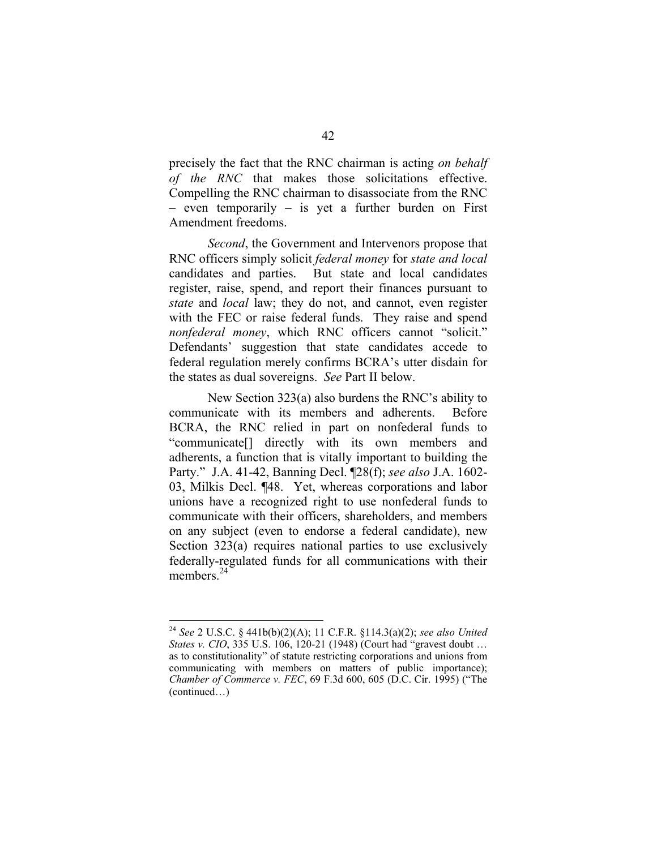precisely the fact that the RNC chairman is acting *on behalf of the RNC* that makes those solicitations effective. Compelling the RNC chairman to disassociate from the RNC – even temporarily – is yet a further burden on First Amendment freedoms.

*Second*, the Government and Intervenors propose that RNC officers simply solicit *federal money* for *state and local*  candidates and parties. But state and local candidates register, raise, spend, and report their finances pursuant to *state* and *local* law; they do not, and cannot, even register with the FEC or raise federal funds. They raise and spend *nonfederal money*, which RNC officers cannot "solicit." Defendants' suggestion that state candidates accede to federal regulation merely confirms BCRA's utter disdain for the states as dual sovereigns. *See* Part II below.

New Section 323(a) also burdens the RNC's ability to communicate with its members and adherents. Before BCRA, the RNC relied in part on nonfederal funds to "communicate[] directly with its own members and adherents, a function that is vitally important to building the Party." J.A. 41-42, Banning Decl. ¶28(f); *see also* J.A. 1602- 03, Milkis Decl. ¶48. Yet, whereas corporations and labor unions have a recognized right to use nonfederal funds to communicate with their officers, shareholders, and members on any subject (even to endorse a federal candidate), new Section 323(a) requires national parties to use exclusively federally-regulated funds for all communications with their members.<sup>24</sup>

<sup>24</sup>*See* 2 U.S.C. § 441b(b)(2)(A); 11 C.F.R. §114.3(a)(2); *see also United States v. CIO*, 335 U.S. 106, 120-21 (1948) (Court had "gravest doubt ... as to constitutionality" of statute restricting corporations and unions from communicating with members on matters of public importance); *Chamber of Commerce v. FEC*, 69 F.3d 600, 605 (D.C. Cir. 1995) ("The (continued…)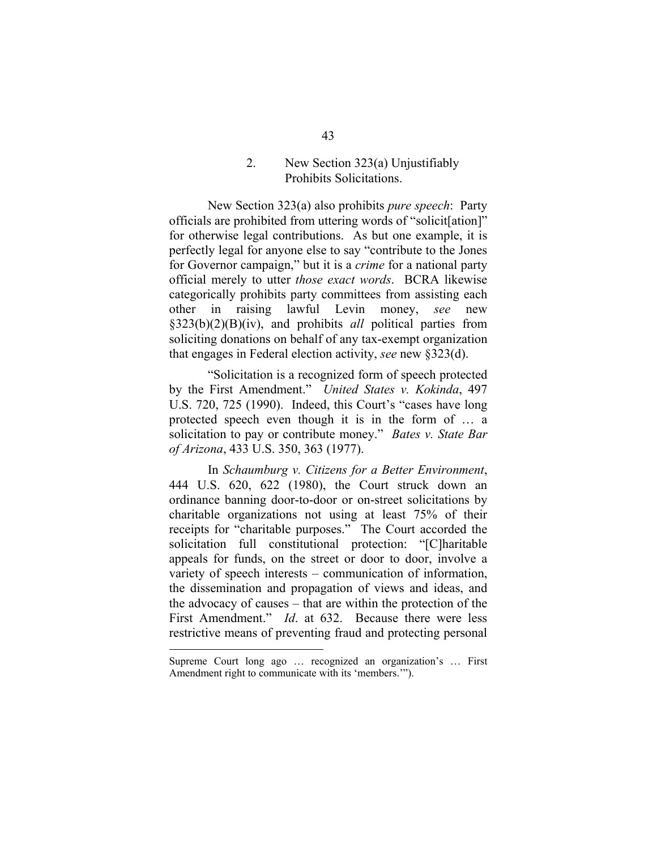## 2. New Section 323(a) Unjustifiably Prohibits Solicitations.

New Section 323(a) also prohibits *pure speech*: Party officials are prohibited from uttering words of "solicit[ation]" for otherwise legal contributions. As but one example, it is perfectly legal for anyone else to say "contribute to the Jones for Governor campaign," but it is a *crime* for a national party official merely to utter *those exact words*. BCRA likewise categorically prohibits party committees from assisting each other in raising lawful Levin money, *see* new §323(b)(2)(B)(iv), and prohibits *all* political parties from soliciting donations on behalf of any tax-exempt organization that engages in Federal election activity, *see* new §323(d).

"Solicitation is a recognized form of speech protected by the First Amendment." *United States v. Kokinda*, 497 U.S. 720, 725 (1990). Indeed, this Court's "cases have long protected speech even though it is in the form of … a solicitation to pay or contribute money." *Bates v. State Bar of Arizona*, 433 U.S. 350, 363 (1977).

In *Schaumburg v. Citizens for a Better Environment*, 444 U.S. 620, 622 (1980), the Court struck down an ordinance banning door-to-door or on-street solicitations by charitable organizations not using at least 75% of their receipts for "charitable purposes." The Court accorded the solicitation full constitutional protection: "[C]haritable appeals for funds, on the street or door to door, involve a variety of speech interests – communication of information, the dissemination and propagation of views and ideas, and the advocacy of causes – that are within the protection of the First Amendment." *Id*. at 632. Because there were less restrictive means of preventing fraud and protecting personal

Supreme Court long ago … recognized an organization's … First Amendment right to communicate with its 'members.'").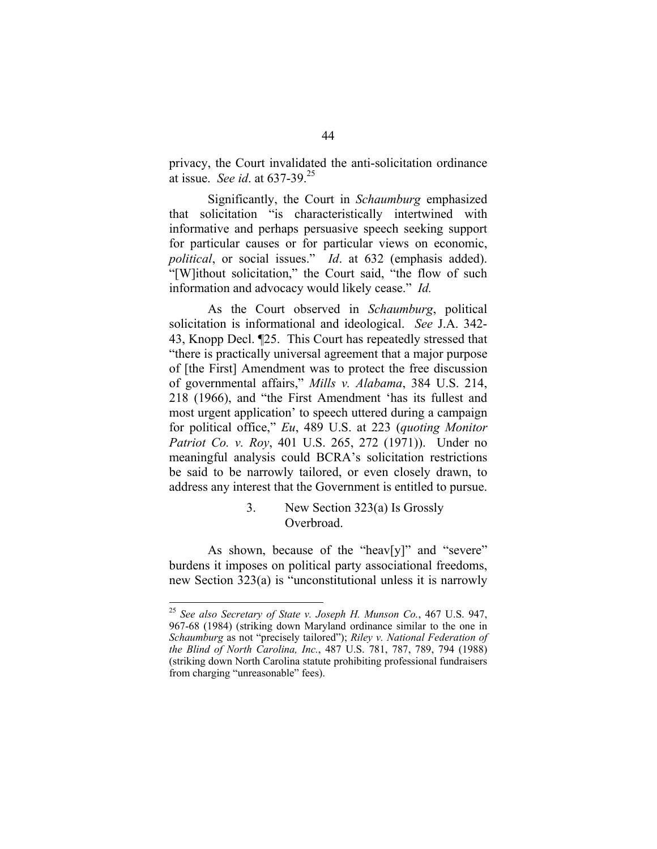privacy, the Court invalidated the anti-solicitation ordinance at issue. *See id*. at 637-39.25

Significantly, the Court in *Schaumburg* emphasized that solicitation "is characteristically intertwined with informative and perhaps persuasive speech seeking support for particular causes or for particular views on economic, *political*, or social issues." *Id*. at 632 (emphasis added). "[W]ithout solicitation," the Court said, "the flow of such information and advocacy would likely cease." *Id.* 

As the Court observed in *Schaumburg*, political solicitation is informational and ideological. *See* J.A. 342- 43, Knopp Decl. ¶25. This Court has repeatedly stressed that "there is practically universal agreement that a major purpose of [the First] Amendment was to protect the free discussion of governmental affairs," *Mills v. Alabama*, 384 U.S. 214, 218 (1966), and "the First Amendment 'has its fullest and most urgent application' to speech uttered during a campaign for political office," *Eu*, 489 U.S. at 223 (*quoting Monitor Patriot Co. v. Roy*, 401 U.S. 265, 272 (1971)). Under no meaningful analysis could BCRA's solicitation restrictions be said to be narrowly tailored, or even closely drawn, to address any interest that the Government is entitled to pursue.

## 3. New Section 323(a) Is Grossly Overbroad.

As shown, because of the "heav[y]" and "severe" burdens it imposes on political party associational freedoms, new Section 323(a) is "unconstitutional unless it is narrowly

<sup>25</sup>*See also Secretary of State v. Joseph H. Munson Co.*, 467 U.S. 947, 967-68 (1984) (striking down Maryland ordinance similar to the one in *Schaumburg* as not "precisely tailored"); *Riley v. National Federation of the Blind of North Carolina, Inc.*, 487 U.S. 781, 787, 789, 794 (1988) (striking down North Carolina statute prohibiting professional fundraisers from charging "unreasonable" fees).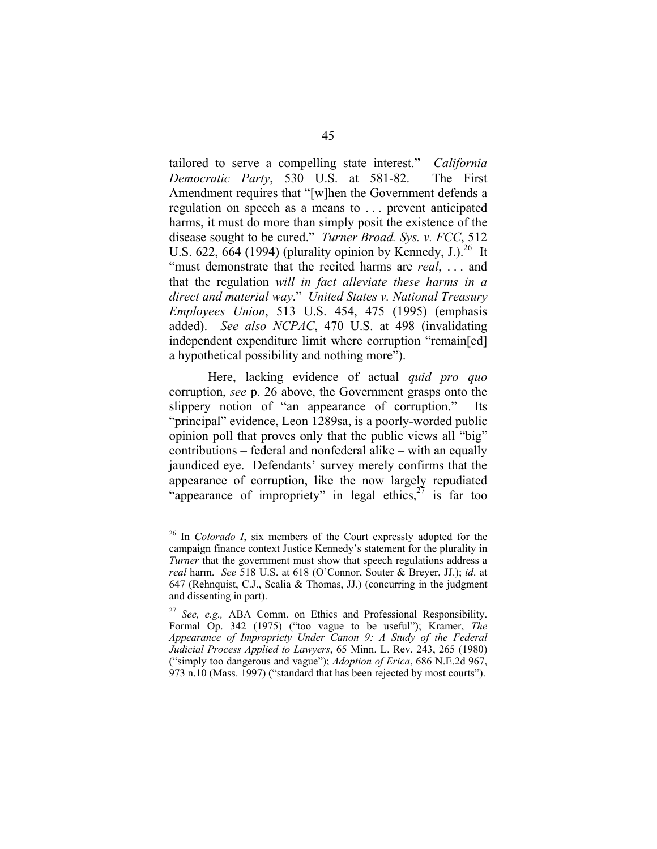tailored to serve a compelling state interest." *California Democratic Party*, 530 U.S. at 581-82. The First Amendment requires that "[w]hen the Government defends a regulation on speech as a means to . . . prevent anticipated harms, it must do more than simply posit the existence of the disease sought to be cured." *Turner Broad. Sys. v. FCC*, 512 U.S. 622, 664 (1994) (plurality opinion by Kennedy, J.).<sup>26</sup> It "must demonstrate that the recited harms are *real*, . . . and that the regulation *will in fact alleviate these harms in a direct and material way*." *United States v. National Treasury Employees Union*, 513 U.S. 454, 475 (1995) (emphasis added). *See also NCPAC*, 470 U.S. at 498 (invalidating independent expenditure limit where corruption "remain[ed] a hypothetical possibility and nothing more").

Here, lacking evidence of actual *quid pro quo*  corruption, *see* p. 26 above, the Government grasps onto the slippery notion of "an appearance of corruption." Its "principal" evidence, Leon 1289sa, is a poorly-worded public opinion poll that proves only that the public views all "big" contributions – federal and nonfederal alike – with an equally jaundiced eye. Defendants' survey merely confirms that the appearance of corruption, like the now largely repudiated "appearance of impropriety" in legal ethics,  $27$  is far too

<sup>26</sup> In *Colorado I*, six members of the Court expressly adopted for the campaign finance context Justice Kennedy's statement for the plurality in *Turner* that the government must show that speech regulations address a *real* harm. *See* 518 U.S. at 618 (O'Connor, Souter & Breyer, JJ.); *id*. at 647 (Rehnquist, C.J., Scalia & Thomas, JJ.) (concurring in the judgment and dissenting in part).

<sup>27</sup>*See, e.g.,* ABA Comm. on Ethics and Professional Responsibility. Formal Op. 342 (1975) ("too vague to be useful"); Kramer, *The Appearance of Impropriety Under Canon 9: A Study of the Federal Judicial Process Applied to Lawyers*, 65 Minn. L. Rev. 243, 265 (1980) ("simply too dangerous and vague"); *Adoption of Erica*, 686 N.E.2d 967, 973 n.10 (Mass. 1997) ("standard that has been rejected by most courts").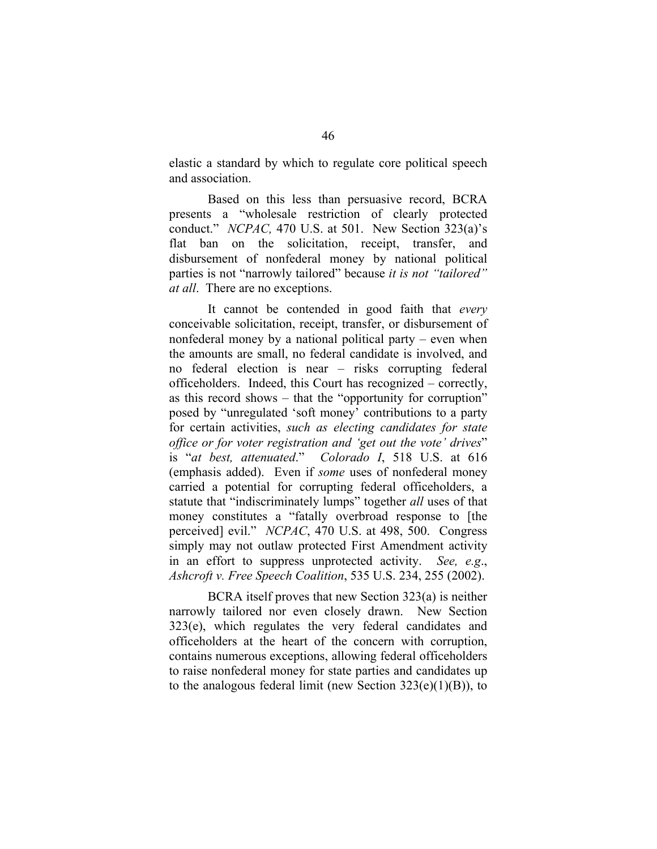elastic a standard by which to regulate core political speech and association.

Based on this less than persuasive record, BCRA presents a "wholesale restriction of clearly protected conduct." *NCPAC,* 470 U.S. at 501. New Section 323(a)'s flat ban on the solicitation, receipt, transfer, and disbursement of nonfederal money by national political parties is not "narrowly tailored" because *it is not "tailored" at all*. There are no exceptions.

It cannot be contended in good faith that *every*  conceivable solicitation, receipt, transfer, or disbursement of nonfederal money by a national political party – even when the amounts are small, no federal candidate is involved, and no federal election is near – risks corrupting federal officeholders. Indeed, this Court has recognized – correctly, as this record shows – that the "opportunity for corruption" posed by "unregulated 'soft money' contributions to a party for certain activities, *such as electing candidates for state office or for voter registration and 'get out the vote' drives*" is "*at best, attenuated*." *Colorado I*, 518 U.S. at 616 (emphasis added). Even if *some* uses of nonfederal money carried a potential for corrupting federal officeholders, a statute that "indiscriminately lumps" together *all* uses of that money constitutes a "fatally overbroad response to [the perceived] evil." *NCPAC*, 470 U.S. at 498, 500. Congress simply may not outlaw protected First Amendment activity in an effort to suppress unprotected activity. *See, e.g*., *Ashcroft v. Free Speech Coalition*, 535 U.S. 234, 255 (2002).

BCRA itself proves that new Section 323(a) is neither narrowly tailored nor even closely drawn. New Section 323(e), which regulates the very federal candidates and officeholders at the heart of the concern with corruption, contains numerous exceptions, allowing federal officeholders to raise nonfederal money for state parties and candidates up to the analogous federal limit (new Section  $323(e)(1)(B)$ ), to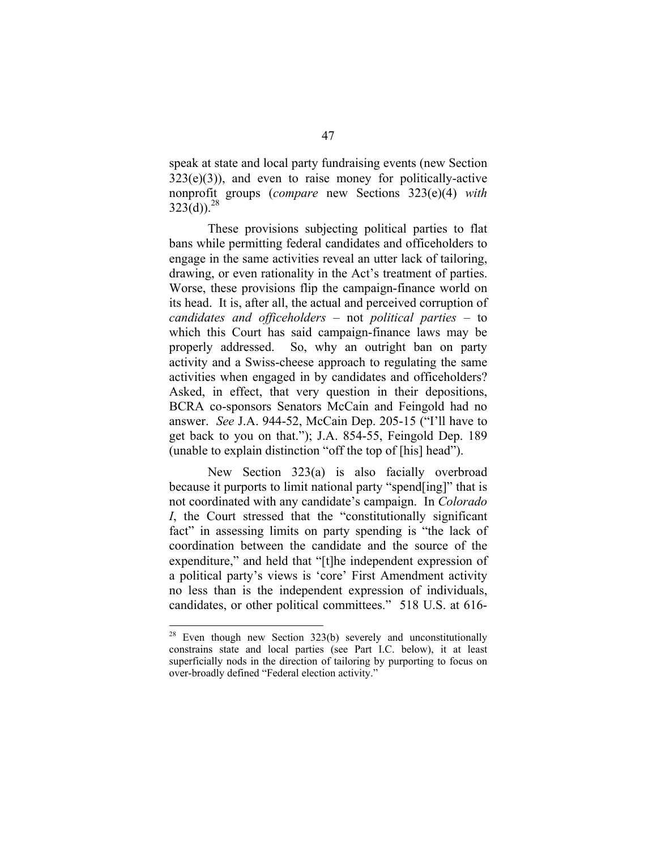speak at state and local party fundraising events (new Section  $323(e)(3)$ , and even to raise money for politically-active nonprofit groups (*compare* new Sections 323(e)(4) *with*   $323(d)$ <sup>28</sup>

These provisions subjecting political parties to flat bans while permitting federal candidates and officeholders to engage in the same activities reveal an utter lack of tailoring, drawing, or even rationality in the Act's treatment of parties. Worse, these provisions flip the campaign-finance world on its head. It is, after all, the actual and perceived corruption of *candidates and officeholders* – not *political parties* – to which this Court has said campaign-finance laws may be properly addressed. So, why an outright ban on party activity and a Swiss-cheese approach to regulating the same activities when engaged in by candidates and officeholders? Asked, in effect, that very question in their depositions, BCRA co-sponsors Senators McCain and Feingold had no answer. *See* J.A. 944-52, McCain Dep. 205-15 ("I'll have to get back to you on that."); J.A. 854-55, Feingold Dep. 189 (unable to explain distinction "off the top of [his] head").

New Section 323(a) is also facially overbroad because it purports to limit national party "spend[ing]" that is not coordinated with any candidate's campaign. In *Colorado I*, the Court stressed that the "constitutionally significant fact" in assessing limits on party spending is "the lack of coordination between the candidate and the source of the expenditure," and held that "[t]he independent expression of a political party's views is 'core' First Amendment activity no less than is the independent expression of individuals, candidates, or other political committees." 518 U.S. at 616-

<sup>&</sup>lt;sup>28</sup> Even though new Section 323(b) severely and unconstitutionally constrains state and local parties (see Part I.C. below), it at least superficially nods in the direction of tailoring by purporting to focus on over-broadly defined "Federal election activity."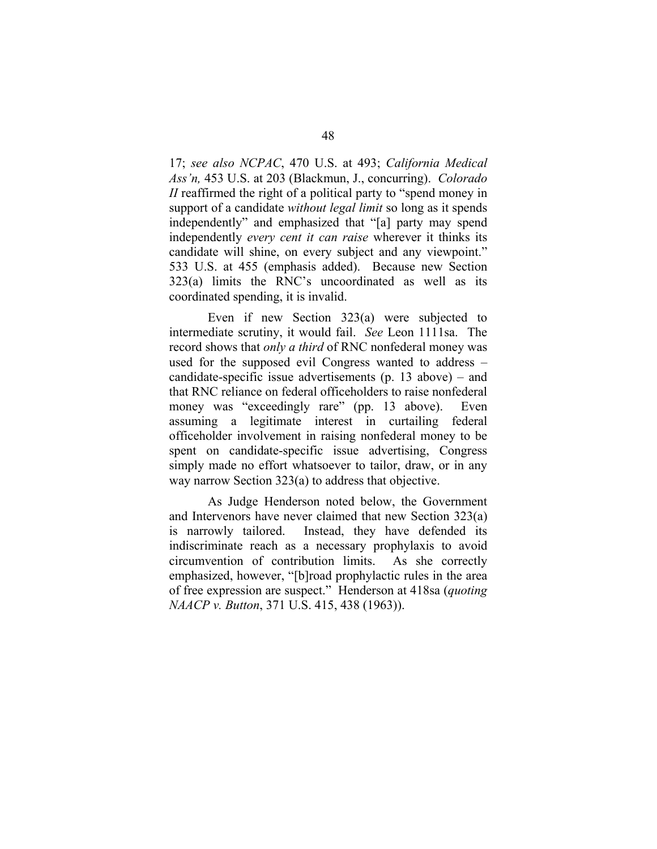17; *see also NCPAC*, 470 U.S. at 493; *California Medical Ass'n,* 453 U.S. at 203 (Blackmun, J., concurring). *Colorado II* reaffirmed the right of a political party to "spend money in support of a candidate *without legal limit* so long as it spends independently" and emphasized that "[a] party may spend independently *every cent it can raise* wherever it thinks its candidate will shine, on every subject and any viewpoint." 533 U.S. at 455 (emphasis added). Because new Section 323(a) limits the RNC's uncoordinated as well as its coordinated spending, it is invalid.

Even if new Section 323(a) were subjected to intermediate scrutiny, it would fail. *See* Leon 1111sa. The record shows that *only a third* of RNC nonfederal money was used for the supposed evil Congress wanted to address – candidate-specific issue advertisements (p. 13 above) – and that RNC reliance on federal officeholders to raise nonfederal money was "exceedingly rare" (pp. 13 above). Even assuming a legitimate interest in curtailing federal officeholder involvement in raising nonfederal money to be spent on candidate-specific issue advertising, Congress simply made no effort whatsoever to tailor, draw, or in any way narrow Section 323(a) to address that objective.

As Judge Henderson noted below, the Government and Intervenors have never claimed that new Section 323(a) is narrowly tailored. Instead, they have defended its indiscriminate reach as a necessary prophylaxis to avoid circumvention of contribution limits. As she correctly emphasized, however, "[b]road prophylactic rules in the area of free expression are suspect." Henderson at 418sa (*quoting NAACP v. Button*, 371 U.S. 415, 438 (1963)).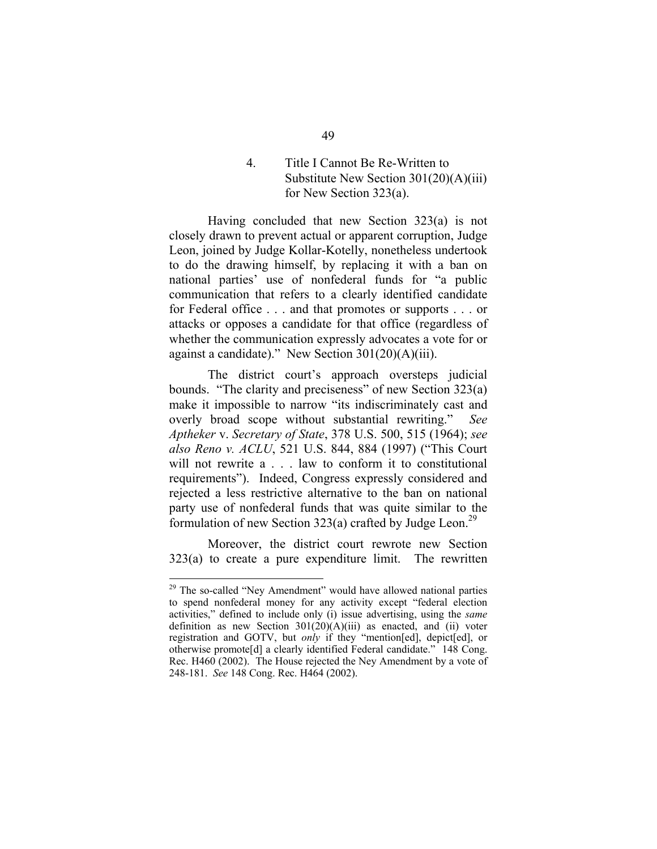# 4. Title I Cannot Be Re-Written to Substitute New Section 301(20)(A)(iii) for New Section 323(a).

Having concluded that new Section 323(a) is not closely drawn to prevent actual or apparent corruption, Judge Leon, joined by Judge Kollar-Kotelly, nonetheless undertook to do the drawing himself, by replacing it with a ban on national parties' use of nonfederal funds for "a public communication that refers to a clearly identified candidate for Federal office . . . and that promotes or supports . . . or attacks or opposes a candidate for that office (regardless of whether the communication expressly advocates a vote for or against a candidate)." New Section 301(20)(A)(iii).

The district court's approach oversteps judicial bounds. "The clarity and preciseness" of new Section 323(a) make it impossible to narrow "its indiscriminately cast and overly broad scope without substantial rewriting." *See Aptheker* v. *Secretary of State*, 378 U.S. 500, 515 (1964); *see also Reno v. ACLU*, 521 U.S. 844, 884 (1997) ("This Court will not rewrite a . . . law to conform it to constitutional requirements"). Indeed, Congress expressly considered and rejected a less restrictive alternative to the ban on national party use of nonfederal funds that was quite similar to the formulation of new Section 323(a) crafted by Judge Leon.<sup>29</sup>

Moreover, the district court rewrote new Section 323(a) to create a pure expenditure limit. The rewritten

 $29$  The so-called "Ney Amendment" would have allowed national parties to spend nonfederal money for any activity except "federal election activities," defined to include only (i) issue advertising, using the *same*  definition as new Section  $301(20)(A)(iii)$  as enacted, and (ii) voter registration and GOTV, but *only* if they "mention[ed], depict[ed], or otherwise promote<sup>[d]</sup> a clearly identified Federal candidate." 148 Cong. Rec. H460 (2002). The House rejected the Ney Amendment by a vote of 248-181. *See* 148 Cong. Rec. H464 (2002).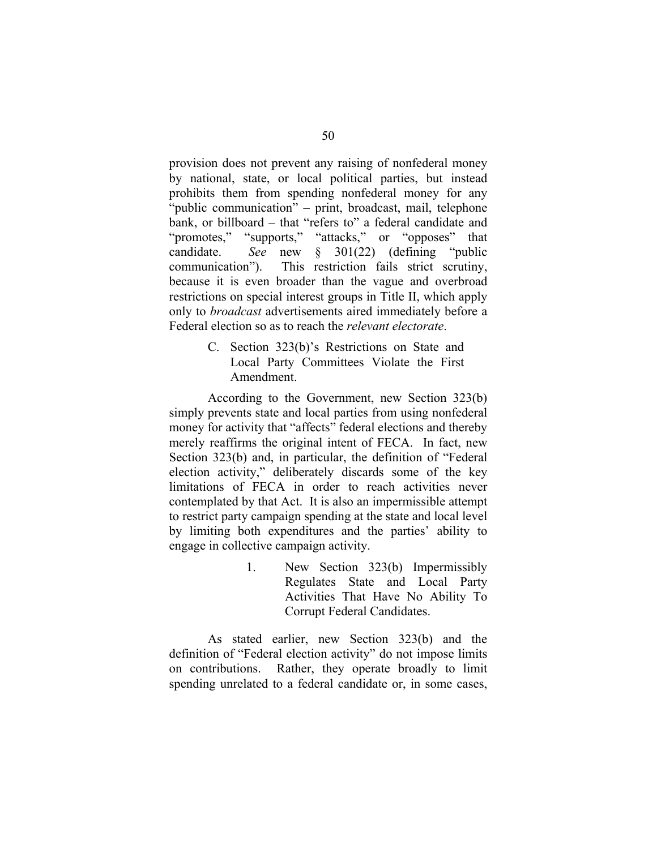provision does not prevent any raising of nonfederal money by national, state, or local political parties, but instead prohibits them from spending nonfederal money for any "public communication" – print, broadcast, mail, telephone bank, or billboard – that "refers to" a federal candidate and "promotes," "supports," "attacks," or "opposes" that candidate. *See* new § 301(22) (defining "public communication"). This restriction fails strict scrutiny, because it is even broader than the vague and overbroad restrictions on special interest groups in Title II, which apply only to *broadcast* advertisements aired immediately before a Federal election so as to reach the *relevant electorate*.

> C. Section 323(b)'s Restrictions on State and Local Party Committees Violate the First Amendment.

According to the Government, new Section 323(b) simply prevents state and local parties from using nonfederal money for activity that "affects" federal elections and thereby merely reaffirms the original intent of FECA. In fact, new Section 323(b) and, in particular, the definition of "Federal election activity," deliberately discards some of the key limitations of FECA in order to reach activities never contemplated by that Act. It is also an impermissible attempt to restrict party campaign spending at the state and local level by limiting both expenditures and the parties' ability to engage in collective campaign activity.

> 1. New Section 323(b) Impermissibly Regulates State and Local Party Activities That Have No Ability To Corrupt Federal Candidates.

As stated earlier, new Section 323(b) and the definition of "Federal election activity" do not impose limits on contributions. Rather, they operate broadly to limit spending unrelated to a federal candidate or, in some cases,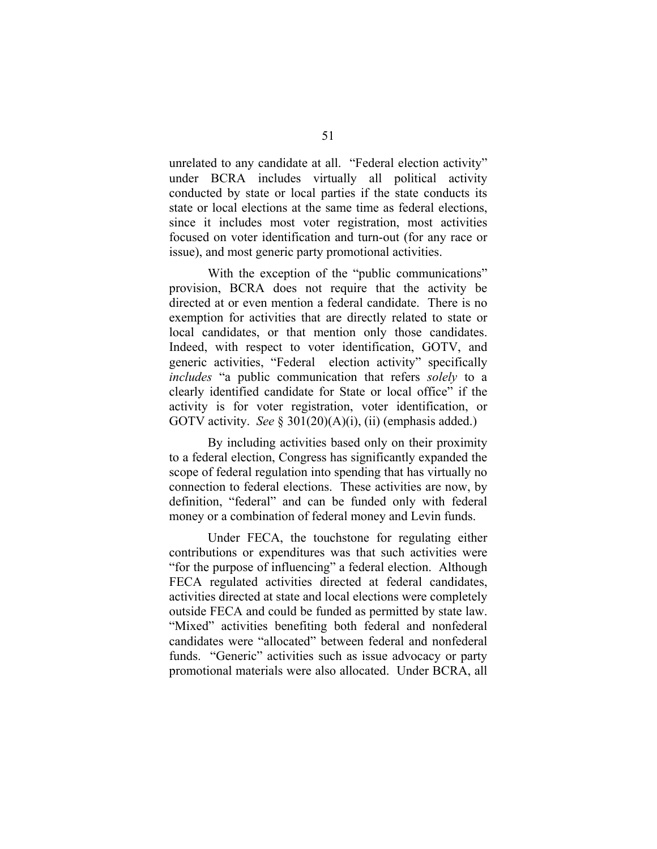unrelated to any candidate at all. "Federal election activity" under BCRA includes virtually all political activity conducted by state or local parties if the state conducts its state or local elections at the same time as federal elections, since it includes most voter registration, most activities focused on voter identification and turn-out (for any race or issue), and most generic party promotional activities.

With the exception of the "public communications" provision, BCRA does not require that the activity be directed at or even mention a federal candidate. There is no exemption for activities that are directly related to state or local candidates, or that mention only those candidates. Indeed, with respect to voter identification, GOTV, and generic activities, "Federal election activity" specifically *includes* "a public communication that refers *solely* to a clearly identified candidate for State or local office" if the activity is for voter registration, voter identification, or GOTV activity. *See* § 301(20)(A)(i), (ii) (emphasis added.)

By including activities based only on their proximity to a federal election, Congress has significantly expanded the scope of federal regulation into spending that has virtually no connection to federal elections. These activities are now, by definition, "federal" and can be funded only with federal money or a combination of federal money and Levin funds.

Under FECA, the touchstone for regulating either contributions or expenditures was that such activities were "for the purpose of influencing" a federal election. Although FECA regulated activities directed at federal candidates, activities directed at state and local elections were completely outside FECA and could be funded as permitted by state law. "Mixed" activities benefiting both federal and nonfederal candidates were "allocated" between federal and nonfederal funds. "Generic" activities such as issue advocacy or party promotional materials were also allocated. Under BCRA, all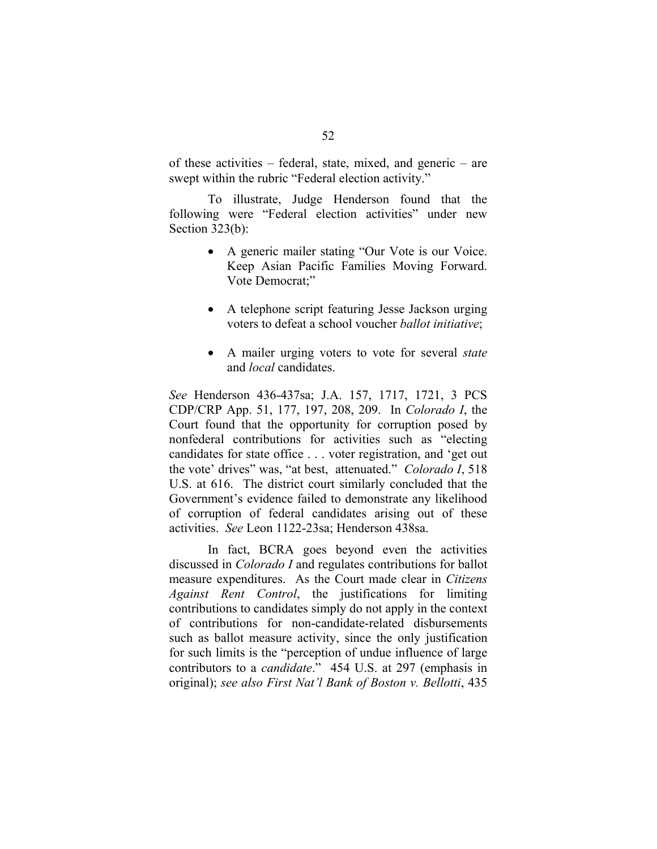of these activities – federal, state, mixed, and generic – are swept within the rubric "Federal election activity."

To illustrate, Judge Henderson found that the following were "Federal election activities" under new Section 323(b):

- A generic mailer stating "Our Vote is our Voice. Keep Asian Pacific Families Moving Forward. Vote Democrat;"
- A telephone script featuring Jesse Jackson urging voters to defeat a school voucher *ballot initiative*;
- A mailer urging voters to vote for several *state*  and *local* candidates.

*See* Henderson 436-437sa; J.A. 157, 1717, 1721, 3 PCS CDP/CRP App. 51, 177, 197, 208, 209. In *Colorado I*, the Court found that the opportunity for corruption posed by nonfederal contributions for activities such as "electing candidates for state office . . . voter registration, and 'get out the vote' drives" was, "at best, attenuated." *Colorado I*, 518 U.S. at 616. The district court similarly concluded that the Government's evidence failed to demonstrate any likelihood of corruption of federal candidates arising out of these activities. *See* Leon 1122-23sa; Henderson 438sa.

In fact, BCRA goes beyond even the activities discussed in *Colorado I* and regulates contributions for ballot measure expenditures. As the Court made clear in *Citizens Against Rent Control*, the justifications for limiting contributions to candidates simply do not apply in the context of contributions for non-candidate-related disbursements such as ballot measure activity, since the only justification for such limits is the "perception of undue influence of large contributors to a *candidate*." 454 U.S. at 297 (emphasis in original); *see also First Nat'l Bank of Boston v. Bellotti*, 435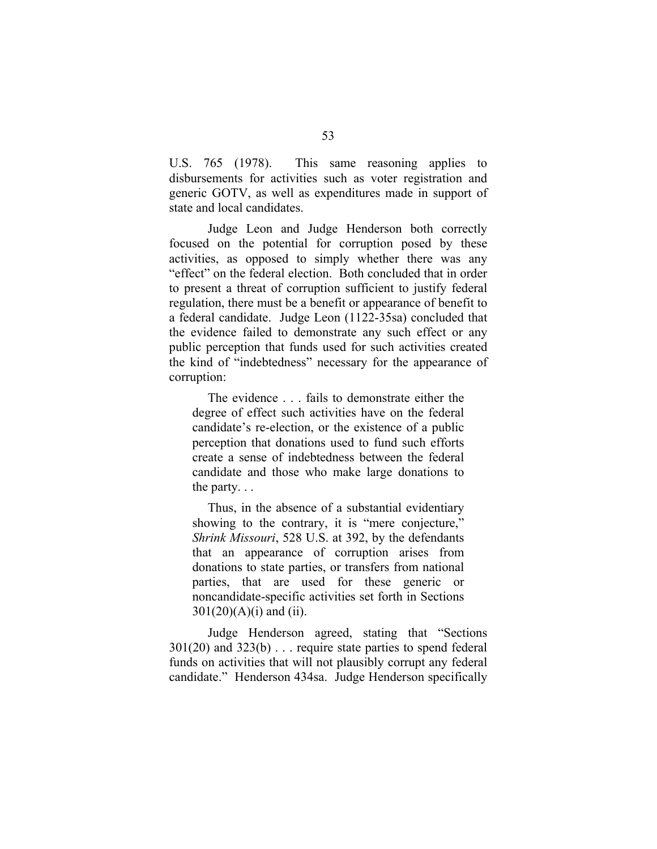U.S. 765 (1978). This same reasoning applies to disbursements for activities such as voter registration and generic GOTV, as well as expenditures made in support of state and local candidates.

Judge Leon and Judge Henderson both correctly focused on the potential for corruption posed by these activities, as opposed to simply whether there was any "effect" on the federal election. Both concluded that in order to present a threat of corruption sufficient to justify federal regulation, there must be a benefit or appearance of benefit to a federal candidate. Judge Leon (1122-35sa) concluded that the evidence failed to demonstrate any such effect or any public perception that funds used for such activities created the kind of "indebtedness" necessary for the appearance of corruption:

The evidence . . . fails to demonstrate either the degree of effect such activities have on the federal candidate's re-election, or the existence of a public perception that donations used to fund such efforts create a sense of indebtedness between the federal candidate and those who make large donations to the party. . .

Thus, in the absence of a substantial evidentiary showing to the contrary, it is "mere conjecture," *Shrink Missouri*, 528 U.S. at 392, by the defendants that an appearance of corruption arises from donations to state parties, or transfers from national parties, that are used for these generic or noncandidate-specific activities set forth in Sections  $301(20)(A)(i)$  and (ii).

Judge Henderson agreed, stating that "Sections 301(20) and 323(b) . . . require state parties to spend federal funds on activities that will not plausibly corrupt any federal candidate." Henderson 434sa. Judge Henderson specifically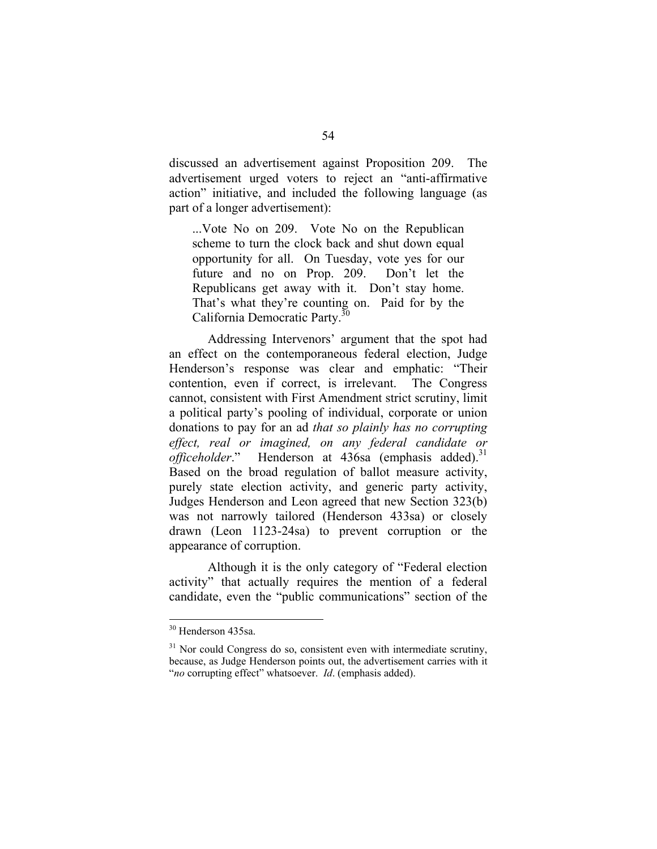discussed an advertisement against Proposition 209. The advertisement urged voters to reject an "anti-affirmative action" initiative, and included the following language (as part of a longer advertisement):

...Vote No on 209. Vote No on the Republican scheme to turn the clock back and shut down equal opportunity for all. On Tuesday, vote yes for our future and no on Prop. 209. Don't let the Republicans get away with it. Don't stay home. That's what they're counting on. Paid for by the California Democratic Party.<sup>30</sup>

Addressing Intervenors' argument that the spot had an effect on the contemporaneous federal election, Judge Henderson's response was clear and emphatic: "Their contention, even if correct, is irrelevant. The Congress cannot, consistent with First Amendment strict scrutiny, limit a political party's pooling of individual, corporate or union donations to pay for an ad *that so plainly has no corrupting effect, real or imagined, on any federal candidate or officeholder*." Henderson at 436sa (emphasis added).<sup>31</sup> Based on the broad regulation of ballot measure activity, purely state election activity, and generic party activity, Judges Henderson and Leon agreed that new Section 323(b) was not narrowly tailored (Henderson 433sa) or closely drawn (Leon 1123-24sa) to prevent corruption or the appearance of corruption.

Although it is the only category of "Federal election activity" that actually requires the mention of a federal candidate, even the "public communications" section of the

<sup>30</sup> Henderson 435sa.

 $31$  Nor could Congress do so, consistent even with intermediate scrutiny, because, as Judge Henderson points out, the advertisement carries with it "*no* corrupting effect" whatsoever. *Id*. (emphasis added).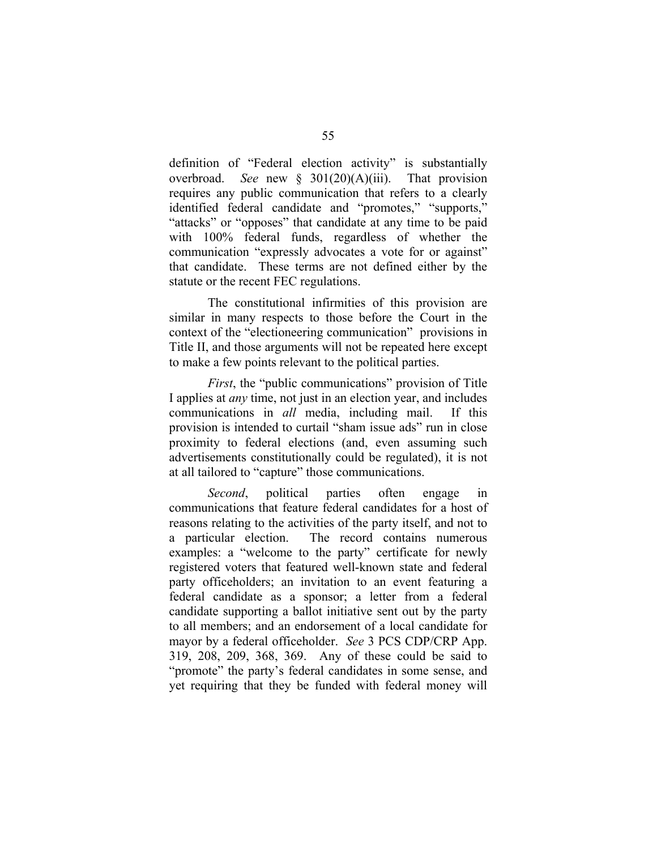definition of "Federal election activity" is substantially overbroad. *See* new § 301(20)(A)(iii). That provision requires any public communication that refers to a clearly identified federal candidate and "promotes," "supports," "attacks" or "opposes" that candidate at any time to be paid with 100% federal funds, regardless of whether the communication "expressly advocates a vote for or against" that candidate. These terms are not defined either by the statute or the recent FEC regulations.

The constitutional infirmities of this provision are similar in many respects to those before the Court in the context of the "electioneering communication" provisions in Title II, and those arguments will not be repeated here except to make a few points relevant to the political parties.

*First*, the "public communications" provision of Title I applies at *any* time, not just in an election year, and includes communications in *all* media, including mail. If this provision is intended to curtail "sham issue ads" run in close proximity to federal elections (and, even assuming such advertisements constitutionally could be regulated), it is not at all tailored to "capture" those communications.

*Second*, political parties often engage in communications that feature federal candidates for a host of reasons relating to the activities of the party itself, and not to a particular election. The record contains numerous examples: a "welcome to the party" certificate for newly registered voters that featured well-known state and federal party officeholders; an invitation to an event featuring a federal candidate as a sponsor; a letter from a federal candidate supporting a ballot initiative sent out by the party to all members; and an endorsement of a local candidate for mayor by a federal officeholder. *See* 3 PCS CDP/CRP App. 319, 208, 209, 368, 369. Any of these could be said to "promote" the party's federal candidates in some sense, and yet requiring that they be funded with federal money will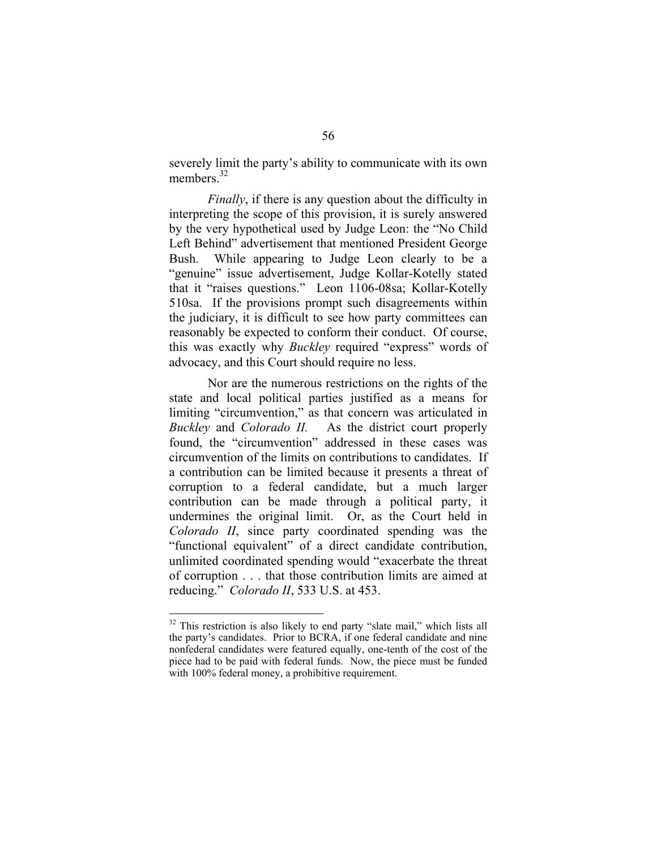severely limit the party's ability to communicate with its own members.<sup>32</sup>

*Finally*, if there is any question about the difficulty in interpreting the scope of this provision, it is surely answered by the very hypothetical used by Judge Leon: the "No Child Left Behind" advertisement that mentioned President George Bush. While appearing to Judge Leon clearly to be a "genuine" issue advertisement, Judge Kollar-Kotelly stated that it "raises questions." Leon 1106-08sa; Kollar-Kotelly 510sa. If the provisions prompt such disagreements within the judiciary, it is difficult to see how party committees can reasonably be expected to conform their conduct. Of course, this was exactly why *Buckley* required "express" words of advocacy, and this Court should require no less.

Nor are the numerous restrictions on the rights of the state and local political parties justified as a means for limiting "circumvention," as that concern was articulated in *Buckley* and *Colorado II.* As the district court properly found, the "circumvention" addressed in these cases was circumvention of the limits on contributions to candidates. If a contribution can be limited because it presents a threat of corruption to a federal candidate, but a much larger contribution can be made through a political party, it undermines the original limit. Or, as the Court held in *Colorado II*, since party coordinated spending was the "functional equivalent" of a direct candidate contribution, unlimited coordinated spending would "exacerbate the threat of corruption . . . that those contribution limits are aimed at reducing." *Colorado II*, 533 U.S. at 453.

<sup>&</sup>lt;sup>32</sup> This restriction is also likely to end party "slate mail," which lists all the party's candidates. Prior to BCRA, if one federal candidate and nine nonfederal candidates were featured equally, one-tenth of the cost of the piece had to be paid with federal funds. Now, the piece must be funded with 100% federal money, a prohibitive requirement.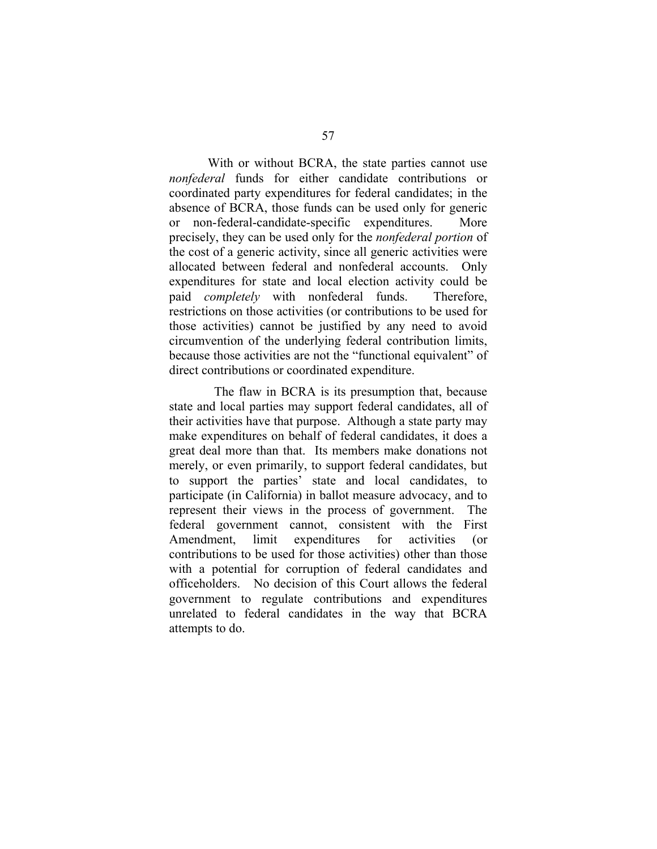With or without BCRA, the state parties cannot use *nonfederal* funds for either candidate contributions or coordinated party expenditures for federal candidates; in the absence of BCRA, those funds can be used only for generic or non-federal-candidate-specific expenditures. More precisely, they can be used only for the *nonfederal portion* of the cost of a generic activity, since all generic activities were allocated between federal and nonfederal accounts. Only expenditures for state and local election activity could be paid *completely* with nonfederal funds. Therefore, restrictions on those activities (or contributions to be used for those activities) cannot be justified by any need to avoid circumvention of the underlying federal contribution limits, because those activities are not the "functional equivalent" of direct contributions or coordinated expenditure.

The flaw in BCRA is its presumption that, because state and local parties may support federal candidates, all of their activities have that purpose. Although a state party may make expenditures on behalf of federal candidates, it does a great deal more than that. Its members make donations not merely, or even primarily, to support federal candidates, but to support the parties' state and local candidates, to participate (in California) in ballot measure advocacy, and to represent their views in the process of government. The federal government cannot, consistent with the First Amendment, limit expenditures for activities (or contributions to be used for those activities) other than those with a potential for corruption of federal candidates and officeholders. No decision of this Court allows the federal government to regulate contributions and expenditures unrelated to federal candidates in the way that BCRA attempts to do.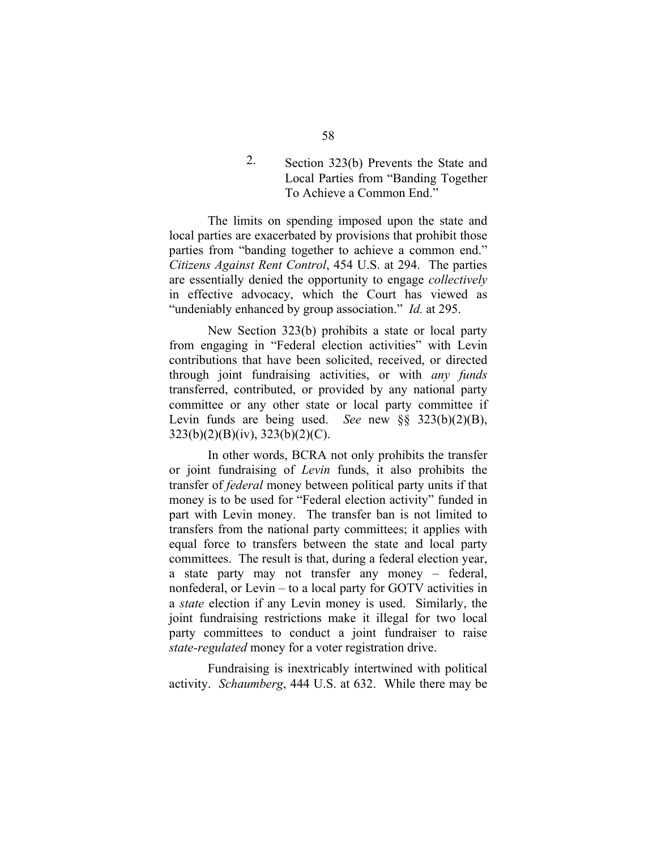2. Section 323(b) Prevents the State and Local Parties from "Banding Together To Achieve a Common End."

The limits on spending imposed upon the state and local parties are exacerbated by provisions that prohibit those parties from "banding together to achieve a common end." *Citizens Against Rent Control*, 454 U.S. at 294. The parties are essentially denied the opportunity to engage *collectively*  in effective advocacy, which the Court has viewed as "undeniably enhanced by group association." *Id.* at 295.

New Section 323(b) prohibits a state or local party from engaging in "Federal election activities" with Levin contributions that have been solicited, received, or directed through joint fundraising activities, or with *any funds*  transferred, contributed, or provided by any national party committee or any other state or local party committee if Levin funds are being used. *See* new §§ 323(b)(2)(B), 323(b)(2)(B)(iv), 323(b)(2)(C).

In other words, BCRA not only prohibits the transfer or joint fundraising of *Levin* funds, it also prohibits the transfer of *federal* money between political party units if that money is to be used for "Federal election activity" funded in part with Levin money. The transfer ban is not limited to transfers from the national party committees; it applies with equal force to transfers between the state and local party committees. The result is that, during a federal election year, a state party may not transfer any money – federal, nonfederal, or Levin – to a local party for GOTV activities in a *state* election if any Levin money is used. Similarly, the joint fundraising restrictions make it illegal for two local party committees to conduct a joint fundraiser to raise *state-regulated* money for a voter registration drive.

Fundraising is inextricably intertwined with political activity. *Schaumberg*, 444 U.S. at 632. While there may be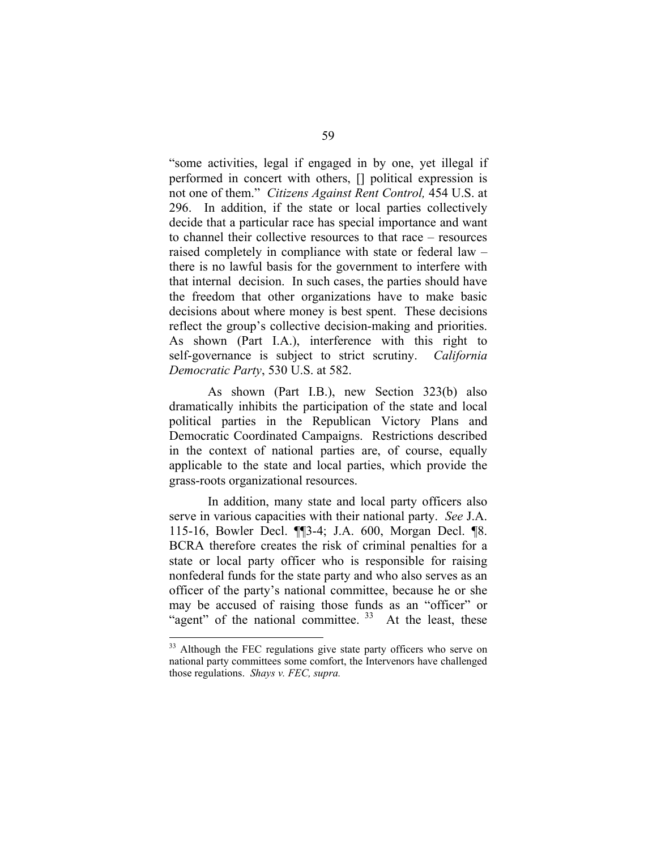"some activities, legal if engaged in by one, yet illegal if performed in concert with others, [] political expression is not one of them." *Citizens Against Rent Control,* 454 U.S. at 296. In addition, if the state or local parties collectively decide that a particular race has special importance and want to channel their collective resources to that race – resources raised completely in compliance with state or federal law – there is no lawful basis for the government to interfere with that internal decision. In such cases, the parties should have the freedom that other organizations have to make basic decisions about where money is best spent. These decisions reflect the group's collective decision-making and priorities. As shown (Part I.A.), interference with this right to self-governance is subject to strict scrutiny. *California Democratic Party*, 530 U.S. at 582.

As shown (Part I.B.), new Section 323(b) also dramatically inhibits the participation of the state and local political parties in the Republican Victory Plans and Democratic Coordinated Campaigns. Restrictions described in the context of national parties are, of course, equally applicable to the state and local parties, which provide the grass-roots organizational resources.

In addition, many state and local party officers also serve in various capacities with their national party. *See* J.A. 115-16, Bowler Decl. ¶¶3-4; J.A. 600, Morgan Decl. ¶8. BCRA therefore creates the risk of criminal penalties for a state or local party officer who is responsible for raising nonfederal funds for the state party and who also serves as an officer of the party's national committee, because he or she may be accused of raising those funds as an "officer" or "agent" of the national committee.  $33$  At the least, these

<sup>&</sup>lt;sup>33</sup> Although the FEC regulations give state party officers who serve on national party committees some comfort, the Intervenors have challenged those regulations. *Shays v. FEC, supra.*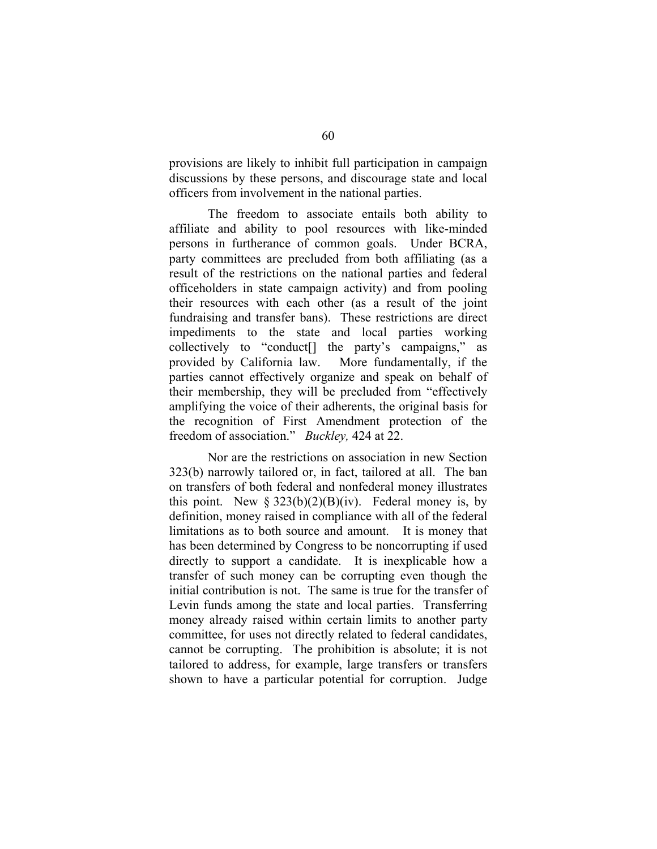provisions are likely to inhibit full participation in campaign discussions by these persons, and discourage state and local officers from involvement in the national parties.

The freedom to associate entails both ability to affiliate and ability to pool resources with like-minded persons in furtherance of common goals. Under BCRA, party committees are precluded from both affiliating (as a result of the restrictions on the national parties and federal officeholders in state campaign activity) and from pooling their resources with each other (as a result of the joint fundraising and transfer bans). These restrictions are direct impediments to the state and local parties working collectively to "conduct[] the party's campaigns," as provided by California law. More fundamentally, if the parties cannot effectively organize and speak on behalf of their membership, they will be precluded from "effectively amplifying the voice of their adherents, the original basis for the recognition of First Amendment protection of the freedom of association." *Buckley,* 424 at 22.

Nor are the restrictions on association in new Section 323(b) narrowly tailored or, in fact, tailored at all. The ban on transfers of both federal and nonfederal money illustrates this point. New  $\S 323(b)(2)(B)(iv)$ . Federal money is, by definition, money raised in compliance with all of the federal limitations as to both source and amount. It is money that has been determined by Congress to be noncorrupting if used directly to support a candidate. It is inexplicable how a transfer of such money can be corrupting even though the initial contribution is not. The same is true for the transfer of Levin funds among the state and local parties. Transferring money already raised within certain limits to another party committee, for uses not directly related to federal candidates, cannot be corrupting. The prohibition is absolute; it is not tailored to address, for example, large transfers or transfers shown to have a particular potential for corruption. Judge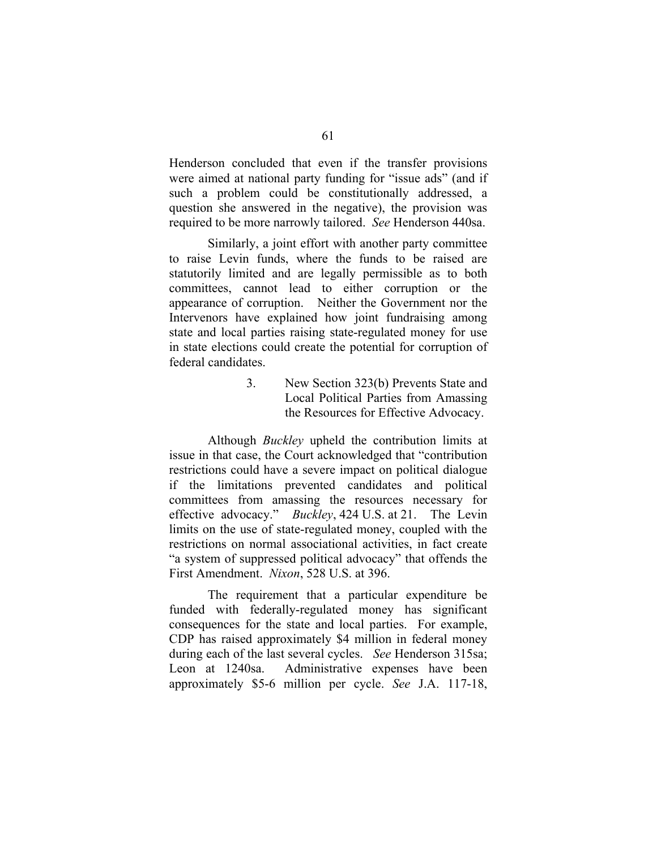Henderson concluded that even if the transfer provisions were aimed at national party funding for "issue ads" (and if such a problem could be constitutionally addressed, a question she answered in the negative), the provision was required to be more narrowly tailored. *See* Henderson 440sa.

Similarly, a joint effort with another party committee to raise Levin funds, where the funds to be raised are statutorily limited and are legally permissible as to both committees, cannot lead to either corruption or the appearance of corruption. Neither the Government nor the Intervenors have explained how joint fundraising among state and local parties raising state-regulated money for use in state elections could create the potential for corruption of federal candidates.

> 3. New Section 323(b) Prevents State and Local Political Parties from Amassing the Resources for Effective Advocacy.

Although *Buckley* upheld the contribution limits at issue in that case, the Court acknowledged that "contribution restrictions could have a severe impact on political dialogue if the limitations prevented candidates and political committees from amassing the resources necessary for effective advocacy." *Buckley*, 424 U.S. at 21. The Levin limits on the use of state-regulated money, coupled with the restrictions on normal associational activities, in fact create "a system of suppressed political advocacy" that offends the First Amendment. *Nixon*, 528 U.S. at 396.

The requirement that a particular expenditure be funded with federally-regulated money has significant consequences for the state and local parties. For example, CDP has raised approximately \$4 million in federal money during each of the last several cycles. *See* Henderson 315sa; Leon at 1240sa. Administrative expenses have been approximately \$5-6 million per cycle. *See* J.A. 117-18,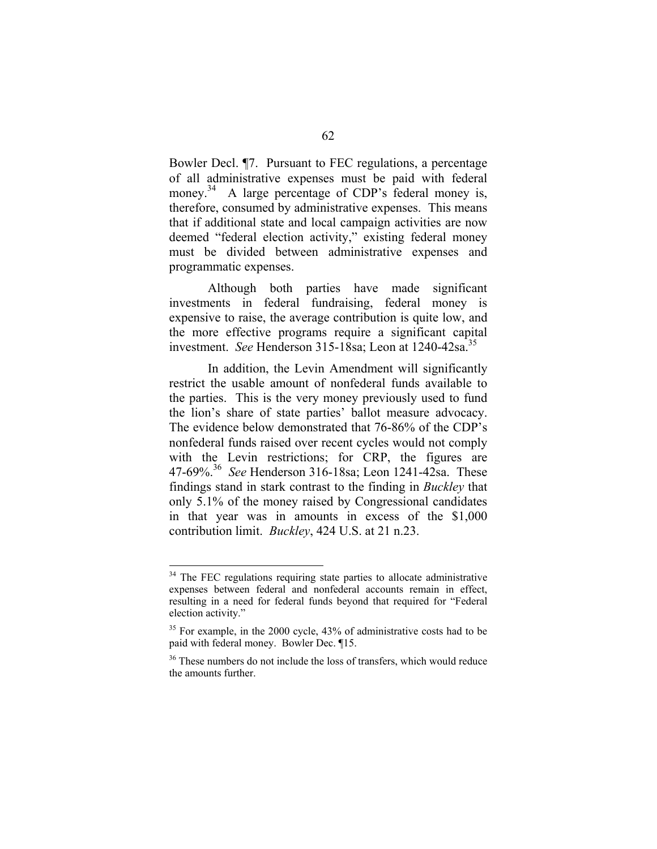Bowler Decl. ¶7. Pursuant to FEC regulations, a percentage of all administrative expenses must be paid with federal money.<sup>34</sup> A large percentage of CDP's federal money is, therefore, consumed by administrative expenses. This means that if additional state and local campaign activities are now deemed "federal election activity," existing federal money must be divided between administrative expenses and programmatic expenses.

Although both parties have made significant investments in federal fundraising, federal money is expensive to raise, the average contribution is quite low, and the more effective programs require a significant capital investment. *See* Henderson 315-18sa; Leon at 1240-42sa.<sup>35</sup>

In addition, the Levin Amendment will significantly restrict the usable amount of nonfederal funds available to the parties. This is the very money previously used to fund the lion's share of state parties' ballot measure advocacy. The evidence below demonstrated that 76-86% of the CDP's nonfederal funds raised over recent cycles would not comply with the Levin restrictions; for CRP, the figures are 47-69%.36 *See* Henderson 316-18sa; Leon 1241-42sa. These findings stand in stark contrast to the finding in *Buckley* that only 5.1% of the money raised by Congressional candidates in that year was in amounts in excess of the \$1,000 contribution limit. *Buckley*, 424 U.S. at 21 n.23.

<sup>&</sup>lt;sup>34</sup> The FEC regulations requiring state parties to allocate administrative expenses between federal and nonfederal accounts remain in effect, resulting in a need for federal funds beyond that required for "Federal election activity."

<sup>&</sup>lt;sup>35</sup> For example, in the 2000 cycle, 43% of administrative costs had to be paid with federal money. Bowler Dec. ¶15.

<sup>&</sup>lt;sup>36</sup> These numbers do not include the loss of transfers, which would reduce the amounts further.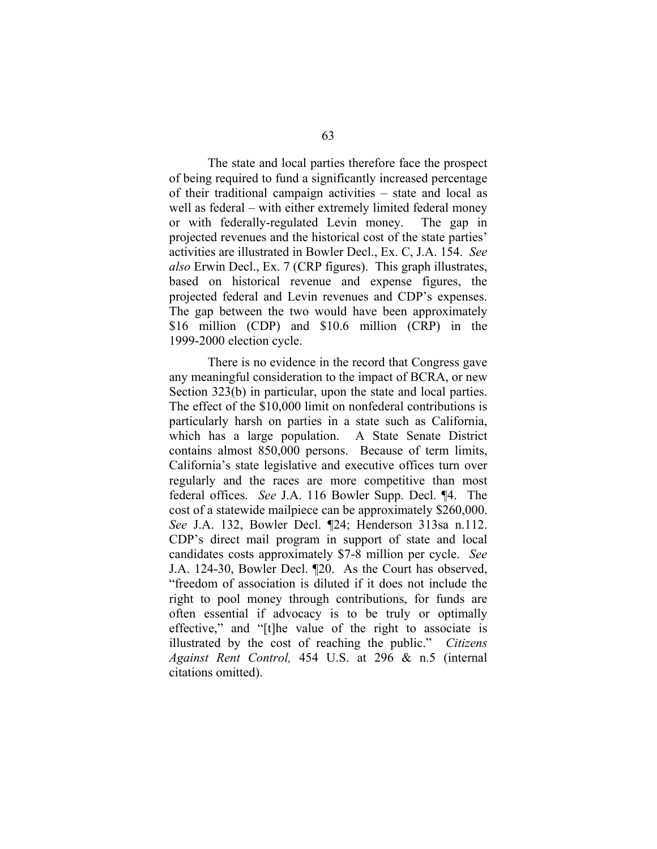The state and local parties therefore face the prospect of being required to fund a significantly increased percentage of their traditional campaign activities – state and local as well as federal – with either extremely limited federal money or with federally-regulated Levin money. The gap in projected revenues and the historical cost of the state parties' activities are illustrated in Bowler Decl., Ex. C, J.A. 154. *See also* Erwin Decl., Ex. 7 (CRP figures). This graph illustrates, based on historical revenue and expense figures, the projected federal and Levin revenues and CDP's expenses. The gap between the two would have been approximately \$16 million (CDP) and \$10.6 million (CRP) in the 1999-2000 election cycle.

There is no evidence in the record that Congress gave any meaningful consideration to the impact of BCRA, or new Section 323(b) in particular, upon the state and local parties. The effect of the \$10,000 limit on nonfederal contributions is particularly harsh on parties in a state such as California, which has a large population. A State Senate District contains almost 850,000 persons. Because of term limits, California's state legislative and executive offices turn over regularly and the races are more competitive than most federal offices. *See* J.A. 116 Bowler Supp. Decl. ¶4. The cost of a statewide mailpiece can be approximately \$260,000. *See* J.A. 132, Bowler Decl. ¶24; Henderson 313sa n.112. CDP's direct mail program in support of state and local candidates costs approximately \$7-8 million per cycle. *See*  J.A. 124-30, Bowler Decl. ¶20. As the Court has observed, "freedom of association is diluted if it does not include the right to pool money through contributions, for funds are often essential if advocacy is to be truly or optimally effective," and "[t]he value of the right to associate is illustrated by the cost of reaching the public." *Citizens Against Rent Control,* 454 U.S. at 296 & n.5 (internal citations omitted).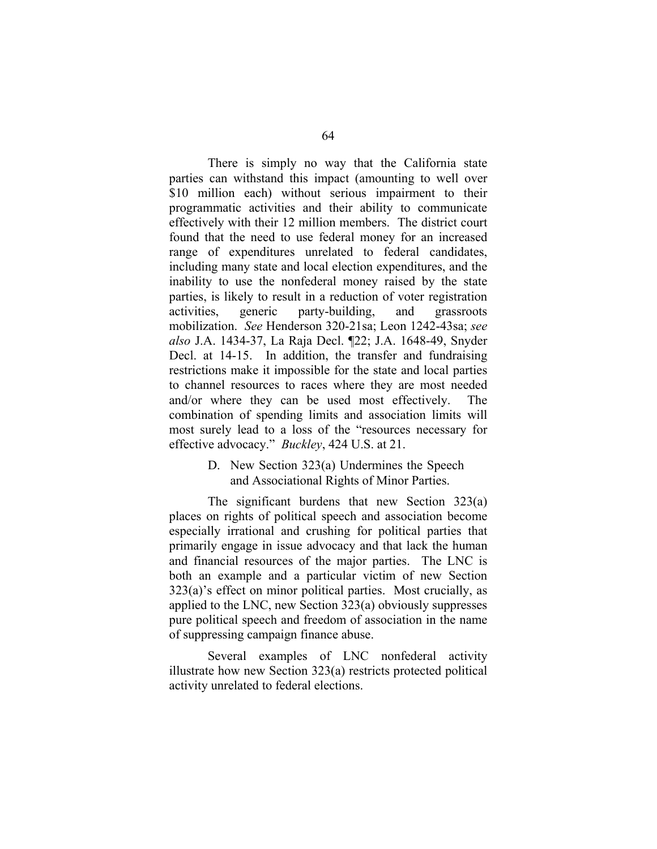There is simply no way that the California state parties can withstand this impact (amounting to well over \$10 million each) without serious impairment to their programmatic activities and their ability to communicate effectively with their 12 million members. The district court found that the need to use federal money for an increased range of expenditures unrelated to federal candidates, including many state and local election expenditures, and the inability to use the nonfederal money raised by the state parties, is likely to result in a reduction of voter registration activities, generic party-building, and grassroots mobilization. *See* Henderson 320-21sa; Leon 1242-43sa; *see also* J.A. 1434-37, La Raja Decl. ¶22; J.A. 1648-49, Snyder Decl. at 14-15. In addition, the transfer and fundraising restrictions make it impossible for the state and local parties to channel resources to races where they are most needed and/or where they can be used most effectively. The combination of spending limits and association limits will most surely lead to a loss of the "resources necessary for effective advocacy." *Buckley*, 424 U.S. at 21.

## D. New Section 323(a) Undermines the Speech and Associational Rights of Minor Parties.

The significant burdens that new Section 323(a) places on rights of political speech and association become especially irrational and crushing for political parties that primarily engage in issue advocacy and that lack the human and financial resources of the major parties. The LNC is both an example and a particular victim of new Section 323(a)'s effect on minor political parties. Most crucially, as applied to the LNC, new Section 323(a) obviously suppresses pure political speech and freedom of association in the name of suppressing campaign finance abuse.

Several examples of LNC nonfederal activity illustrate how new Section 323(a) restricts protected political activity unrelated to federal elections.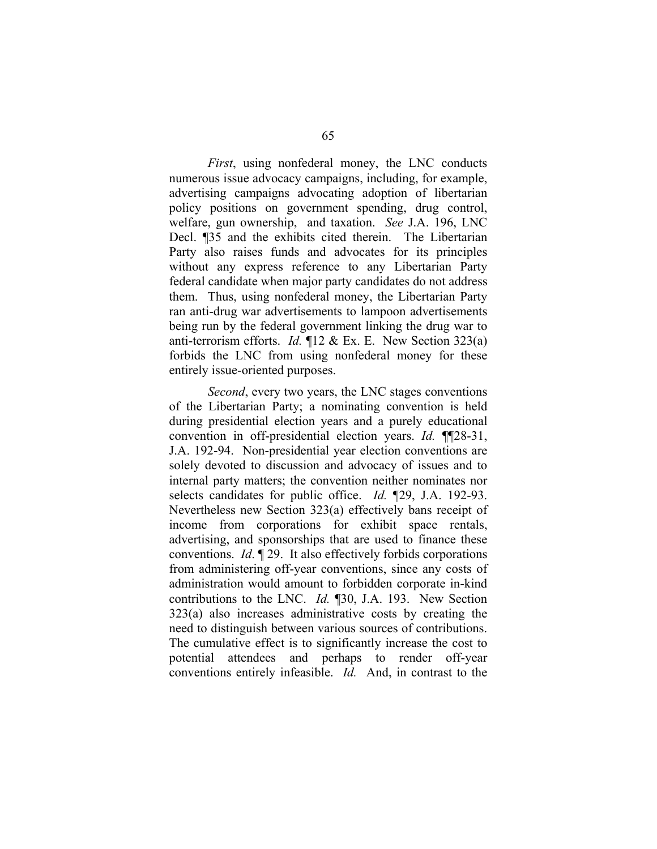*First*, using nonfederal money, the LNC conducts numerous issue advocacy campaigns, including, for example, advertising campaigns advocating adoption of libertarian policy positions on government spending, drug control, welfare, gun ownership, and taxation. *See* J.A. 196, LNC Decl. ¶35 and the exhibits cited therein. The Libertarian Party also raises funds and advocates for its principles without any express reference to any Libertarian Party federal candidate when major party candidates do not address them. Thus, using nonfederal money, the Libertarian Party ran anti-drug war advertisements to lampoon advertisements being run by the federal government linking the drug war to anti-terrorism efforts. *Id.* ¶12 & Ex. E. New Section 323(a) forbids the LNC from using nonfederal money for these entirely issue-oriented purposes.

*Second*, every two years, the LNC stages conventions of the Libertarian Party; a nominating convention is held during presidential election years and a purely educational convention in off-presidential election years. *Id.* ¶¶28-31, J.A. 192-94. Non-presidential year election conventions are solely devoted to discussion and advocacy of issues and to internal party matters; the convention neither nominates nor selects candidates for public office. *Id.* ¶29, J.A. 192-93. Nevertheless new Section 323(a) effectively bans receipt of income from corporations for exhibit space rentals, advertising, and sponsorships that are used to finance these conventions. *Id*. ¶ 29. It also effectively forbids corporations from administering off-year conventions, since any costs of administration would amount to forbidden corporate in-kind contributions to the LNC. *Id.* ¶30, J.A. 193. New Section 323(a) also increases administrative costs by creating the need to distinguish between various sources of contributions. The cumulative effect is to significantly increase the cost to potential attendees and perhaps to render off-year conventions entirely infeasible. *Id.* And, in contrast to the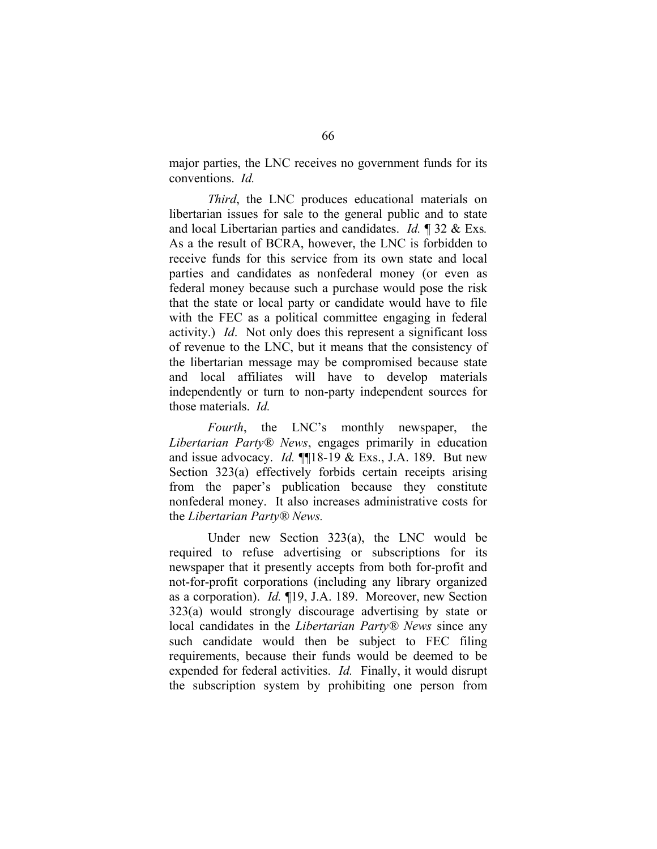major parties, the LNC receives no government funds for its conventions. *Id.* 

*Third*, the LNC produces educational materials on libertarian issues for sale to the general public and to state and local Libertarian parties and candidates. *Id.* ¶ 32 & Exs*.*  As a the result of BCRA, however, the LNC is forbidden to receive funds for this service from its own state and local parties and candidates as nonfederal money (or even as federal money because such a purchase would pose the risk that the state or local party or candidate would have to file with the FEC as a political committee engaging in federal activity.) *Id*. Not only does this represent a significant loss of revenue to the LNC, but it means that the consistency of the libertarian message may be compromised because state and local affiliates will have to develop materials independently or turn to non-party independent sources for those materials. *Id.* 

*Fourth*, the LNC's monthly newspaper, the *Libertarian Party® News*, engages primarily in education and issue advocacy. *Id.* ¶¶18-19 & Exs., J.A. 189. But new Section 323(a) effectively forbids certain receipts arising from the paper's publication because they constitute nonfederal money. It also increases administrative costs for the *Libertarian Party® News.* 

Under new Section 323(a), the LNC would be required to refuse advertising or subscriptions for its newspaper that it presently accepts from both for-profit and not-for-profit corporations (including any library organized as a corporation). *Id.* ¶19, J.A. 189. Moreover, new Section 323(a) would strongly discourage advertising by state or local candidates in the *Libertarian Party® News* since any such candidate would then be subject to FEC filing requirements, because their funds would be deemed to be expended for federal activities. *Id.* Finally, it would disrupt the subscription system by prohibiting one person from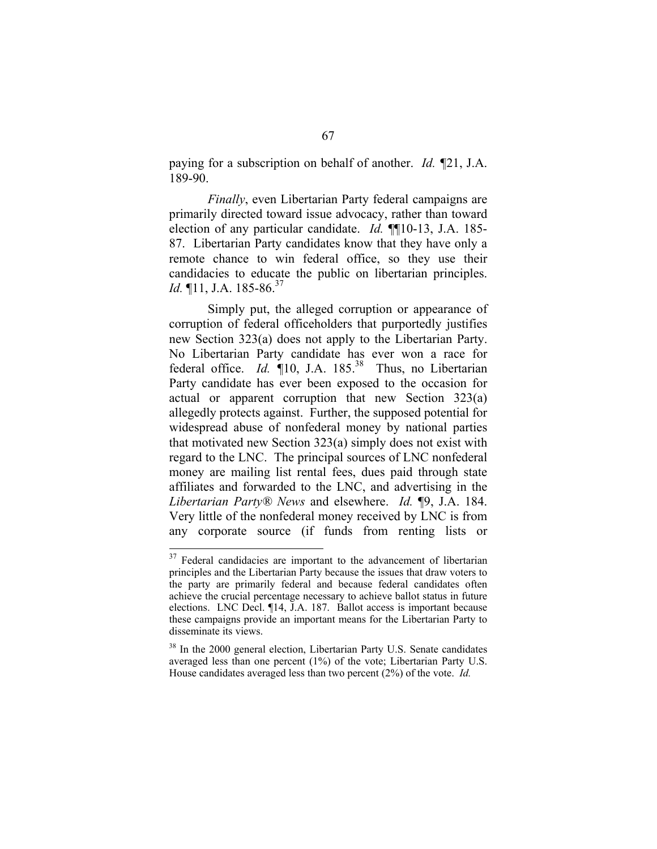paying for a subscription on behalf of another. *Id. ¶*21, J.A. 189-90.

*Finally*, even Libertarian Party federal campaigns are primarily directed toward issue advocacy, rather than toward election of any particular candidate. *Id.* ¶¶10-13, J.A. 185- 87. Libertarian Party candidates know that they have only a remote chance to win federal office, so they use their candidacies to educate the public on libertarian principles. *Id.* ¶11, J.A. 185-86.<sup>37</sup>

Simply put, the alleged corruption or appearance of corruption of federal officeholders that purportedly justifies new Section 323(a) does not apply to the Libertarian Party. No Libertarian Party candidate has ever won a race for federal office. *Id.* **10**, J.A. 185.<sup>38</sup> Thus, no Libertarian Party candidate has ever been exposed to the occasion for actual or apparent corruption that new Section 323(a) allegedly protects against. Further, the supposed potential for widespread abuse of nonfederal money by national parties that motivated new Section 323(a) simply does not exist with regard to the LNC. The principal sources of LNC nonfederal money are mailing list rental fees, dues paid through state affiliates and forwarded to the LNC, and advertising in the *Libertarian Party® News* and elsewhere. *Id.* ¶9, J.A. 184. Very little of the nonfederal money received by LNC is from any corporate source (if funds from renting lists or

<sup>&</sup>lt;sup>37</sup> Federal candidacies are important to the advancement of libertarian principles and the Libertarian Party because the issues that draw voters to the party are primarily federal and because federal candidates often achieve the crucial percentage necessary to achieve ballot status in future elections. LNC Decl. ¶14, J.A. 187. Ballot access is important because these campaigns provide an important means for the Libertarian Party to disseminate its views.

<sup>&</sup>lt;sup>38</sup> In the 2000 general election, Libertarian Party U.S. Senate candidates averaged less than one percent (1%) of the vote; Libertarian Party U.S. House candidates averaged less than two percent (2%) of the vote. *Id.*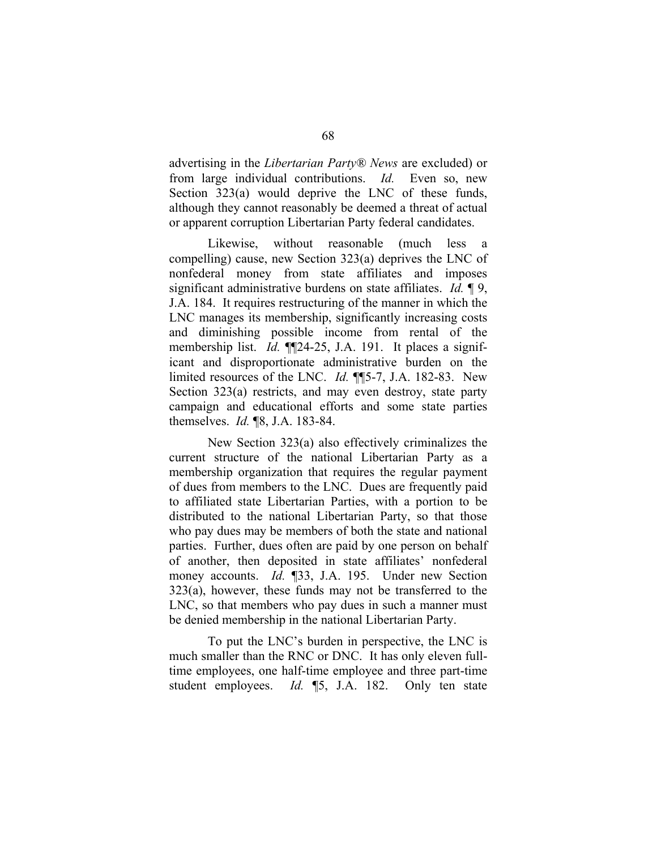advertising in the *Libertarian Party® News* are excluded) or from large individual contributions. *Id.* Even so, new Section 323(a) would deprive the LNC of these funds, although they cannot reasonably be deemed a threat of actual or apparent corruption Libertarian Party federal candidates.

Likewise, without reasonable (much less a compelling) cause, new Section 323(a) deprives the LNC of nonfederal money from state affiliates and imposes significant administrative burdens on state affiliates. *Id.* ¶ 9, J.A. 184. It requires restructuring of the manner in which the LNC manages its membership, significantly increasing costs and diminishing possible income from rental of the membership list. *Id.* ¶¶24-25, J.A. 191. It places a significant and disproportionate administrative burden on the limited resources of the LNC. *Id.* ¶¶5-7, J.A. 182-83. New Section 323(a) restricts, and may even destroy, state party campaign and educational efforts and some state parties themselves. *Id.* ¶8, J.A. 183-84.

New Section 323(a) also effectively criminalizes the current structure of the national Libertarian Party as a membership organization that requires the regular payment of dues from members to the LNC. Dues are frequently paid to affiliated state Libertarian Parties, with a portion to be distributed to the national Libertarian Party, so that those who pay dues may be members of both the state and national parties. Further, dues often are paid by one person on behalf of another, then deposited in state affiliates' nonfederal money accounts. *Id.* ¶33, J.A. 195. Under new Section 323(a), however, these funds may not be transferred to the LNC, so that members who pay dues in such a manner must be denied membership in the national Libertarian Party.

To put the LNC's burden in perspective, the LNC is much smaller than the RNC or DNC. It has only eleven fulltime employees, one half-time employee and three part-time student employees. *Id.* ¶5, J.A. 182. Only ten state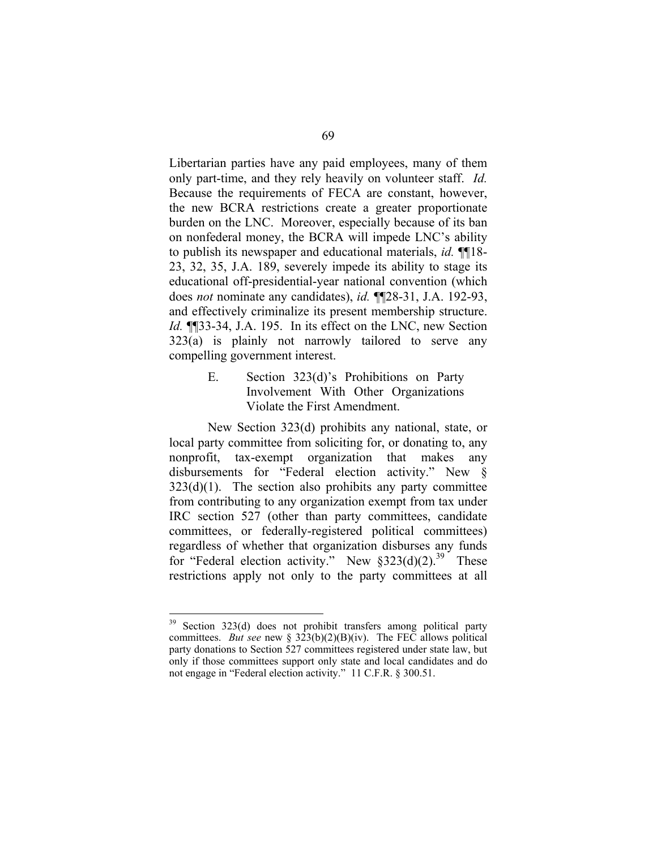Libertarian parties have any paid employees, many of them only part-time, and they rely heavily on volunteer staff. *Id.*  Because the requirements of FECA are constant, however, the new BCRA restrictions create a greater proportionate burden on the LNC. Moreover, especially because of its ban on nonfederal money, the BCRA will impede LNC's ability to publish its newspaper and educational materials, *id.* ¶¶18- 23, 32, 35, J.A. 189, severely impede its ability to stage its educational off-presidential-year national convention (which does *not* nominate any candidates), *id.* ¶¶28-31, J.A. 192-93, and effectively criminalize its present membership structure. *Id.* ¶¶33-34, J.A. 195. In its effect on the LNC, new Section 323(a) is plainly not narrowly tailored to serve any compelling government interest.

> E. Section 323(d)'s Prohibitions on Party Involvement With Other Organizations Violate the First Amendment.

New Section 323(d) prohibits any national, state, or local party committee from soliciting for, or donating to, any nonprofit, tax-exempt organization that makes any disbursements for "Federal election activity." New §  $323(d)(1)$ . The section also prohibits any party committee from contributing to any organization exempt from tax under IRC section 527 (other than party committees, candidate committees, or federally-registered political committees) regardless of whether that organization disburses any funds for "Federal election activity." New  $\S 323(d)(2)$ .<sup>39</sup> These restrictions apply not only to the party committees at all

<sup>&</sup>lt;sup>39</sup> Section 323(d) does not prohibit transfers among political party committees. *But see* new §  $323(b)(2)(B)(iv)$ . The FEC allows political party donations to Section 527 committees registered under state law, but only if those committees support only state and local candidates and do not engage in "Federal election activity." 11 C.F.R. § 300.51.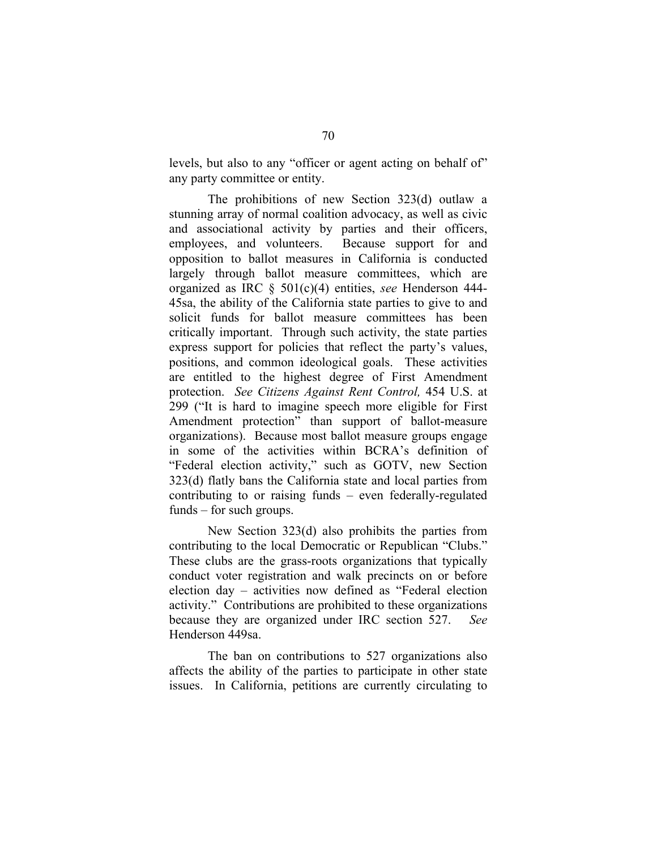levels, but also to any "officer or agent acting on behalf of" any party committee or entity.

The prohibitions of new Section 323(d) outlaw a stunning array of normal coalition advocacy, as well as civic and associational activity by parties and their officers, employees, and volunteers. Because support for and opposition to ballot measures in California is conducted largely through ballot measure committees, which are organized as IRC § 501(c)(4) entities, *see* Henderson 444- 45sa, the ability of the California state parties to give to and solicit funds for ballot measure committees has been critically important. Through such activity, the state parties express support for policies that reflect the party's values, positions, and common ideological goals. These activities are entitled to the highest degree of First Amendment protection. *See Citizens Against Rent Control,* 454 U.S. at 299 ("It is hard to imagine speech more eligible for First Amendment protection" than support of ballot-measure organizations). Because most ballot measure groups engage in some of the activities within BCRA's definition of "Federal election activity," such as GOTV, new Section 323(d) flatly bans the California state and local parties from contributing to or raising funds – even federally-regulated funds – for such groups.

New Section 323(d) also prohibits the parties from contributing to the local Democratic or Republican "Clubs." These clubs are the grass-roots organizations that typically conduct voter registration and walk precincts on or before election day – activities now defined as "Federal election activity." Contributions are prohibited to these organizations because they are organized under IRC section 527. *See*  Henderson 449sa.

The ban on contributions to 527 organizations also affects the ability of the parties to participate in other state issues. In California, petitions are currently circulating to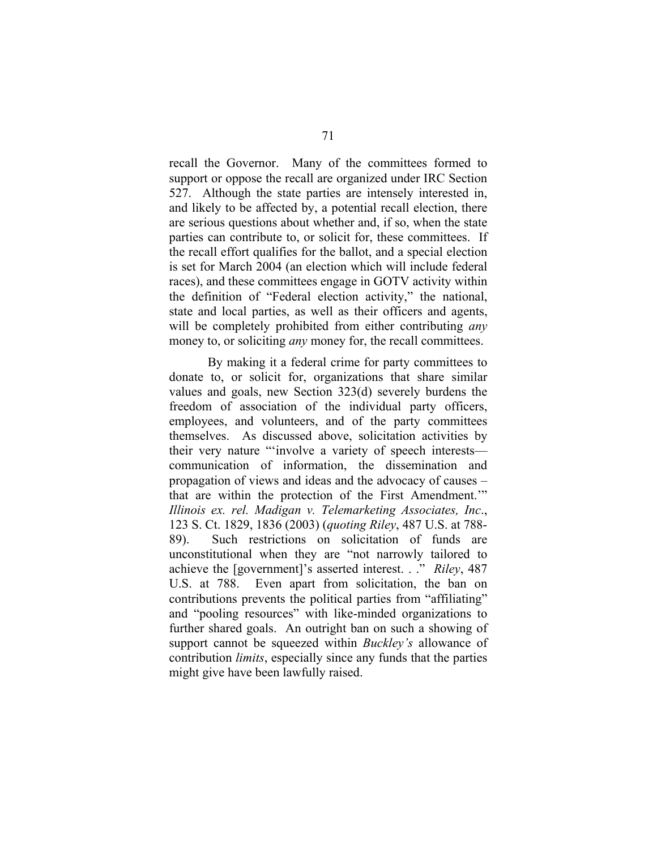recall the Governor. Many of the committees formed to support or oppose the recall are organized under IRC Section 527. Although the state parties are intensely interested in, and likely to be affected by, a potential recall election, there are serious questions about whether and, if so, when the state parties can contribute to, or solicit for, these committees. If the recall effort qualifies for the ballot, and a special election is set for March 2004 (an election which will include federal races), and these committees engage in GOTV activity within the definition of "Federal election activity," the national, state and local parties, as well as their officers and agents, will be completely prohibited from either contributing *any*  money to, or soliciting *any* money for, the recall committees.

By making it a federal crime for party committees to donate to, or solicit for, organizations that share similar values and goals, new Section 323(d) severely burdens the freedom of association of the individual party officers, employees, and volunteers, and of the party committees themselves. As discussed above, solicitation activities by their very nature "'involve a variety of speech interests communication of information, the dissemination and propagation of views and ideas and the advocacy of causes – that are within the protection of the First Amendment.'" *Illinois ex. rel. Madigan v. Telemarketing Associates, Inc*., 123 S. Ct. 1829, 1836 (2003) (*quoting Riley*, 487 U.S. at 788- 89). Such restrictions on solicitation of funds are unconstitutional when they are "not narrowly tailored to achieve the [government]'s asserted interest. . ." *Riley*, 487 U.S. at 788. Even apart from solicitation, the ban on contributions prevents the political parties from "affiliating" and "pooling resources" with like-minded organizations to further shared goals. An outright ban on such a showing of support cannot be squeezed within *Buckley's* allowance of contribution *limits*, especially since any funds that the parties might give have been lawfully raised.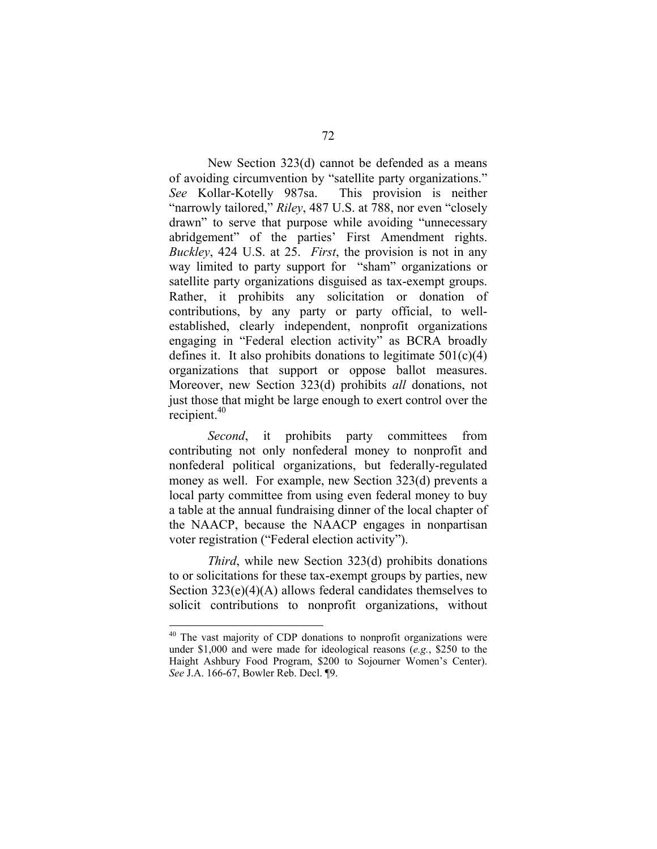New Section 323(d) cannot be defended as a means of avoiding circumvention by "satellite party organizations." *See* Kollar-Kotelly 987sa. This provision is neither "narrowly tailored," *Riley*, 487 U.S. at 788, nor even "closely drawn" to serve that purpose while avoiding "unnecessary abridgement" of the parties' First Amendment rights. *Buckley*, 424 U.S. at 25. *First*, the provision is not in any way limited to party support for "sham" organizations or satellite party organizations disguised as tax-exempt groups. Rather, it prohibits any solicitation or donation of contributions, by any party or party official, to wellestablished, clearly independent, nonprofit organizations engaging in "Federal election activity" as BCRA broadly defines it. It also prohibits donations to legitimate  $501(c)(4)$ organizations that support or oppose ballot measures. Moreover, new Section 323(d) prohibits *all* donations, not just those that might be large enough to exert control over the recipient.40

*Second*, it prohibits party committees from contributing not only nonfederal money to nonprofit and nonfederal political organizations, but federally-regulated money as well. For example, new Section 323(d) prevents a local party committee from using even federal money to buy a table at the annual fundraising dinner of the local chapter of the NAACP, because the NAACP engages in nonpartisan voter registration ("Federal election activity").

*Third*, while new Section 323(d) prohibits donations to or solicitations for these tax-exempt groups by parties, new Section 323(e)(4)(A) allows federal candidates themselves to solicit contributions to nonprofit organizations, without

<sup>&</sup>lt;sup>40</sup> The vast majority of CDP donations to nonprofit organizations were under \$1,000 and were made for ideological reasons (*e.g.*, \$250 to the Haight Ashbury Food Program, \$200 to Sojourner Women's Center). *See* J.A. 166-67, Bowler Reb. Decl. ¶9.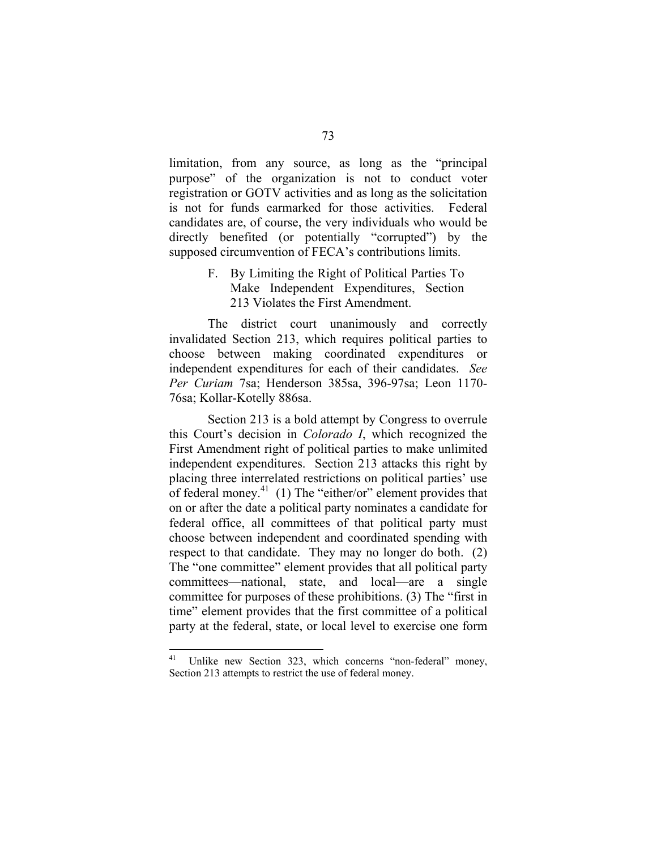limitation, from any source, as long as the "principal purpose" of the organization is not to conduct voter registration or GOTV activities and as long as the solicitation is not for funds earmarked for those activities. Federal candidates are, of course, the very individuals who would be directly benefited (or potentially "corrupted") by the supposed circumvention of FECA's contributions limits.

> F. By Limiting the Right of Political Parties To Make Independent Expenditures, Section 213 Violates the First Amendment.

The district court unanimously and correctly invalidated Section 213, which requires political parties to choose between making coordinated expenditures or independent expenditures for each of their candidates. *See Per Curiam* 7sa; Henderson 385sa, 396-97sa; Leon 1170- 76sa; Kollar-Kotelly 886sa.

Section 213 is a bold attempt by Congress to overrule this Court's decision in *Colorado I*, which recognized the First Amendment right of political parties to make unlimited independent expenditures. Section 213 attacks this right by placing three interrelated restrictions on political parties' use of federal money.41 (1) The "either/or" element provides that on or after the date a political party nominates a candidate for federal office, all committees of that political party must choose between independent and coordinated spending with respect to that candidate. They may no longer do both. (2) The "one committee" element provides that all political party committees—national, state, and local—are a single committee for purposes of these prohibitions. (3) The "first in time" element provides that the first committee of a political party at the federal, state, or local level to exercise one form

<sup>&</sup>lt;sup>41</sup> Unlike new Section 323, which concerns "non-federal" money, Section 213 attempts to restrict the use of federal money.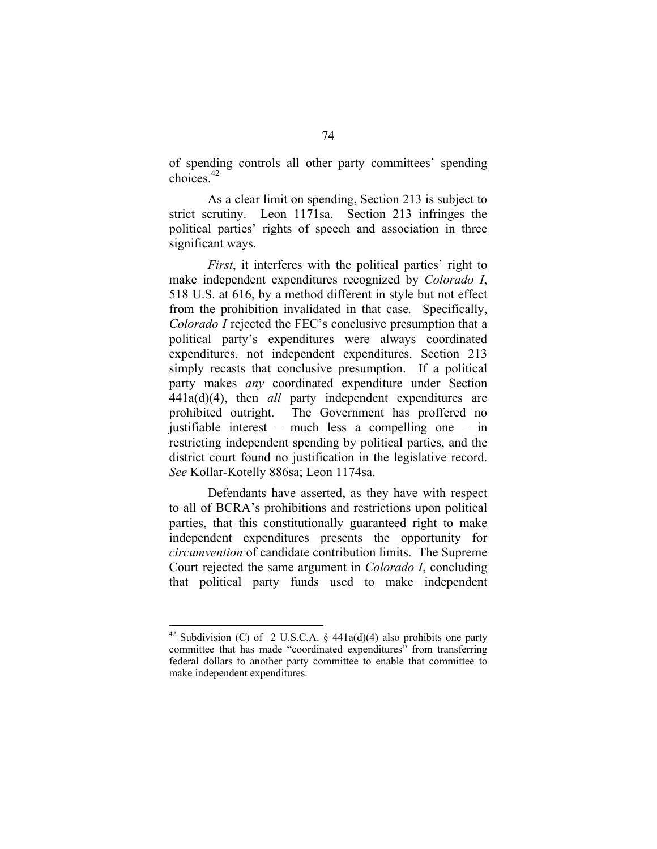of spending controls all other party committees' spending choices.42

As a clear limit on spending, Section 213 is subject to strict scrutiny. Leon 1171sa. Section 213 infringes the political parties' rights of speech and association in three significant ways.

*First*, it interferes with the political parties' right to make independent expenditures recognized by *Colorado I*, 518 U.S. at 616, by a method different in style but not effect from the prohibition invalidated in that case*.* Specifically, *Colorado I* rejected the FEC's conclusive presumption that a political party's expenditures were always coordinated expenditures, not independent expenditures. Section 213 simply recasts that conclusive presumption. If a political party makes *any* coordinated expenditure under Section 441a(d)(4), then *all* party independent expenditures are prohibited outright. The Government has proffered no justifiable interest – much less a compelling one – in restricting independent spending by political parties, and the district court found no justification in the legislative record. *See* Kollar-Kotelly 886sa; Leon 1174sa.

Defendants have asserted, as they have with respect to all of BCRA's prohibitions and restrictions upon political parties, that this constitutionally guaranteed right to make independent expenditures presents the opportunity for *circumvention* of candidate contribution limits. The Supreme Court rejected the same argument in *Colorado I*, concluding that political party funds used to make independent

<sup>&</sup>lt;sup>42</sup> Subdivision (C) of 2 U.S.C.A. § 441a(d)(4) also prohibits one party committee that has made "coordinated expenditures" from transferring federal dollars to another party committee to enable that committee to make independent expenditures.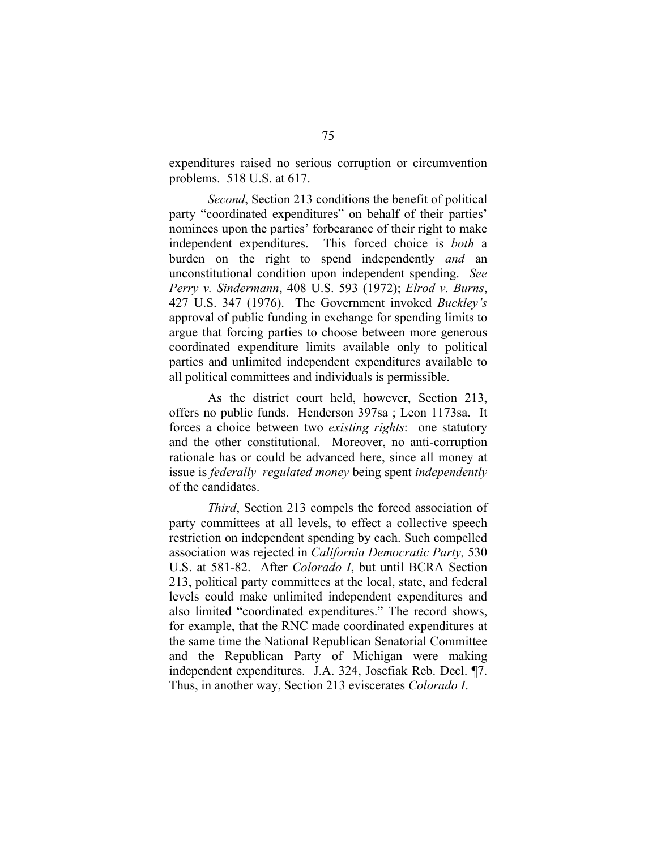expenditures raised no serious corruption or circumvention problems. 518 U.S. at 617.

*Second*, Section 213 conditions the benefit of political party "coordinated expenditures" on behalf of their parties' nominees upon the parties' forbearance of their right to make independent expenditures. This forced choice is *both* a burden on the right to spend independently *and* an unconstitutional condition upon independent spending. *See Perry v. Sindermann*, 408 U.S. 593 (1972); *Elrod v. Burns*, 427 U.S. 347 (1976). The Government invoked *Buckley's*  approval of public funding in exchange for spending limits to argue that forcing parties to choose between more generous coordinated expenditure limits available only to political parties and unlimited independent expenditures available to all political committees and individuals is permissible.

As the district court held, however, Section 213, offers no public funds. Henderson 397sa ; Leon 1173sa. It forces a choice between two *existing rights*: one statutory and the other constitutional. Moreover, no anti-corruption rationale has or could be advanced here, since all money at issue is *federally–regulated money* being spent *independently*  of the candidates.

*Third*, Section 213 compels the forced association of party committees at all levels, to effect a collective speech restriction on independent spending by each. Such compelled association was rejected in *California Democratic Party,* 530 U.S. at 581-82. After *Colorado I*, but until BCRA Section 213, political party committees at the local, state, and federal levels could make unlimited independent expenditures and also limited "coordinated expenditures." The record shows, for example, that the RNC made coordinated expenditures at the same time the National Republican Senatorial Committee and the Republican Party of Michigan were making independent expenditures. J.A. 324, Josefiak Reb. Decl. ¶7. Thus, in another way, Section 213 eviscerates *Colorado I*.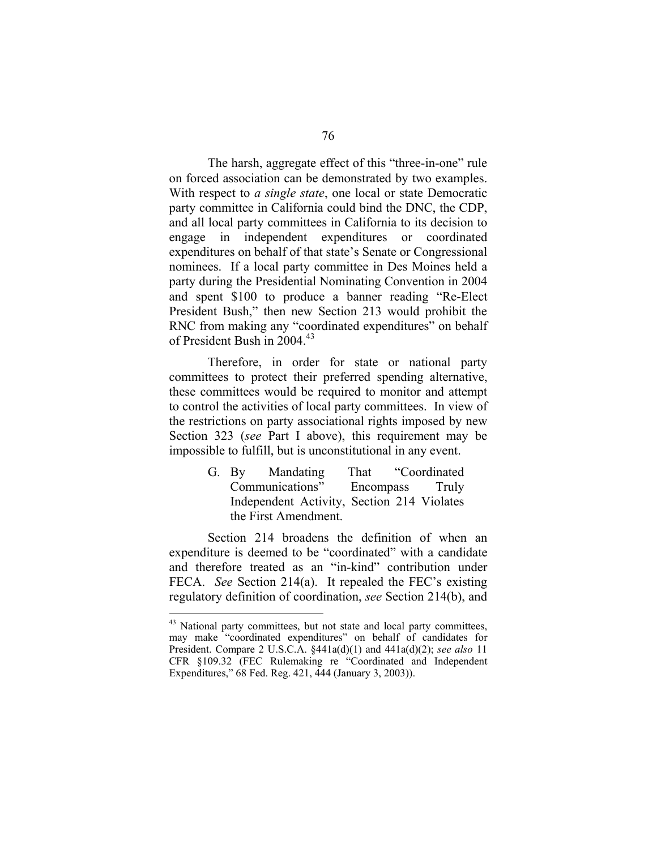The harsh, aggregate effect of this "three-in-one" rule on forced association can be demonstrated by two examples. With respect to *a single state*, one local or state Democratic party committee in California could bind the DNC, the CDP, and all local party committees in California to its decision to engage in independent expenditures or coordinated expenditures on behalf of that state's Senate or Congressional nominees. If a local party committee in Des Moines held a party during the Presidential Nominating Convention in 2004 and spent \$100 to produce a banner reading "Re-Elect President Bush," then new Section 213 would prohibit the RNC from making any "coordinated expenditures" on behalf of President Bush in 2004.<sup>43</sup>

Therefore, in order for state or national party committees to protect their preferred spending alternative, these committees would be required to monitor and attempt to control the activities of local party committees. In view of the restrictions on party associational rights imposed by new Section 323 (*see* Part I above), this requirement may be impossible to fulfill, but is unconstitutional in any event.

> G. By Mandating That "Coordinated Communications" Encompass Truly Independent Activity, Section 214 Violates the First Amendment.

Section 214 broadens the definition of when an expenditure is deemed to be "coordinated" with a candidate and therefore treated as an "in-kind" contribution under FECA. *See* Section 214(a). It repealed the FEC's existing regulatory definition of coordination, *see* Section 214(b), and

<sup>&</sup>lt;sup>43</sup> National party committees, but not state and local party committees, may make "coordinated expenditures" on behalf of candidates for President. Compare 2 U.S.C.A. §441a(d)(1) and 441a(d)(2); *see also* 11 CFR §109.32 (FEC Rulemaking re "Coordinated and Independent Expenditures," 68 Fed. Reg. 421, 444 (January 3, 2003)).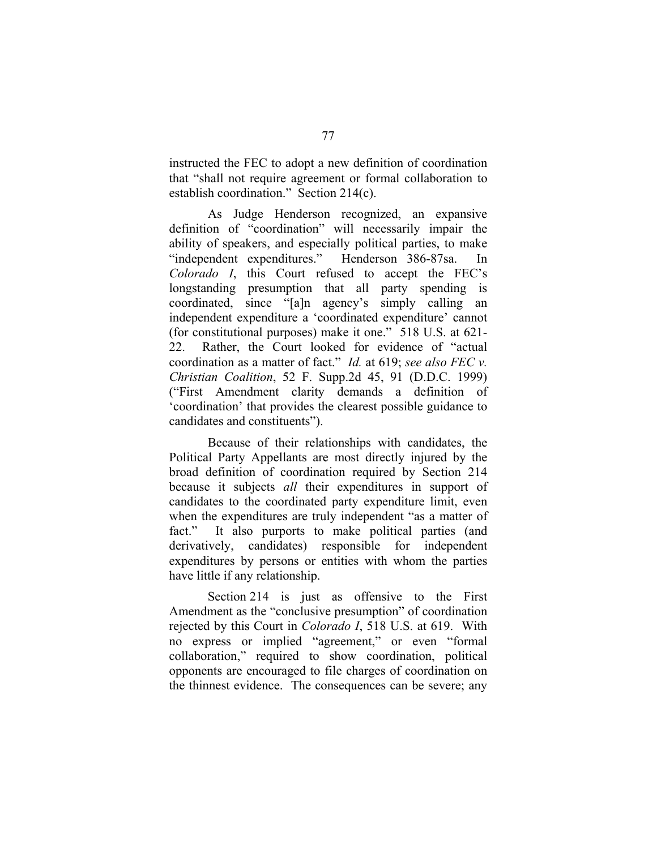instructed the FEC to adopt a new definition of coordination that "shall not require agreement or formal collaboration to establish coordination." Section 214(c).

As Judge Henderson recognized, an expansive definition of "coordination" will necessarily impair the ability of speakers, and especially political parties, to make "independent expenditures." Henderson 386-87sa. In *Colorado I*, this Court refused to accept the FEC's longstanding presumption that all party spending is coordinated, since "[a]n agency's simply calling an independent expenditure a 'coordinated expenditure' cannot (for constitutional purposes) make it one." 518 U.S. at 621- 22. Rather, the Court looked for evidence of "actual coordination as a matter of fact." *Id.* at 619; *see also FEC v. Christian Coalition*, 52 F. Supp.2d 45, 91 (D.D.C. 1999) ("First Amendment clarity demands a definition of 'coordination' that provides the clearest possible guidance to candidates and constituents").

Because of their relationships with candidates, the Political Party Appellants are most directly injured by the broad definition of coordination required by Section 214 because it subjects *all* their expenditures in support of candidates to the coordinated party expenditure limit, even when the expenditures are truly independent "as a matter of fact." It also purports to make political parties (and derivatively, candidates) responsible for independent expenditures by persons or entities with whom the parties have little if any relationship.

Section 214 is just as offensive to the First Amendment as the "conclusive presumption" of coordination rejected by this Court in *Colorado I*, 518 U.S. at 619. With no express or implied "agreement," or even "formal collaboration," required to show coordination, political opponents are encouraged to file charges of coordination on the thinnest evidence. The consequences can be severe; any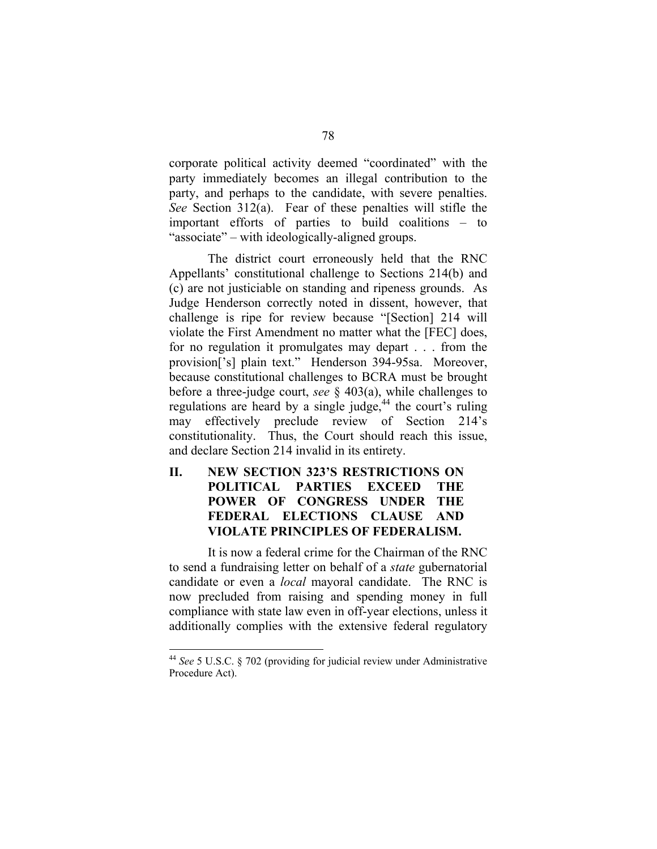corporate political activity deemed "coordinated" with the party immediately becomes an illegal contribution to the party, and perhaps to the candidate, with severe penalties. *See* Section 312(a). Fear of these penalties will stifle the important efforts of parties to build coalitions – to "associate" – with ideologically-aligned groups.

The district court erroneously held that the RNC Appellants' constitutional challenge to Sections 214(b) and (c) are not justiciable on standing and ripeness grounds. As Judge Henderson correctly noted in dissent, however, that challenge is ripe for review because "[Section] 214 will violate the First Amendment no matter what the [FEC] does, for no regulation it promulgates may depart . . . from the provision['s] plain text." Henderson 394-95sa. Moreover, because constitutional challenges to BCRA must be brought before a three-judge court, *see* § 403(a), while challenges to regulations are heard by a single judge,<sup>44</sup> the court's ruling may effectively preclude review of Section 214's constitutionality. Thus, the Court should reach this issue, and declare Section 214 invalid in its entirety.

**II. NEW SECTION 323'S RESTRICTIONS ON POLITICAL PARTIES EXCEED THE POWER OF CONGRESS UNDER THE FEDERAL ELECTIONS CLAUSE AND VIOLATE PRINCIPLES OF FEDERALISM.** 

It is now a federal crime for the Chairman of the RNC to send a fundraising letter on behalf of a *state* gubernatorial candidate or even a *local* mayoral candidate. The RNC is now precluded from raising and spending money in full compliance with state law even in off-year elections, unless it additionally complies with the extensive federal regulatory

<sup>44</sup>*See* 5 U.S.C. § 702 (providing for judicial review under Administrative Procedure Act).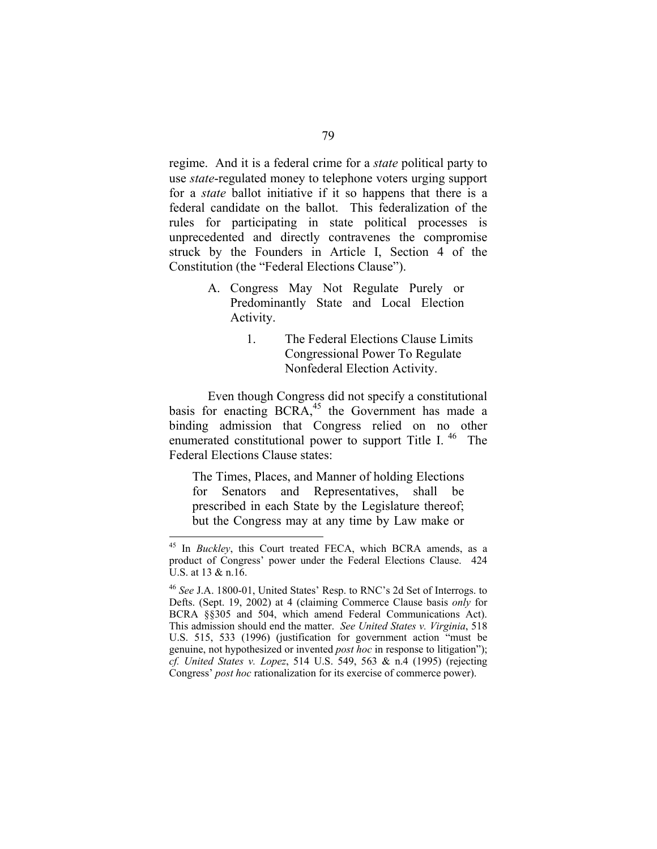regime. And it is a federal crime for a *state* political party to use *state*-regulated money to telephone voters urging support for a *state* ballot initiative if it so happens that there is a federal candidate on the ballot. This federalization of the rules for participating in state political processes is unprecedented and directly contravenes the compromise struck by the Founders in Article I, Section 4 of the Constitution (the "Federal Elections Clause").

- A. Congress May Not Regulate Purely or Predominantly State and Local Election Activity.
	- 1. The Federal Elections Clause Limits Congressional Power To Regulate Nonfederal Election Activity.

Even though Congress did not specify a constitutional basis for enacting  $BCRA$ ,<sup>45</sup> the Government has made a binding admission that Congress relied on no other enumerated constitutional power to support Title I.  $46$  The Federal Elections Clause states:

The Times, Places, and Manner of holding Elections for Senators and Representatives, shall be prescribed in each State by the Legislature thereof; but the Congress may at any time by Law make or

<sup>45</sup> In *Buckley*, this Court treated FECA, which BCRA amends, as a product of Congress' power under the Federal Elections Clause. 424 U.S. at 13 & n.16.

<sup>46</sup>*See* J.A. 1800-01, United States' Resp. to RNC's 2d Set of Interrogs. to Defts. (Sept. 19, 2002) at 4 (claiming Commerce Clause basis *only* for BCRA §§305 and 504, which amend Federal Communications Act). This admission should end the matter. *See United States v. Virginia*, 518 U.S. 515, 533 (1996) (justification for government action "must be genuine, not hypothesized or invented *post hoc* in response to litigation"); *cf. United States v. Lopez*, 514 U.S. 549, 563 & n.4 (1995) (rejecting Congress' *post hoc* rationalization for its exercise of commerce power).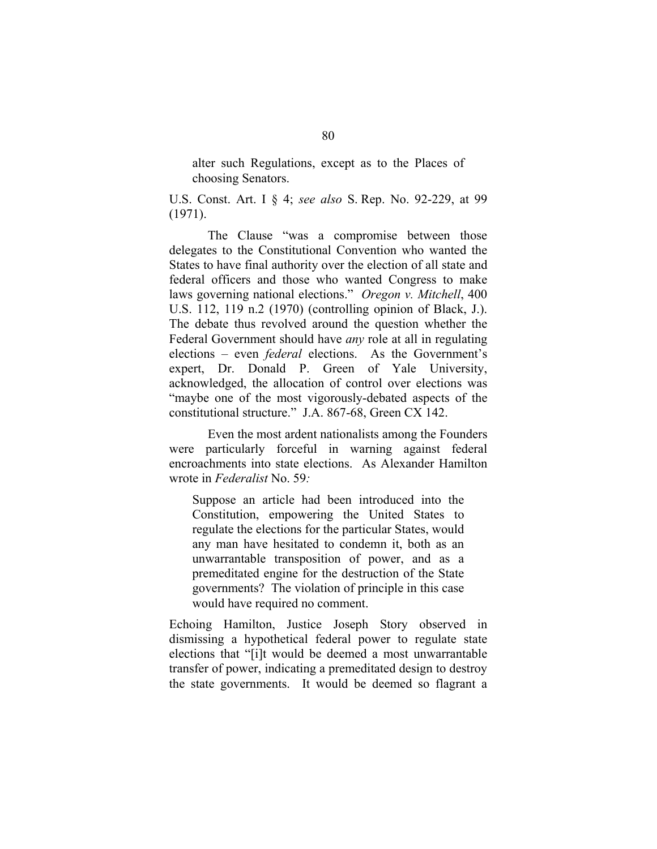alter such Regulations, except as to the Places of choosing Senators.

U.S. Const. Art. I § 4; *see also* S. Rep. No. 92-229, at 99 (1971).

The Clause "was a compromise between those delegates to the Constitutional Convention who wanted the States to have final authority over the election of all state and federal officers and those who wanted Congress to make laws governing national elections." *Oregon v. Mitchell*, 400 U.S. 112, 119 n.2 (1970) (controlling opinion of Black, J.). The debate thus revolved around the question whether the Federal Government should have *any* role at all in regulating elections – even *federal* elections. As the Government's expert, Dr. Donald P. Green of Yale University, acknowledged, the allocation of control over elections was "maybe one of the most vigorously-debated aspects of the constitutional structure." J.A. 867-68, Green CX 142.

Even the most ardent nationalists among the Founders were particularly forceful in warning against federal encroachments into state elections. As Alexander Hamilton wrote in *Federalist* No. 59*:* 

Suppose an article had been introduced into the Constitution, empowering the United States to regulate the elections for the particular States, would any man have hesitated to condemn it, both as an unwarrantable transposition of power, and as a premeditated engine for the destruction of the State governments? The violation of principle in this case would have required no comment.

Echoing Hamilton, Justice Joseph Story observed in dismissing a hypothetical federal power to regulate state elections that "[i]t would be deemed a most unwarrantable transfer of power, indicating a premeditated design to destroy the state governments. It would be deemed so flagrant a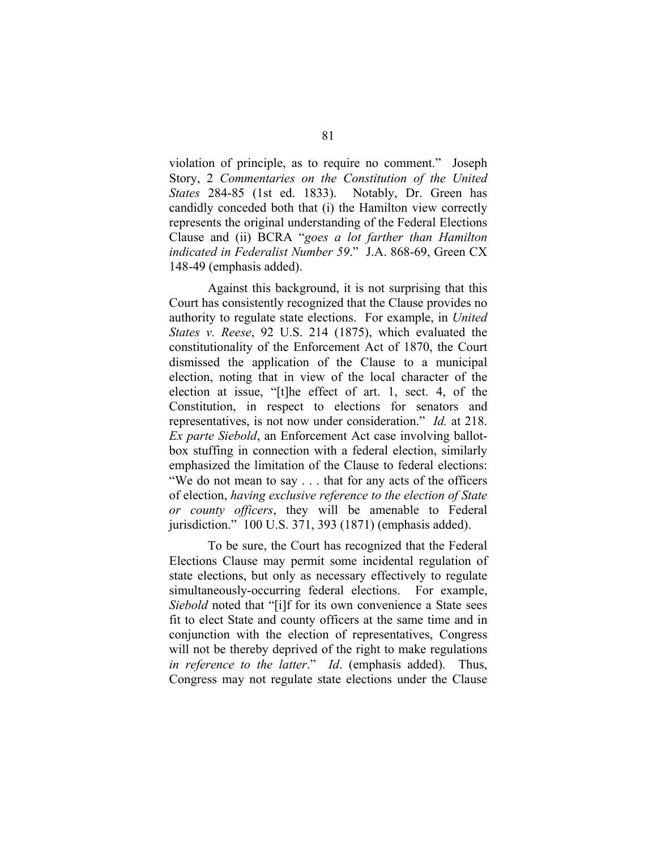violation of principle, as to require no comment." Joseph Story, 2 *Commentaries on the Constitution of the United States* 284-85 (1st ed. 1833). Notably, Dr. Green has candidly conceded both that (i) the Hamilton view correctly represents the original understanding of the Federal Elections Clause and (ii) BCRA "*goes a lot farther than Hamilton indicated in Federalist Number 59*." J.A. 868-69, Green CX 148-49 (emphasis added).

Against this background, it is not surprising that this Court has consistently recognized that the Clause provides no authority to regulate state elections. For example, in *United States v. Reese*, 92 U.S. 214 (1875), which evaluated the constitutionality of the Enforcement Act of 1870, the Court dismissed the application of the Clause to a municipal election, noting that in view of the local character of the election at issue, "[t]he effect of art. 1, sect. 4, of the Constitution, in respect to elections for senators and representatives, is not now under consideration." *Id.* at 218. *Ex parte Siebold*, an Enforcement Act case involving ballotbox stuffing in connection with a federal election, similarly emphasized the limitation of the Clause to federal elections: "We do not mean to say . . . that for any acts of the officers of election, *having exclusive reference to the election of State or county officers*, they will be amenable to Federal jurisdiction." 100 U.S. 371, 393 (1871) (emphasis added).

To be sure, the Court has recognized that the Federal Elections Clause may permit some incidental regulation of state elections, but only as necessary effectively to regulate simultaneously-occurring federal elections. For example, *Siebold* noted that "[i]f for its own convenience a State sees fit to elect State and county officers at the same time and in conjunction with the election of representatives, Congress will not be thereby deprived of the right to make regulations *in reference to the latter*." *Id*. (emphasis added). Thus, Congress may not regulate state elections under the Clause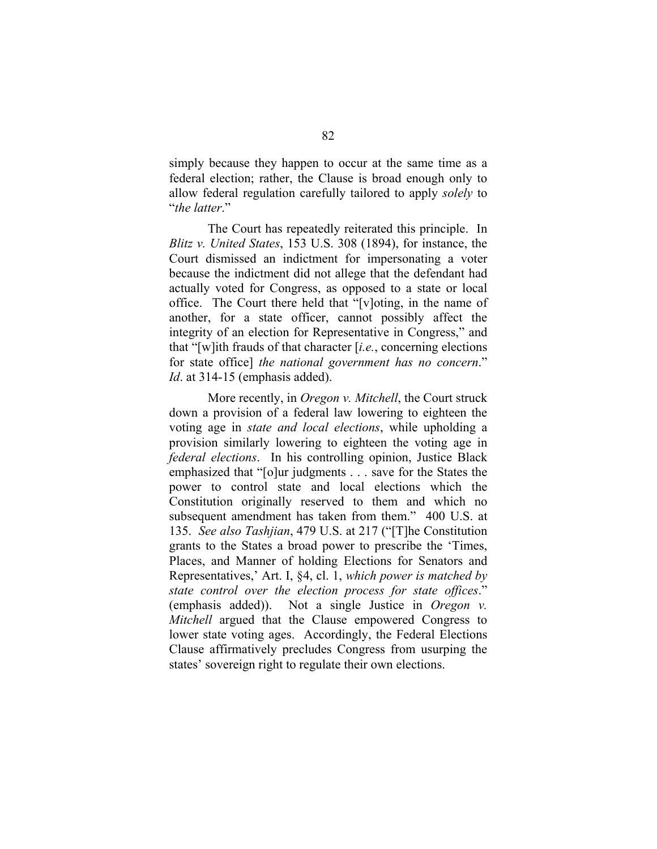simply because they happen to occur at the same time as a federal election; rather, the Clause is broad enough only to allow federal regulation carefully tailored to apply *solely* to "*the latter*."

The Court has repeatedly reiterated this principle. In *Blitz v. United States*, 153 U.S. 308 (1894), for instance, the Court dismissed an indictment for impersonating a voter because the indictment did not allege that the defendant had actually voted for Congress, as opposed to a state or local office. The Court there held that "[v]oting, in the name of another, for a state officer, cannot possibly affect the integrity of an election for Representative in Congress," and that "[w]ith frauds of that character [*i.e.*, concerning elections for state office] *the national government has no concern*." *Id*. at 314-15 (emphasis added).

More recently, in *Oregon v. Mitchell*, the Court struck down a provision of a federal law lowering to eighteen the voting age in *state and local elections*, while upholding a provision similarly lowering to eighteen the voting age in *federal elections*. In his controlling opinion, Justice Black emphasized that "[o]ur judgments . . . save for the States the power to control state and local elections which the Constitution originally reserved to them and which no subsequent amendment has taken from them." 400 U.S. at 135. *See also Tashjian*, 479 U.S. at 217 ("[T]he Constitution grants to the States a broad power to prescribe the 'Times, Places, and Manner of holding Elections for Senators and Representatives,' Art. I, §4, cl. 1, *which power is matched by state control over the election process for state offices*." (emphasis added)). Not a single Justice in *Oregon v. Mitchell* argued that the Clause empowered Congress to lower state voting ages. Accordingly, the Federal Elections Clause affirmatively precludes Congress from usurping the states' sovereign right to regulate their own elections.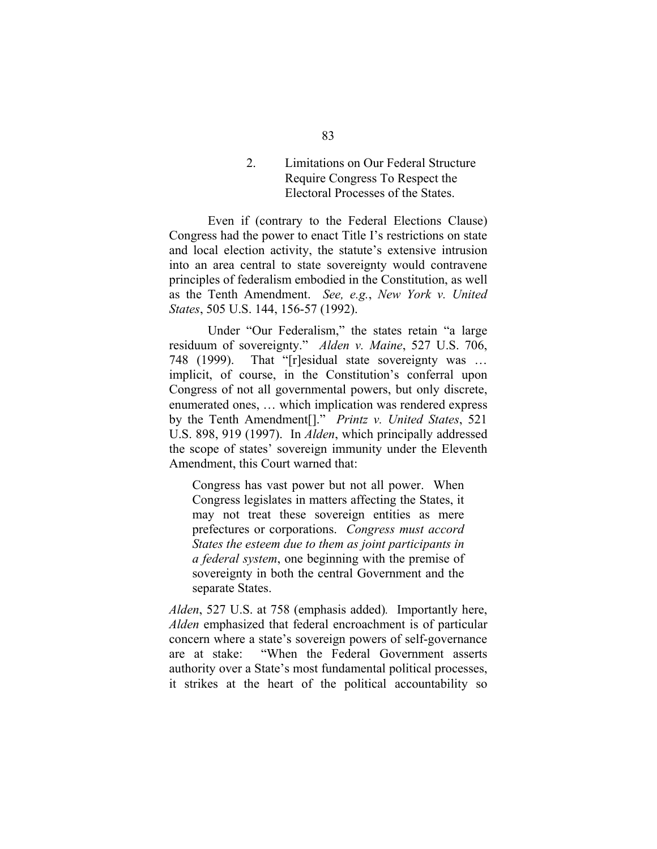2. Limitations on Our Federal Structure Require Congress To Respect the Electoral Processes of the States.

Even if (contrary to the Federal Elections Clause) Congress had the power to enact Title I's restrictions on state and local election activity, the statute's extensive intrusion into an area central to state sovereignty would contravene principles of federalism embodied in the Constitution, as well as the Tenth Amendment. *See, e.g.*, *New York v. United States*, 505 U.S. 144, 156-57 (1992).

Under "Our Federalism," the states retain "a large residuum of sovereignty." *Alden v. Maine*, 527 U.S. 706, 748 (1999). That "[r]esidual state sovereignty was … implicit, of course, in the Constitution's conferral upon Congress of not all governmental powers, but only discrete, enumerated ones, … which implication was rendered express by the Tenth Amendment[]." *Printz v. United States*, 521 U.S. 898, 919 (1997). In *Alden*, which principally addressed the scope of states' sovereign immunity under the Eleventh Amendment, this Court warned that:

Congress has vast power but not all power. When Congress legislates in matters affecting the States, it may not treat these sovereign entities as mere prefectures or corporations. *Congress must accord States the esteem due to them as joint participants in a federal system*, one beginning with the premise of sovereignty in both the central Government and the separate States.

*Alden*, 527 U.S. at 758 (emphasis added)*.* Importantly here, *Alden* emphasized that federal encroachment is of particular concern where a state's sovereign powers of self-governance are at stake: "When the Federal Government asserts authority over a State's most fundamental political processes, it strikes at the heart of the political accountability so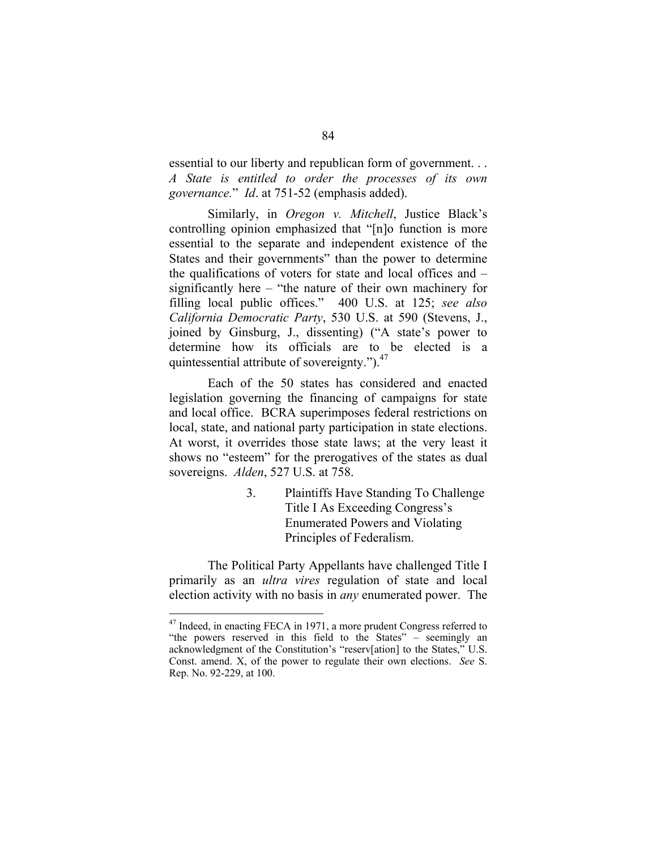essential to our liberty and republican form of government. . . *A State is entitled to order the processes of its own governance.*" *Id*. at 751-52 (emphasis added).

Similarly, in *Oregon v. Mitchell*, Justice Black's controlling opinion emphasized that "[n]o function is more essential to the separate and independent existence of the States and their governments" than the power to determine the qualifications of voters for state and local offices and – significantly here – "the nature of their own machinery for filling local public offices." 400 U.S. at 125; *see also California Democratic Party*, 530 U.S. at 590 (Stevens, J., joined by Ginsburg, J., dissenting) ("A state's power to determine how its officials are to be elected is a quintessential attribute of sovereignty.").<sup>47</sup>

Each of the 50 states has considered and enacted legislation governing the financing of campaigns for state and local office. BCRA superimposes federal restrictions on local, state, and national party participation in state elections. At worst, it overrides those state laws; at the very least it shows no "esteem" for the prerogatives of the states as dual sovereigns. *Alden*, 527 U.S. at 758.

> 3. Plaintiffs Have Standing To Challenge Title I As Exceeding Congress's Enumerated Powers and Violating Principles of Federalism.

The Political Party Appellants have challenged Title I primarily as an *ultra vires* regulation of state and local election activity with no basis in *any* enumerated power. The

<sup>&</sup>lt;sup>47</sup> Indeed, in enacting FECA in 1971, a more prudent Congress referred to "the powers reserved in this field to the States" – seemingly an acknowledgment of the Constitution's "reserv[ation] to the States," U.S. Const. amend. X, of the power to regulate their own elections. *See* S. Rep. No. 92-229, at 100.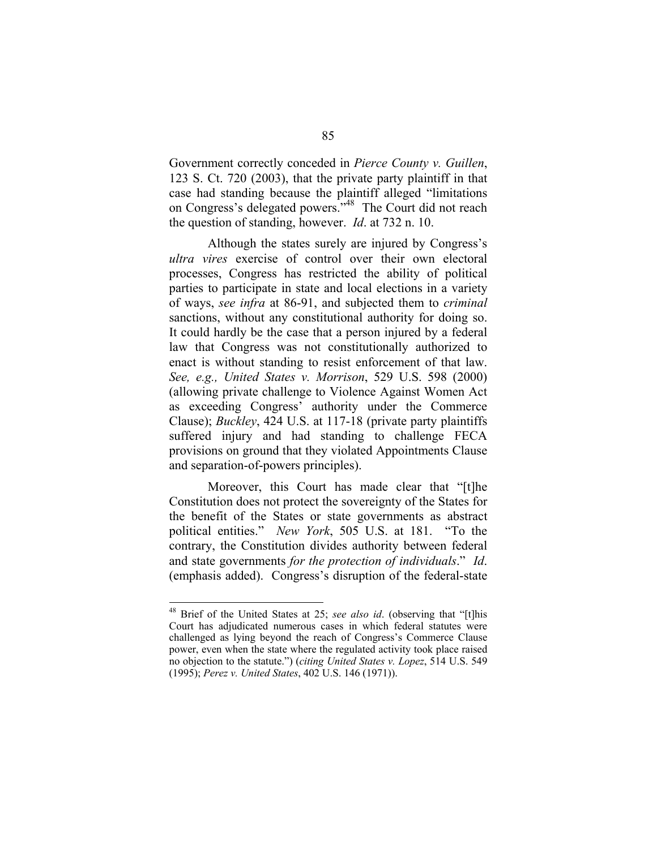Government correctly conceded in *Pierce County v. Guillen*, 123 S. Ct. 720 (2003), that the private party plaintiff in that case had standing because the plaintiff alleged "limitations on Congress's delegated powers."48 The Court did not reach the question of standing, however. *Id*. at 732 n. 10.

Although the states surely are injured by Congress's *ultra vires* exercise of control over their own electoral processes, Congress has restricted the ability of political parties to participate in state and local elections in a variety of ways, *see infra* at 86-91, and subjected them to *criminal*  sanctions, without any constitutional authority for doing so. It could hardly be the case that a person injured by a federal law that Congress was not constitutionally authorized to enact is without standing to resist enforcement of that law. *See, e.g., United States v. Morrison*, 529 U.S. 598 (2000) (allowing private challenge to Violence Against Women Act as exceeding Congress' authority under the Commerce Clause); *Buckley*, 424 U.S. at 117-18 (private party plaintiffs suffered injury and had standing to challenge FECA provisions on ground that they violated Appointments Clause and separation-of-powers principles).

Moreover, this Court has made clear that "[t]he Constitution does not protect the sovereignty of the States for the benefit of the States or state governments as abstract political entities." *New York*, 505 U.S. at 181. "To the contrary, the Constitution divides authority between federal and state governments *for the protection of individuals*." *Id*. (emphasis added). Congress's disruption of the federal-state

<sup>48</sup> Brief of the United States at 25; *see also id*. (observing that "[t]his Court has adjudicated numerous cases in which federal statutes were challenged as lying beyond the reach of Congress's Commerce Clause power, even when the state where the regulated activity took place raised no objection to the statute.") (*citing United States v. Lopez*, 514 U.S. 549 (1995); *Perez v. United States*, 402 U.S. 146 (1971)).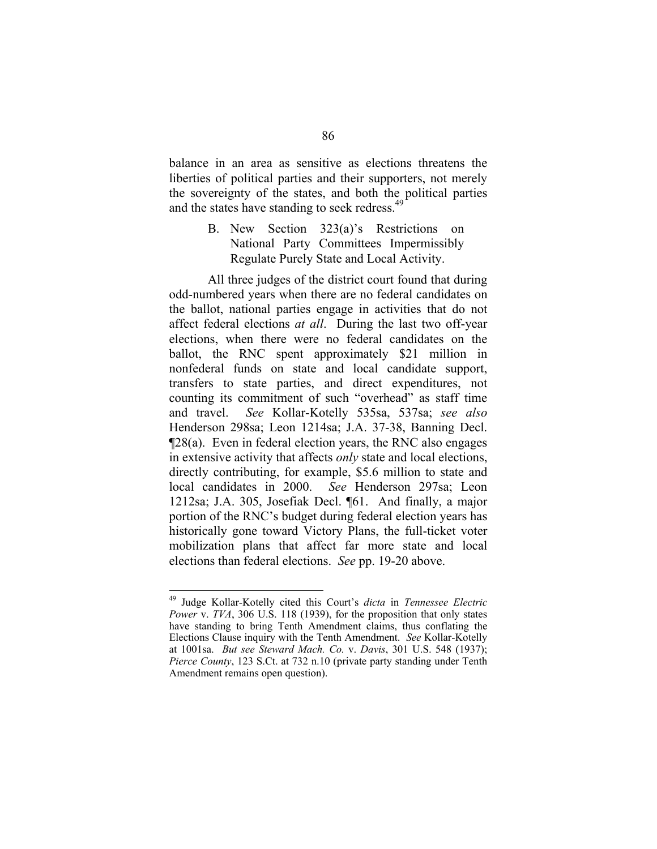balance in an area as sensitive as elections threatens the liberties of political parties and their supporters, not merely the sovereignty of the states, and both the political parties and the states have standing to seek redress.<sup>49</sup>

> B. New Section 323(a)'s Restrictions on National Party Committees Impermissibly Regulate Purely State and Local Activity.

All three judges of the district court found that during odd-numbered years when there are no federal candidates on the ballot, national parties engage in activities that do not affect federal elections *at all*. During the last two off-year elections, when there were no federal candidates on the ballot, the RNC spent approximately \$21 million in nonfederal funds on state and local candidate support, transfers to state parties, and direct expenditures, not counting its commitment of such "overhead" as staff time and travel. *See* Kollar-Kotelly 535sa, 537sa; *see also*  Henderson 298sa; Leon 1214sa; J.A. 37-38, Banning Decl. ¶28(a). Even in federal election years, the RNC also engages in extensive activity that affects *only* state and local elections, directly contributing, for example, \$5.6 million to state and local candidates in 2000. *See* Henderson 297sa; Leon 1212sa; J.A. 305, Josefiak Decl. ¶61. And finally, a major portion of the RNC's budget during federal election years has historically gone toward Victory Plans, the full-ticket voter mobilization plans that affect far more state and local elections than federal elections. *See* pp. 19-20 above.

<sup>49</sup> Judge Kollar-Kotelly cited this Court's *dicta* in *Tennessee Electric Power* v. *TVA*, 306 U.S. 118 (1939), for the proposition that only states have standing to bring Tenth Amendment claims, thus conflating the Elections Clause inquiry with the Tenth Amendment. *See* Kollar-Kotelly at 1001sa. *But see Steward Mach. Co.* v. *Davis*, 301 U.S. 548 (1937); *Pierce County*, 123 S.Ct. at 732 n.10 (private party standing under Tenth Amendment remains open question).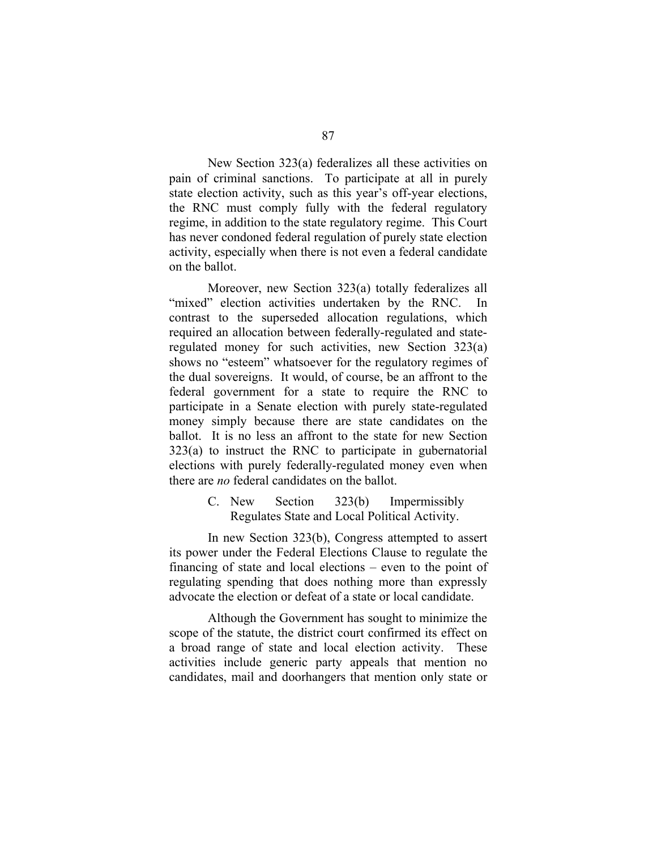New Section 323(a) federalizes all these activities on pain of criminal sanctions. To participate at all in purely state election activity, such as this year's off-year elections, the RNC must comply fully with the federal regulatory regime, in addition to the state regulatory regime. This Court has never condoned federal regulation of purely state election activity, especially when there is not even a federal candidate on the ballot.

Moreover, new Section 323(a) totally federalizes all "mixed" election activities undertaken by the RNC. In contrast to the superseded allocation regulations, which required an allocation between federally-regulated and stateregulated money for such activities, new Section 323(a) shows no "esteem" whatsoever for the regulatory regimes of the dual sovereigns. It would, of course, be an affront to the federal government for a state to require the RNC to participate in a Senate election with purely state-regulated money simply because there are state candidates on the ballot. It is no less an affront to the state for new Section 323(a) to instruct the RNC to participate in gubernatorial elections with purely federally-regulated money even when there are *no* federal candidates on the ballot.

> C. New Section 323(b) Impermissibly Regulates State and Local Political Activity.

In new Section 323(b), Congress attempted to assert its power under the Federal Elections Clause to regulate the financing of state and local elections – even to the point of regulating spending that does nothing more than expressly advocate the election or defeat of a state or local candidate.

Although the Government has sought to minimize the scope of the statute, the district court confirmed its effect on a broad range of state and local election activity. These activities include generic party appeals that mention no candidates, mail and doorhangers that mention only state or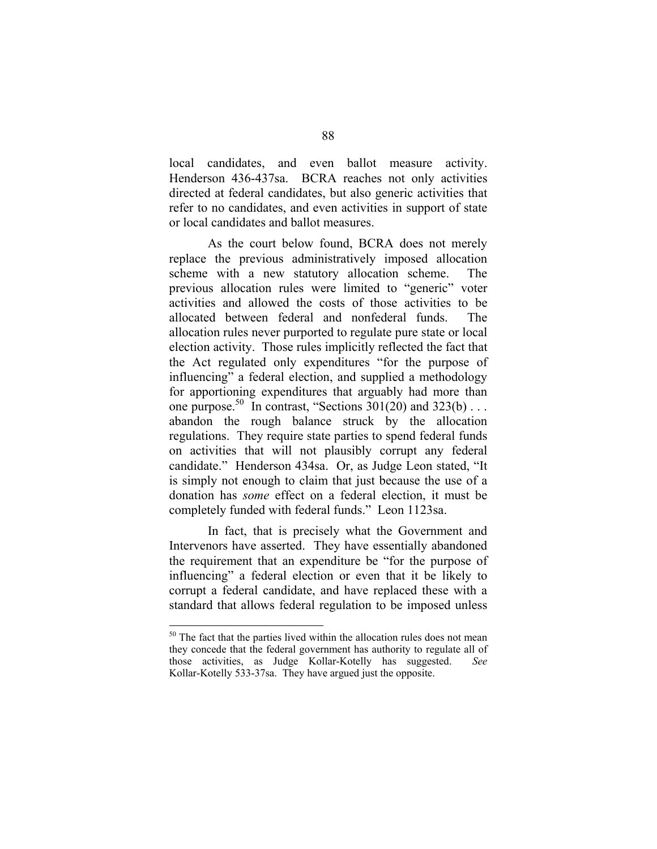local candidates, and even ballot measure activity. Henderson 436-437sa. BCRA reaches not only activities directed at federal candidates, but also generic activities that refer to no candidates, and even activities in support of state or local candidates and ballot measures.

As the court below found, BCRA does not merely replace the previous administratively imposed allocation scheme with a new statutory allocation scheme. The previous allocation rules were limited to "generic" voter activities and allowed the costs of those activities to be allocated between federal and nonfederal funds. The allocation rules never purported to regulate pure state or local election activity. Those rules implicitly reflected the fact that the Act regulated only expenditures "for the purpose of influencing" a federal election, and supplied a methodology for apportioning expenditures that arguably had more than one purpose.<sup>50</sup> In contrast, "Sections  $301(20)$  and  $323(b)$ ... abandon the rough balance struck by the allocation regulations. They require state parties to spend federal funds on activities that will not plausibly corrupt any federal candidate." Henderson 434sa. Or, as Judge Leon stated, "It is simply not enough to claim that just because the use of a donation has *some* effect on a federal election, it must be completely funded with federal funds." Leon 1123sa.

In fact, that is precisely what the Government and Intervenors have asserted. They have essentially abandoned the requirement that an expenditure be "for the purpose of influencing" a federal election or even that it be likely to corrupt a federal candidate, and have replaced these with a standard that allows federal regulation to be imposed unless

<sup>&</sup>lt;sup>50</sup> The fact that the parties lived within the allocation rules does not mean they concede that the federal government has authority to regulate all of those activities, as Judge Kollar-Kotelly has suggested. *See*  Kollar-Kotelly 533-37sa. They have argued just the opposite.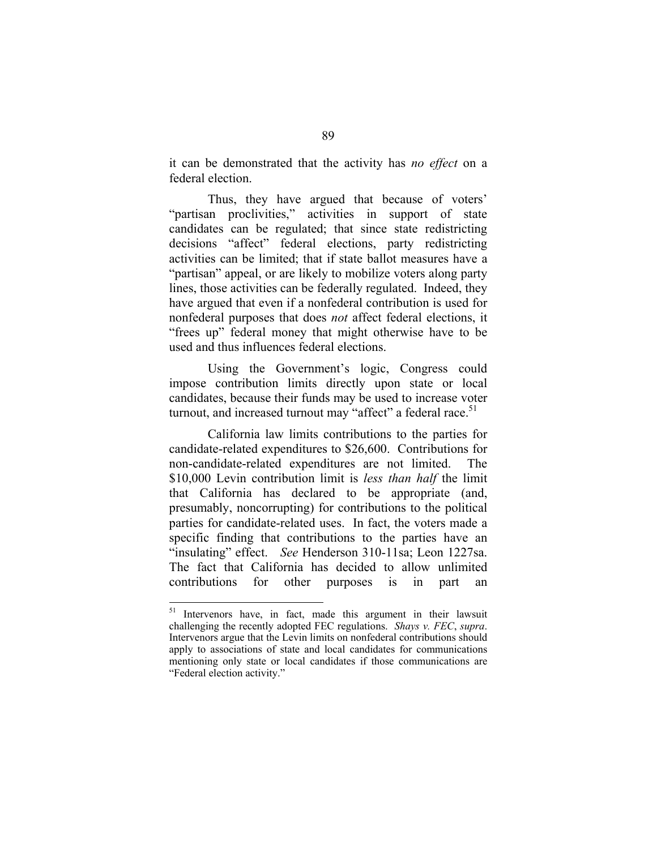it can be demonstrated that the activity has *no effect* on a federal election.

Thus, they have argued that because of voters' "partisan proclivities," activities in support of state candidates can be regulated; that since state redistricting decisions "affect" federal elections, party redistricting activities can be limited; that if state ballot measures have a "partisan" appeal, or are likely to mobilize voters along party lines, those activities can be federally regulated. Indeed, they have argued that even if a nonfederal contribution is used for nonfederal purposes that does *not* affect federal elections, it "frees up" federal money that might otherwise have to be used and thus influences federal elections.

Using the Government's logic, Congress could impose contribution limits directly upon state or local candidates, because their funds may be used to increase voter turnout, and increased turnout may "affect" a federal race.<sup>51</sup>

California law limits contributions to the parties for candidate-related expenditures to \$26,600. Contributions for non-candidate-related expenditures are not limited. The \$10,000 Levin contribution limit is *less than half* the limit that California has declared to be appropriate (and, presumably, noncorrupting) for contributions to the political parties for candidate-related uses. In fact, the voters made a specific finding that contributions to the parties have an "insulating" effect. *See* Henderson 310-11sa; Leon 1227sa. The fact that California has decided to allow unlimited contributions for other purposes is in part an

<sup>51</sup> Intervenors have, in fact, made this argument in their lawsuit challenging the recently adopted FEC regulations. *Shays v. FEC*, *supra*. Intervenors argue that the Levin limits on nonfederal contributions should apply to associations of state and local candidates for communications mentioning only state or local candidates if those communications are "Federal election activity."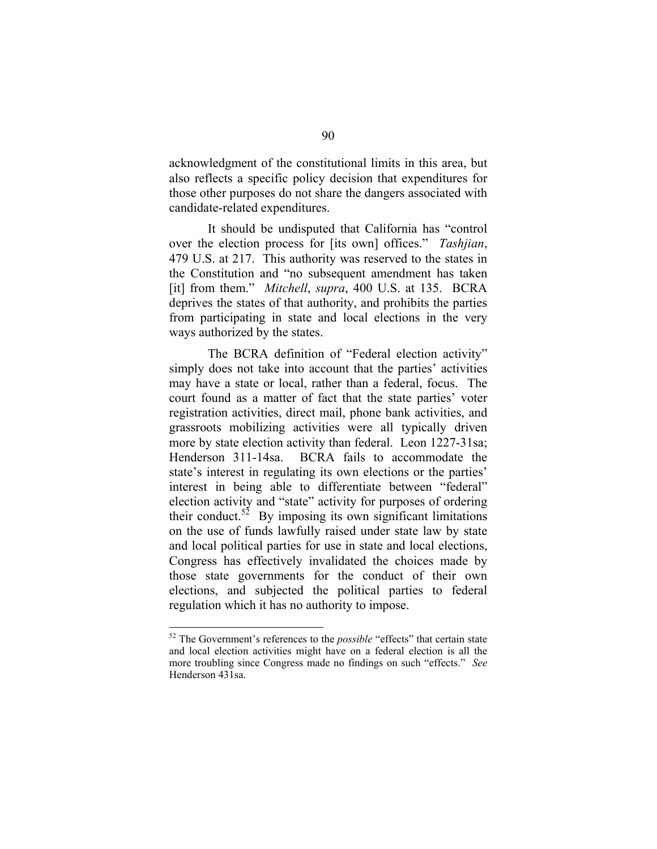acknowledgment of the constitutional limits in this area, but also reflects a specific policy decision that expenditures for those other purposes do not share the dangers associated with candidate-related expenditures.

It should be undisputed that California has "control over the election process for [its own] offices." *Tashjian*, 479 U.S. at 217. This authority was reserved to the states in the Constitution and "no subsequent amendment has taken [it] from them." *Mitchell*, *supra*, 400 U.S. at 135. BCRA deprives the states of that authority, and prohibits the parties from participating in state and local elections in the very ways authorized by the states.

The BCRA definition of "Federal election activity" simply does not take into account that the parties' activities may have a state or local, rather than a federal, focus. The court found as a matter of fact that the state parties' voter registration activities, direct mail, phone bank activities, and grassroots mobilizing activities were all typically driven more by state election activity than federal. Leon 1227-31sa; Henderson 311-14sa. BCRA fails to accommodate the state's interest in regulating its own elections or the parties' interest in being able to differentiate between "federal" election activity and "state" activity for purposes of ordering their conduct.<sup>52</sup> By imposing its own significant limitations on the use of funds lawfully raised under state law by state and local political parties for use in state and local elections, Congress has effectively invalidated the choices made by those state governments for the conduct of their own elections, and subjected the political parties to federal regulation which it has no authority to impose.

<sup>52</sup> The Government's references to the *possible* "effects" that certain state and local election activities might have on a federal election is all the more troubling since Congress made no findings on such "effects." *See*  Henderson 431sa.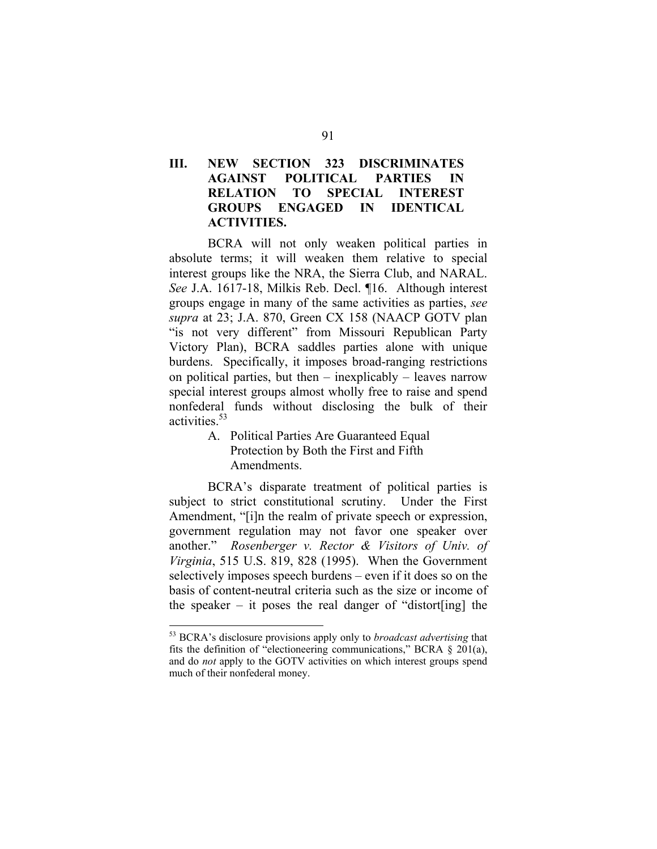## **III. NEW SECTION 323 DISCRIMINATES AGAINST POLITICAL PARTIES IN RELATION TO SPECIAL INTEREST GROUPS ENGAGED IN IDENTICAL ACTIVITIES.**

BCRA will not only weaken political parties in absolute terms; it will weaken them relative to special interest groups like the NRA, the Sierra Club, and NARAL. *See* J.A. 1617-18, Milkis Reb. Decl. ¶16. Although interest groups engage in many of the same activities as parties, *see supra* at 23; J.A. 870, Green CX 158 (NAACP GOTV plan "is not very different" from Missouri Republican Party Victory Plan), BCRA saddles parties alone with unique burdens. Specifically, it imposes broad-ranging restrictions on political parties, but then – inexplicably – leaves narrow special interest groups almost wholly free to raise and spend nonfederal funds without disclosing the bulk of their activities<sup>53</sup>

> A. Political Parties Are Guaranteed Equal Protection by Both the First and Fifth Amendments.

BCRA's disparate treatment of political parties is subject to strict constitutional scrutiny. Under the First Amendment, "[i]n the realm of private speech or expression, government regulation may not favor one speaker over another." *Rosenberger v. Rector & Visitors of Univ. of Virginia*, 515 U.S. 819, 828 (1995). When the Government selectively imposes speech burdens – even if it does so on the basis of content-neutral criteria such as the size or income of the speaker – it poses the real danger of "distort [ing] the

<sup>53</sup> BCRA's disclosure provisions apply only to *broadcast advertising* that fits the definition of "electioneering communications," BCRA  $\S$  201(a), and do *not* apply to the GOTV activities on which interest groups spend much of their nonfederal money.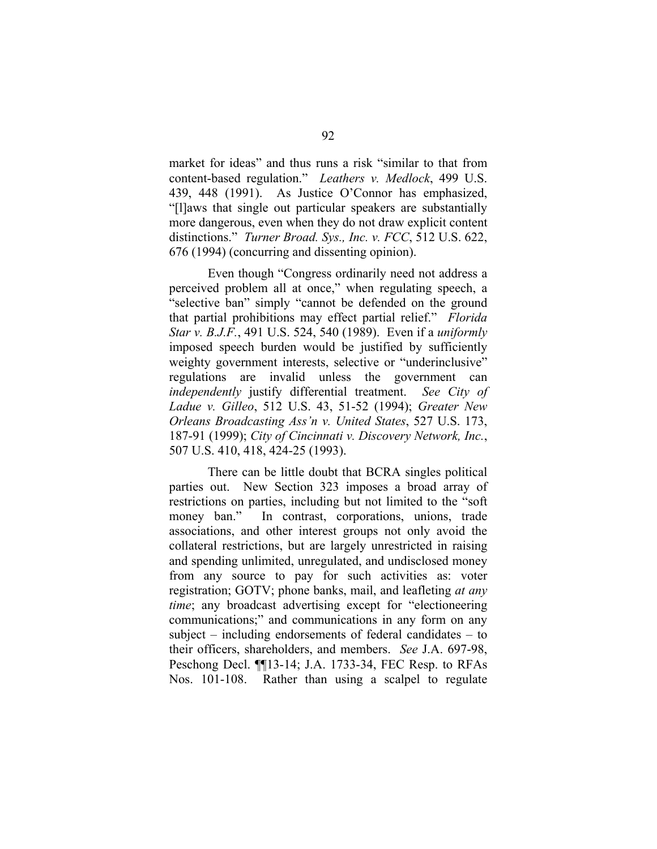market for ideas" and thus runs a risk "similar to that from content-based regulation." *Leathers v. Medlock*, 499 U.S. 439, 448 (1991). As Justice O'Connor has emphasized, "[l]aws that single out particular speakers are substantially more dangerous, even when they do not draw explicit content distinctions." *Turner Broad. Sys., Inc. v. FCC*, 512 U.S. 622, 676 (1994) (concurring and dissenting opinion).

Even though "Congress ordinarily need not address a perceived problem all at once," when regulating speech, a "selective ban" simply "cannot be defended on the ground that partial prohibitions may effect partial relief." *Florida Star v. B.J.F.*, 491 U.S. 524, 540 (1989). Even if a *uniformly*  imposed speech burden would be justified by sufficiently weighty government interests, selective or "underinclusive" regulations are invalid unless the government can *independently* justify differential treatment. *See City of Ladue v. Gilleo*, 512 U.S. 43, 51-52 (1994); *Greater New Orleans Broadcasting Ass'n v. United States*, 527 U.S. 173, 187-91 (1999); *City of Cincinnati v. Discovery Network, Inc.*, 507 U.S. 410, 418, 424-25 (1993).

There can be little doubt that BCRA singles political parties out. New Section 323 imposes a broad array of restrictions on parties, including but not limited to the "soft money ban." In contrast, corporations, unions, trade associations, and other interest groups not only avoid the collateral restrictions, but are largely unrestricted in raising and spending unlimited, unregulated, and undisclosed money from any source to pay for such activities as: voter registration; GOTV; phone banks, mail, and leafleting *at any time*; any broadcast advertising except for "electioneering communications;" and communications in any form on any subject – including endorsements of federal candidates – to their officers, shareholders, and members. *See* J.A. 697-98, Peschong Decl. ¶¶13-14; J.A. 1733-34, FEC Resp. to RFAs Nos. 101-108. Rather than using a scalpel to regulate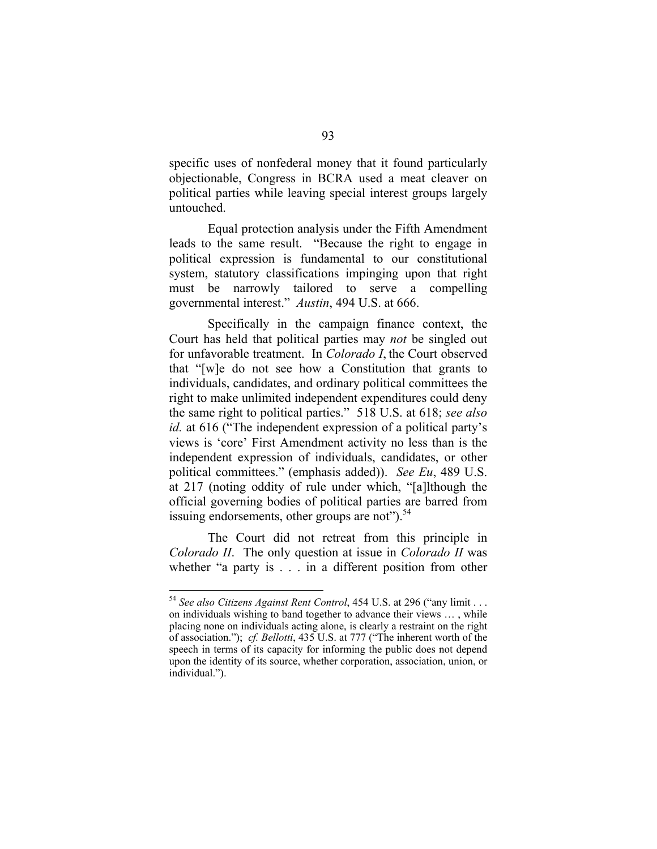specific uses of nonfederal money that it found particularly objectionable, Congress in BCRA used a meat cleaver on political parties while leaving special interest groups largely untouched.

Equal protection analysis under the Fifth Amendment leads to the same result. "Because the right to engage in political expression is fundamental to our constitutional system, statutory classifications impinging upon that right must be narrowly tailored to serve a compelling governmental interest." *Austin*, 494 U.S. at 666.

Specifically in the campaign finance context, the Court has held that political parties may *not* be singled out for unfavorable treatment. In *Colorado I*, the Court observed that "[w]e do not see how a Constitution that grants to individuals, candidates, and ordinary political committees the right to make unlimited independent expenditures could deny the same right to political parties." 518 U.S. at 618; *see also id.* at 616 ("The independent expression of a political party's views is 'core' First Amendment activity no less than is the independent expression of individuals, candidates, or other political committees." (emphasis added)). *See Eu*, 489 U.S. at 217 (noting oddity of rule under which, "[a]lthough the official governing bodies of political parties are barred from issuing endorsements, other groups are not").  $54$ 

The Court did not retreat from this principle in *Colorado II*. The only question at issue in *Colorado II* was whether "a party is . . . in a different position from other

<sup>54</sup>*See also Citizens Against Rent Control*, 454 U.S. at 296 ("any limit . . . on individuals wishing to band together to advance their views … , while placing none on individuals acting alone, is clearly a restraint on the right of association."); *cf. Bellotti*, 435 U.S. at 777 ("The inherent worth of the speech in terms of its capacity for informing the public does not depend upon the identity of its source, whether corporation, association, union, or individual.").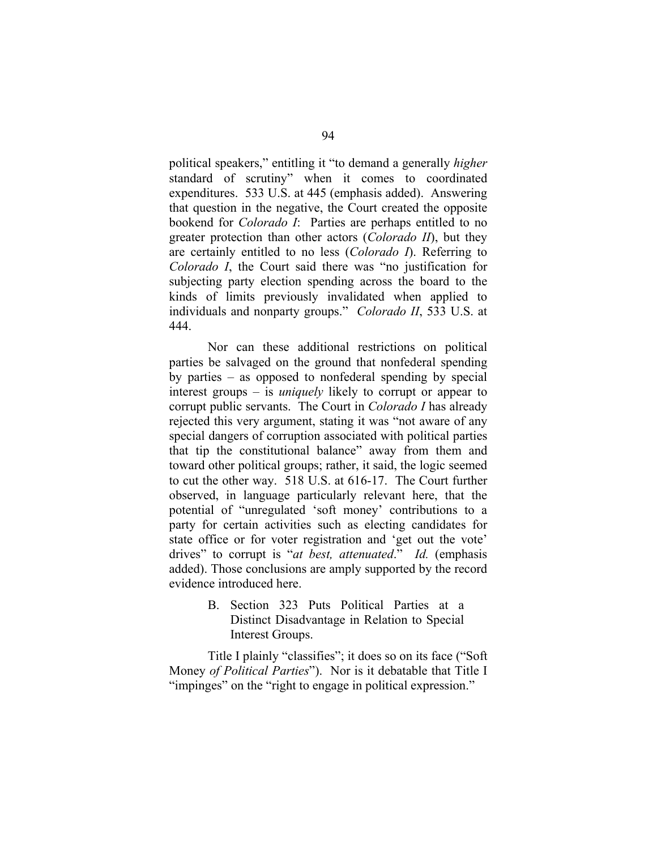political speakers," entitling it "to demand a generally *higher*  standard of scrutiny" when it comes to coordinated expenditures. 533 U.S. at 445 (emphasis added). Answering that question in the negative, the Court created the opposite bookend for *Colorado I*: Parties are perhaps entitled to no greater protection than other actors (*Colorado II*), but they are certainly entitled to no less (*Colorado I*). Referring to *Colorado I*, the Court said there was "no justification for subjecting party election spending across the board to the kinds of limits previously invalidated when applied to individuals and nonparty groups." *Colorado II*, 533 U.S. at 444.

Nor can these additional restrictions on political parties be salvaged on the ground that nonfederal spending by parties – as opposed to nonfederal spending by special interest groups – is *uniquely* likely to corrupt or appear to corrupt public servants. The Court in *Colorado I* has already rejected this very argument, stating it was "not aware of any special dangers of corruption associated with political parties that tip the constitutional balance" away from them and toward other political groups; rather, it said, the logic seemed to cut the other way. 518 U.S. at 616-17. The Court further observed, in language particularly relevant here, that the potential of "unregulated 'soft money' contributions to a party for certain activities such as electing candidates for state office or for voter registration and 'get out the vote' drives" to corrupt is "*at best, attenuated*." *Id.* (emphasis added). Those conclusions are amply supported by the record evidence introduced here.

> B. Section 323 Puts Political Parties at a Distinct Disadvantage in Relation to Special Interest Groups.

Title I plainly "classifies"; it does so on its face ("Soft Money *of Political Parties*"). Nor is it debatable that Title I "impinges" on the "right to engage in political expression."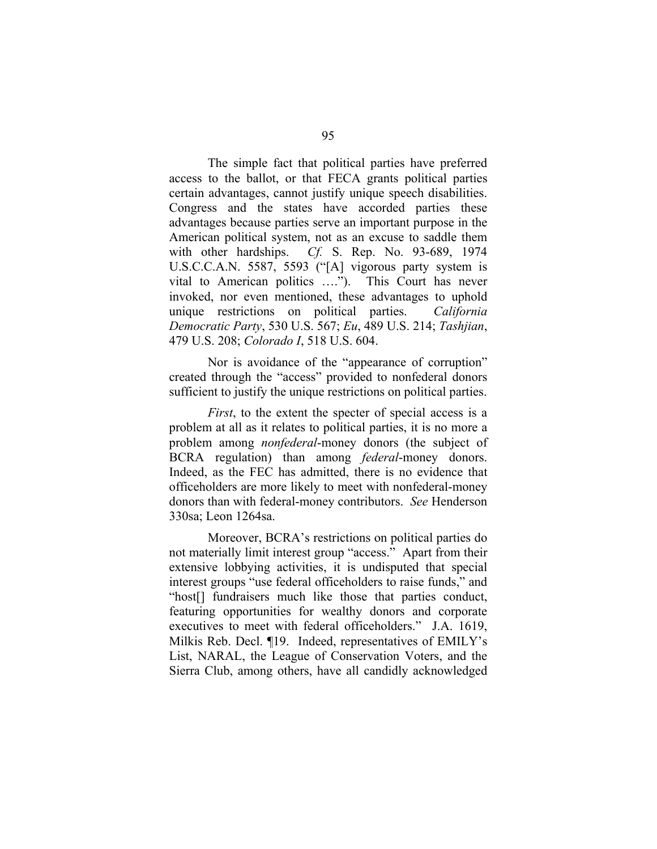The simple fact that political parties have preferred access to the ballot, or that FECA grants political parties certain advantages, cannot justify unique speech disabilities. Congress and the states have accorded parties these advantages because parties serve an important purpose in the American political system, not as an excuse to saddle them with other hardships. *Cf.* S. Rep. No. 93-689, 1974 U.S.C.C.A.N. 5587, 5593 ("[A] vigorous party system is vital to American politics …."). This Court has never invoked, nor even mentioned, these advantages to uphold unique restrictions on political parties. *California Democratic Party*, 530 U.S. 567; *Eu*, 489 U.S. 214; *Tashjian*, 479 U.S. 208; *Colorado I*, 518 U.S. 604.

Nor is avoidance of the "appearance of corruption" created through the "access" provided to nonfederal donors sufficient to justify the unique restrictions on political parties.

*First*, to the extent the specter of special access is a problem at all as it relates to political parties, it is no more a problem among *nonfederal*-money donors (the subject of BCRA regulation) than among *federal*-money donors. Indeed, as the FEC has admitted, there is no evidence that officeholders are more likely to meet with nonfederal-money donors than with federal-money contributors. *See* Henderson 330sa; Leon 1264sa.

Moreover, BCRA's restrictions on political parties do not materially limit interest group "access." Apart from their extensive lobbying activities, it is undisputed that special interest groups "use federal officeholders to raise funds," and "host[] fundraisers much like those that parties conduct, featuring opportunities for wealthy donors and corporate executives to meet with federal officeholders." J.A. 1619, Milkis Reb. Decl. ¶19. Indeed, representatives of EMILY's List, NARAL, the League of Conservation Voters, and the Sierra Club, among others, have all candidly acknowledged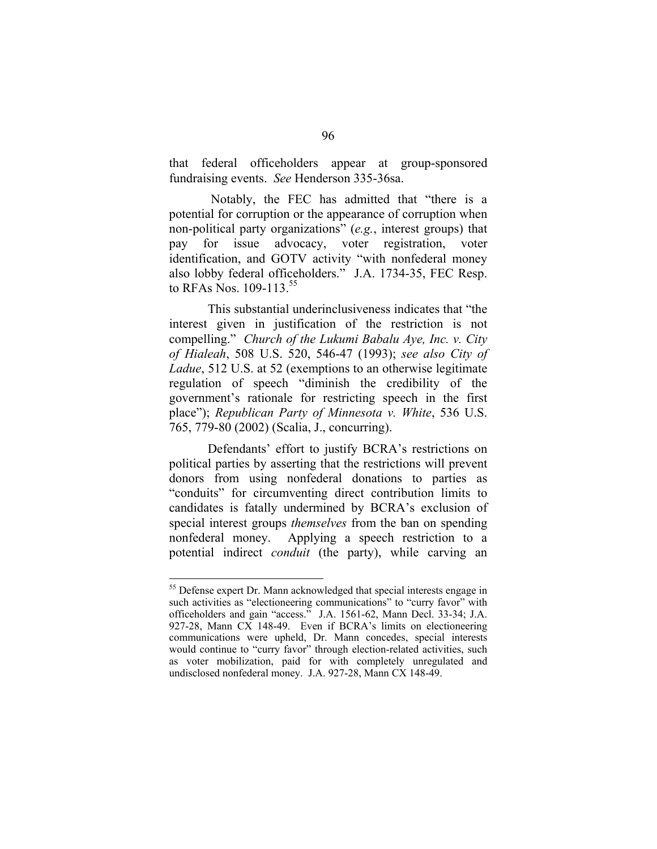that federal officeholders appear at group-sponsored fundraising events. *See* Henderson 335-36sa.

Notably, the FEC has admitted that "there is a potential for corruption or the appearance of corruption when non-political party organizations" (*e.g.*, interest groups) that pay for issue advocacy, voter registration, voter identification, and GOTV activity "with nonfederal money also lobby federal officeholders." J.A. 1734-35, FEC Resp. to RFAs Nos.  $109-113^{55}$ 

This substantial underinclusiveness indicates that "the interest given in justification of the restriction is not compelling." *Church of the Lukumi Babalu Aye, Inc. v. City of Hialeah*, 508 U.S. 520, 546-47 (1993); *see also City of Ladue*, 512 U.S. at 52 (exemptions to an otherwise legitimate regulation of speech "diminish the credibility of the government's rationale for restricting speech in the first place"); *Republican Party of Minnesota v. White*, 536 U.S. 765, 779-80 (2002) (Scalia, J., concurring).

Defendants' effort to justify BCRA's restrictions on political parties by asserting that the restrictions will prevent donors from using nonfederal donations to parties as "conduits" for circumventing direct contribution limits to candidates is fatally undermined by BCRA's exclusion of special interest groups *themselves* from the ban on spending nonfederal money. Applying a speech restriction to a potential indirect *conduit* (the party), while carving an

<sup>&</sup>lt;sup>55</sup> Defense expert Dr. Mann acknowledged that special interests engage in such activities as "electioneering communications" to "curry favor" with officeholders and gain "access." J.A. 1561-62, Mann Decl. 33-34; J.A. 927-28, Mann CX 148-49. Even if BCRA's limits on electioneering communications were upheld, Dr. Mann concedes, special interests would continue to "curry favor" through election-related activities, such as voter mobilization, paid for with completely unregulated and undisclosed nonfederal money. J.A. 927-28, Mann CX 148-49.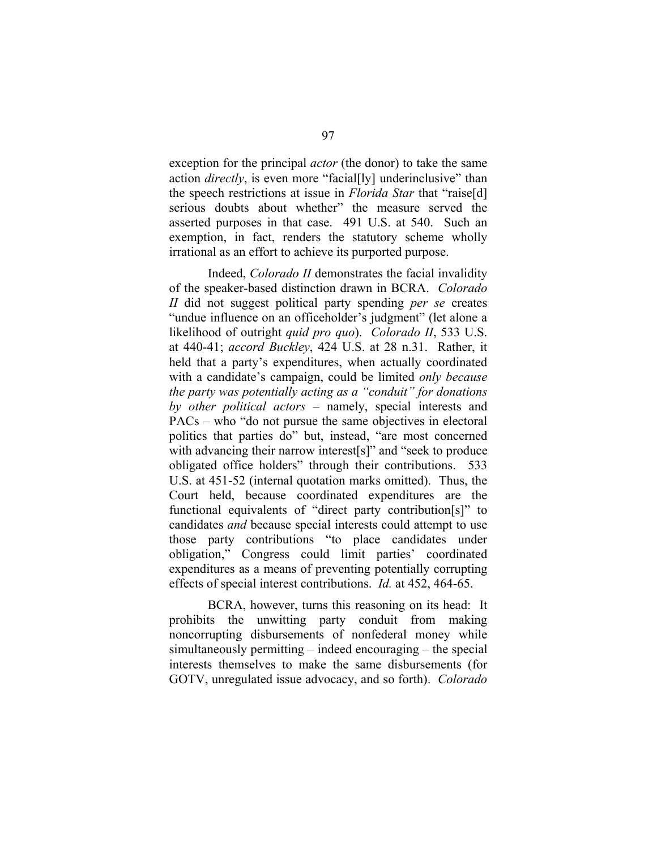exception for the principal *actor* (the donor) to take the same action *directly*, is even more "facial<sup>[1</sup>v] underinclusive" than the speech restrictions at issue in *Florida Star* that "raise[d] serious doubts about whether" the measure served the asserted purposes in that case. 491 U.S. at 540. Such an exemption, in fact, renders the statutory scheme wholly irrational as an effort to achieve its purported purpose.

Indeed, *Colorado II* demonstrates the facial invalidity of the speaker-based distinction drawn in BCRA. *Colorado II* did not suggest political party spending *per se* creates "undue influence on an officeholder's judgment" (let alone a likelihood of outright *quid pro quo*). *Colorado II*, 533 U.S. at 440-41; *accord Buckley*, 424 U.S. at 28 n.31. Rather, it held that a party's expenditures, when actually coordinated with a candidate's campaign, could be limited *only because the party was potentially acting as a "conduit" for donations by other political actors* – namely, special interests and PACs – who "do not pursue the same objectives in electoral politics that parties do" but, instead, "are most concerned with advancing their narrow interest [s]" and "seek to produce obligated office holders" through their contributions. 533 U.S. at 451-52 (internal quotation marks omitted). Thus, the Court held, because coordinated expenditures are the functional equivalents of "direct party contribution[s]" to candidates *and* because special interests could attempt to use those party contributions "to place candidates under obligation," Congress could limit parties' coordinated expenditures as a means of preventing potentially corrupting effects of special interest contributions. *Id.* at 452, 464-65.

BCRA, however, turns this reasoning on its head: It prohibits the unwitting party conduit from making noncorrupting disbursements of nonfederal money while simultaneously permitting – indeed encouraging – the special interests themselves to make the same disbursements (for GOTV, unregulated issue advocacy, and so forth). *Colorado*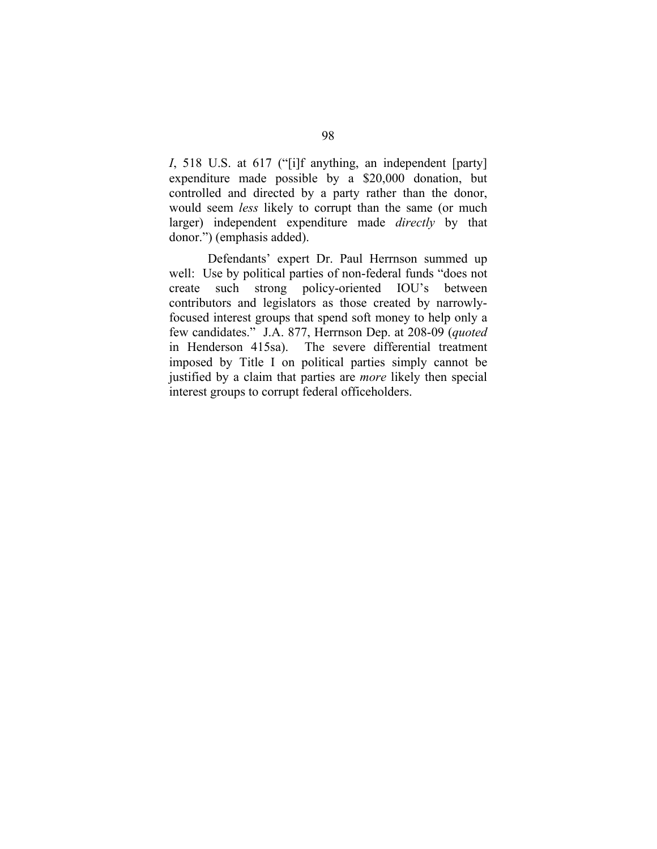*I*, 518 U.S. at 617 ("[i]f anything, an independent [party] expenditure made possible by a \$20,000 donation, but controlled and directed by a party rather than the donor, would seem *less* likely to corrupt than the same (or much larger) independent expenditure made *directly* by that donor.") (emphasis added).

Defendants' expert Dr. Paul Herrnson summed up well: Use by political parties of non-federal funds "does not create such strong policy-oriented IOU's between contributors and legislators as those created by narrowlyfocused interest groups that spend soft money to help only a few candidates." J.A. 877, Herrnson Dep. at 208-09 (*quoted*  in Henderson 415sa). The severe differential treatment imposed by Title I on political parties simply cannot be justified by a claim that parties are *more* likely then special interest groups to corrupt federal officeholders.